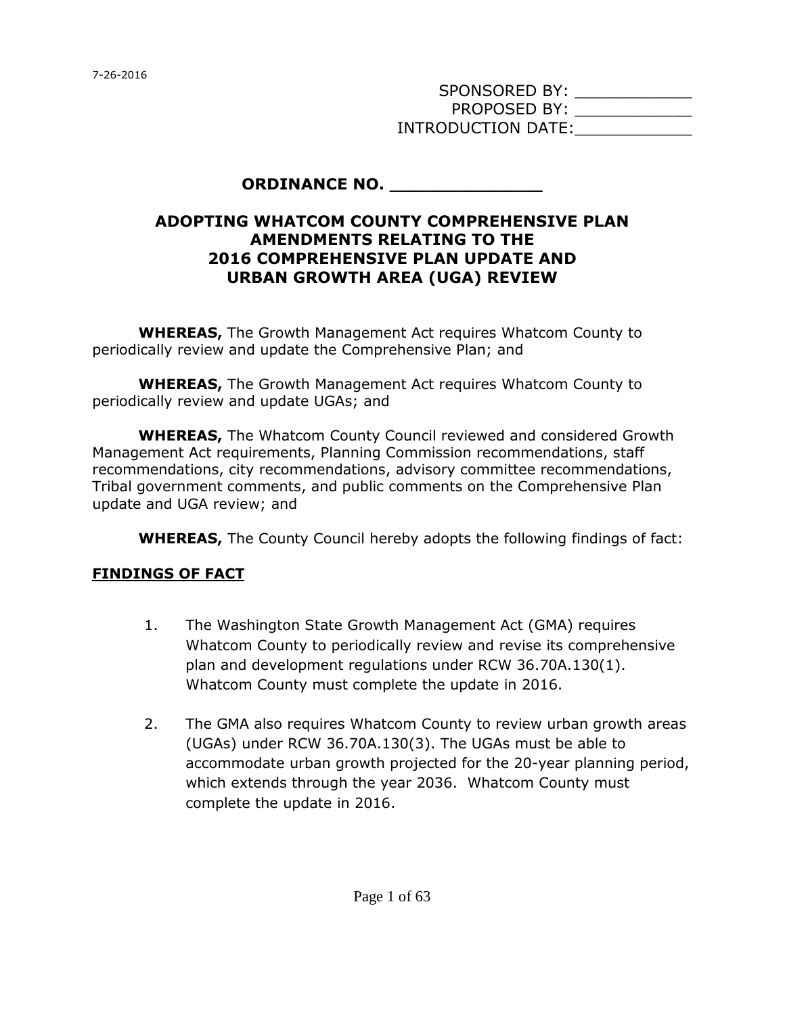SPONSORED BY: \_\_\_\_\_\_\_\_\_\_\_\_\_\_\_ PROPOSED BY: \_\_\_\_\_\_\_\_\_\_\_\_\_\_\_ INTRODUCTION DATE:

#### **ORDINANCE NO.**

#### **ADOPTING WHATCOM COUNTY COMPREHENSIVE PLAN AMENDMENTS RELATING TO THE 2016 COMPREHENSIVE PLAN UPDATE AND URBAN GROWTH AREA (UGA) REVIEW**

**WHEREAS,** The Growth Management Act requires Whatcom County to periodically review and update the Comprehensive Plan; and

**WHEREAS,** The Growth Management Act requires Whatcom County to periodically review and update UGAs; and

**WHEREAS,** The Whatcom County Council reviewed and considered Growth Management Act requirements, Planning Commission recommendations, staff recommendations, city recommendations, advisory committee recommendations, Tribal government comments, and public comments on the Comprehensive Plan update and UGA review; and

**WHEREAS,** The County Council hereby adopts the following findings of fact:

#### **FINDINGS OF FACT**

- 1. The Washington State Growth Management Act (GMA) requires Whatcom County to periodically review and revise its comprehensive plan and development regulations under RCW 36.70A.130(1). Whatcom County must complete the update in 2016.
- 2. The GMA also requires Whatcom County to review urban growth areas (UGAs) under RCW 36.70A.130(3). The UGAs must be able to accommodate urban growth projected for the 20-year planning period, which extends through the year 2036. Whatcom County must complete the update in 2016.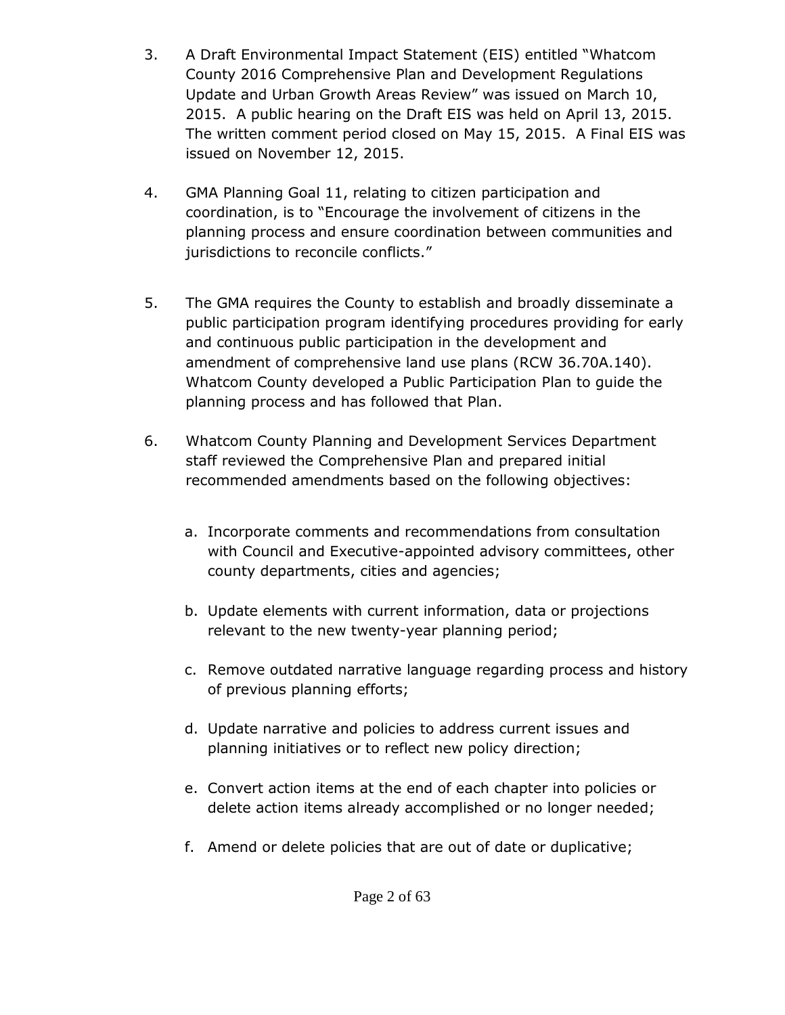- 3. A Draft Environmental Impact Statement (EIS) entitled "Whatcom County 2016 Comprehensive Plan and Development Regulations Update and Urban Growth Areas Review" was issued on March 10, 2015. A public hearing on the Draft EIS was held on April 13, 2015. The written comment period closed on May 15, 2015. A Final EIS was issued on November 12, 2015.
- 4. GMA Planning Goal 11, relating to citizen participation and coordination, is to "Encourage the involvement of citizens in the planning process and ensure coordination between communities and jurisdictions to reconcile conflicts."
- 5. The GMA requires the County to establish and broadly disseminate a public participation program identifying procedures providing for early and continuous public participation in the development and amendment of comprehensive land use plans (RCW 36.70A.140). Whatcom County developed a Public Participation Plan to guide the planning process and has followed that Plan.
- 6. Whatcom County Planning and Development Services Department staff reviewed the Comprehensive Plan and prepared initial recommended amendments based on the following objectives:
	- a. Incorporate comments and recommendations from consultation with Council and Executive-appointed advisory committees, other county departments, cities and agencies;
	- b. Update elements with current information, data or projections relevant to the new twenty-year planning period;
	- c. Remove outdated narrative language regarding process and history of previous planning efforts;
	- d. Update narrative and policies to address current issues and planning initiatives or to reflect new policy direction;
	- e. Convert action items at the end of each chapter into policies or delete action items already accomplished or no longer needed;
	- f. Amend or delete policies that are out of date or duplicative;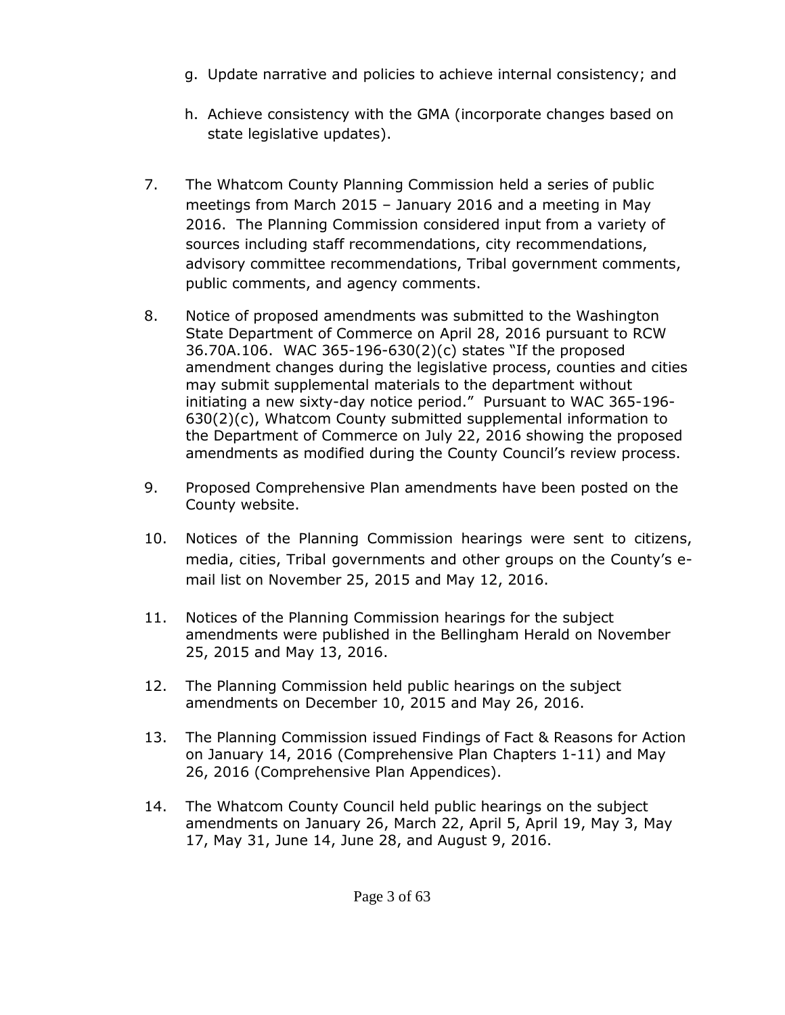- g. Update narrative and policies to achieve internal consistency; and
- h. Achieve consistency with the GMA (incorporate changes based on state legislative updates).
- 7. The Whatcom County Planning Commission held a series of public meetings from March 2015 – January 2016 and a meeting in May 2016. The Planning Commission considered input from a variety of sources including staff recommendations, city recommendations, advisory committee recommendations, Tribal government comments, public comments, and agency comments.
- 8. Notice of proposed amendments was submitted to the Washington State Department of Commerce on April 28, 2016 pursuant to RCW 36.70A.106. WAC 365-196-630(2)(c) states "If the proposed amendment changes during the legislative process, counties and cities may submit supplemental materials to the department without initiating a new sixty-day notice period." Pursuant to WAC 365-196- 630(2)(c), Whatcom County submitted supplemental information to the Department of Commerce on July 22, 2016 showing the proposed amendments as modified during the County Council's review process.
- 9. Proposed Comprehensive Plan amendments have been posted on the County website.
- 10. Notices of the Planning Commission hearings were sent to citizens, media, cities, Tribal governments and other groups on the County's email list on November 25, 2015 and May 12, 2016.
- 11. Notices of the Planning Commission hearings for the subject amendments were published in the Bellingham Herald on November 25, 2015 and May 13, 2016.
- 12. The Planning Commission held public hearings on the subject amendments on December 10, 2015 and May 26, 2016.
- 13. The Planning Commission issued Findings of Fact & Reasons for Action on January 14, 2016 (Comprehensive Plan Chapters 1-11) and May 26, 2016 (Comprehensive Plan Appendices).
- 14. The Whatcom County Council held public hearings on the subject amendments on January 26, March 22, April 5, April 19, May 3, May 17, May 31, June 14, June 28, and August 9, 2016.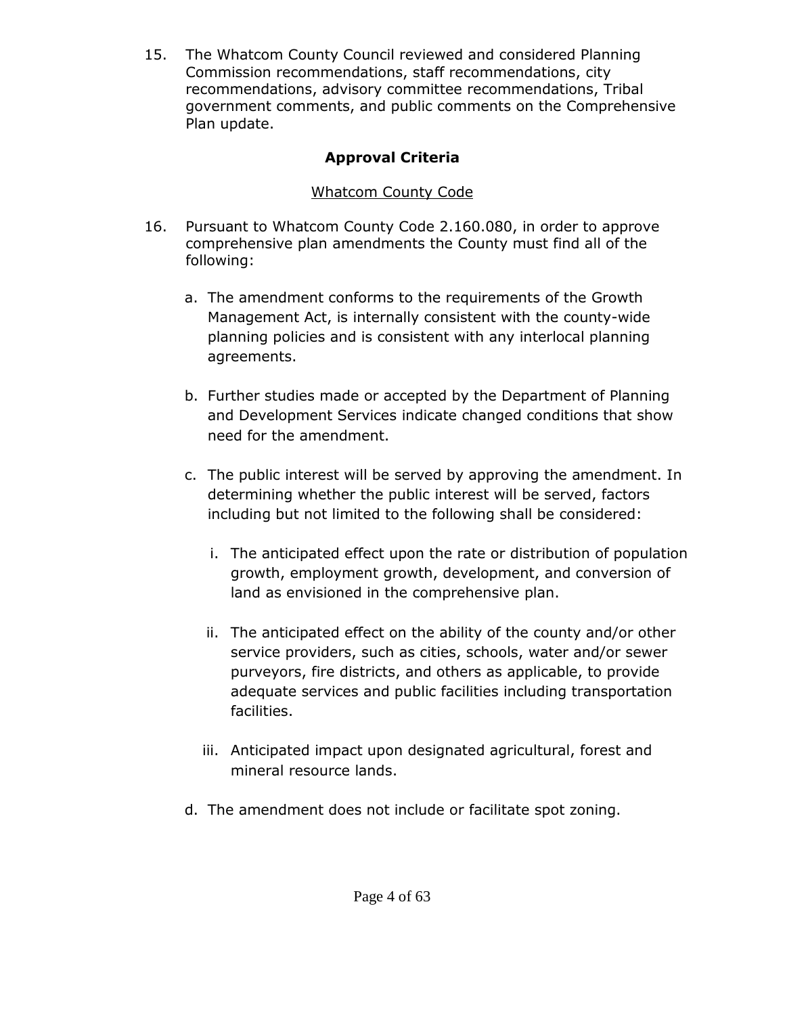15. The Whatcom County Council reviewed and considered Planning Commission recommendations, staff recommendations, city recommendations, advisory committee recommendations, Tribal government comments, and public comments on the Comprehensive Plan update.

# **Approval Criteria**

# Whatcom County Code

- 16. Pursuant to Whatcom County Code 2.160.080, in order to approve comprehensive plan amendments the County must find all of the following:
	- a. The amendment conforms to the requirements of the Growth Management Act, is internally consistent with the county-wide planning policies and is consistent with any interlocal planning agreements.
	- b. Further studies made or accepted by the Department of Planning and Development Services indicate changed conditions that show need for the amendment.
	- c. The public interest will be served by approving the amendment. In determining whether the public interest will be served, factors including but not limited to the following shall be considered:
		- i. The anticipated effect upon the rate or distribution of population growth, employment growth, development, and conversion of land as envisioned in the comprehensive plan.
		- ii. The anticipated effect on the ability of the county and/or other service providers, such as cities, schools, water and/or sewer purveyors, fire districts, and others as applicable, to provide adequate services and public facilities including transportation facilities.
		- iii. Anticipated impact upon designated agricultural, forest and mineral resource lands.
	- d. The amendment does not include or facilitate spot zoning.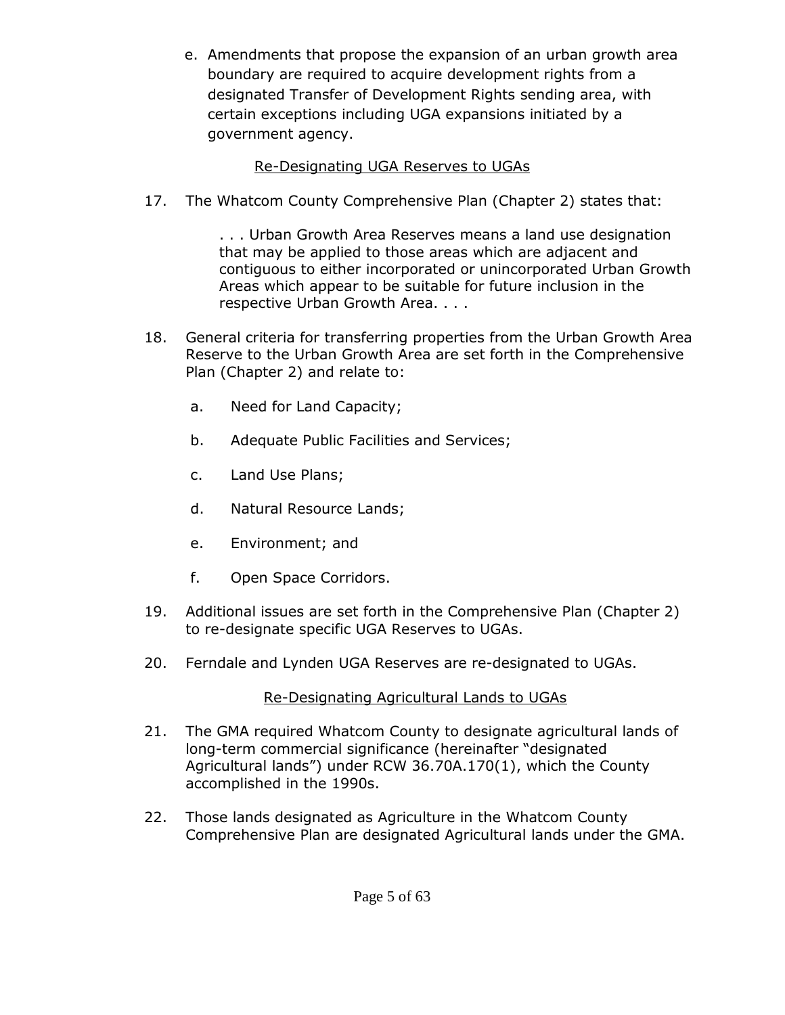e. Amendments that propose the expansion of an urban growth area boundary are required to acquire development rights from a designated Transfer of Development Rights sending area, with certain exceptions including UGA expansions initiated by a government agency.

## Re-Designating UGA Reserves to UGAs

17. The Whatcom County Comprehensive Plan (Chapter 2) states that:

. . . Urban Growth Area Reserves means a land use designation that may be applied to those areas which are adjacent and contiguous to either incorporated or unincorporated Urban Growth Areas which appear to be suitable for future inclusion in the respective Urban Growth Area. . . .

- 18. General criteria for transferring properties from the Urban Growth Area Reserve to the Urban Growth Area are set forth in the Comprehensive Plan (Chapter 2) and relate to:
	- a. Need for Land Capacity;
	- b. Adequate Public Facilities and Services;
	- c. Land Use Plans;
	- d. Natural Resource Lands;
	- e. Environment; and
	- f. Open Space Corridors.
- 19. Additional issues are set forth in the Comprehensive Plan (Chapter 2) to re-designate specific UGA Reserves to UGAs.
- 20. Ferndale and Lynden UGA Reserves are re-designated to UGAs.

# Re-Designating Agricultural Lands to UGAs

- 21. The GMA required Whatcom County to designate agricultural lands of long-term commercial significance (hereinafter "designated Agricultural lands") under RCW 36.70A.170(1), which the County accomplished in the 1990s.
- 22. Those lands designated as Agriculture in the Whatcom County Comprehensive Plan are designated Agricultural lands under the GMA.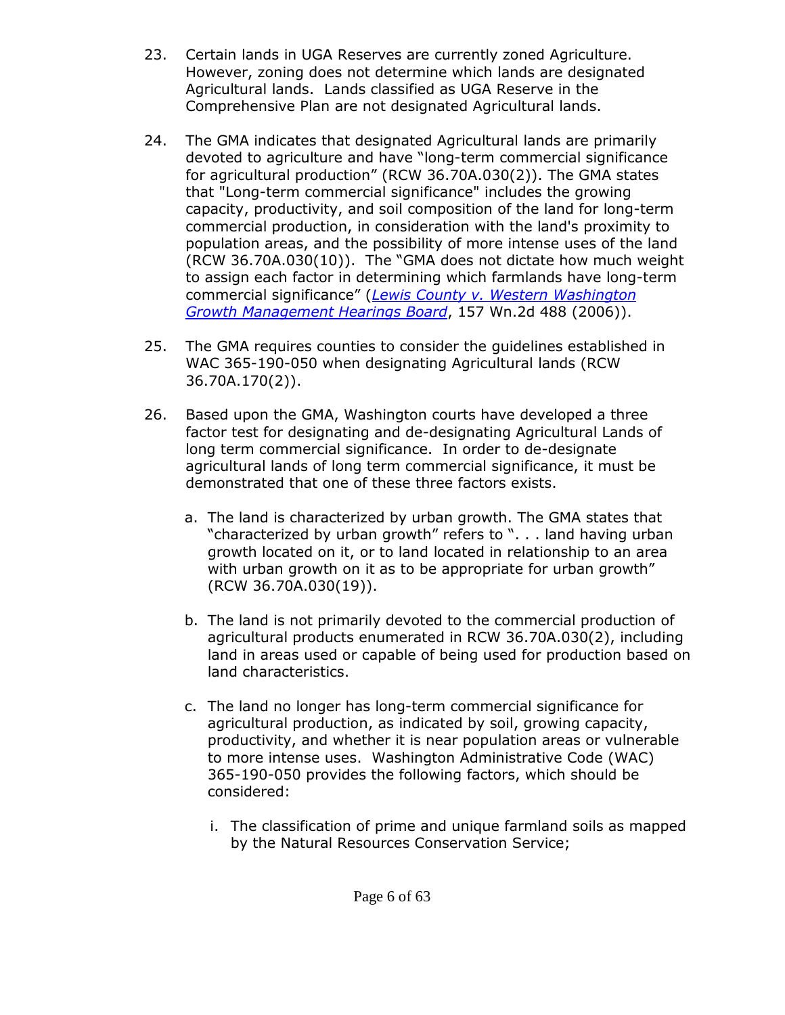- 23. Certain lands in UGA Reserves are currently zoned Agriculture. However, zoning does not determine which lands are designated Agricultural lands. Lands classified as UGA Reserve in the Comprehensive Plan are not designated Agricultural lands.
- 24. The GMA indicates that designated Agricultural lands are primarily devoted to agriculture and have "long-term commercial significance for agricultural production" (RCW 36.70A.030(2)). The GMA states that "Long-term commercial significance" includes the growing capacity, productivity, and soil composition of the land for long-term commercial production, in consideration with the land's proximity to population areas, and the possibility of more intense uses of the land (RCW 36.70A.030(10)). The "GMA does not dictate how much weight to assign each factor in determining which farmlands have long-term commercial significance" (*[Lewis County v. Western Washington](http://courts.mrsc.org/supreme/157Wn2d/157Wn2d0488.htm)  [Growth Management Hearings Board](http://courts.mrsc.org/supreme/157Wn2d/157Wn2d0488.htm)*, 157 Wn.2d 488 (2006)).
- 25. The GMA requires counties to consider the guidelines established in WAC 365-190-050 when designating Agricultural lands (RCW 36.70A.170(2)).
- 26. Based upon the GMA, Washington courts have developed a three factor test for designating and de-designating Agricultural Lands of long term commercial significance. In order to de-designate agricultural lands of long term commercial significance, it must be demonstrated that one of these three factors exists.
	- a. The land is characterized by urban growth. The GMA states that "characterized by urban growth" refers to ". . . land having urban growth located on it, or to land located in relationship to an area with urban growth on it as to be appropriate for urban growth" (RCW 36.70A.030(19)).
	- b. The land is not primarily devoted to the commercial production of agricultural products enumerated in RCW 36.70A.030(2), including land in areas used or capable of being used for production based on land characteristics.
	- c. The land no longer has long-term commercial significance for agricultural production, as indicated by soil, growing capacity, productivity, and whether it is near population areas or vulnerable to more intense uses. Washington Administrative Code (WAC) 365-190-050 provides the following factors, which should be considered:
		- i. The classification of prime and unique farmland soils as mapped by the Natural Resources Conservation Service;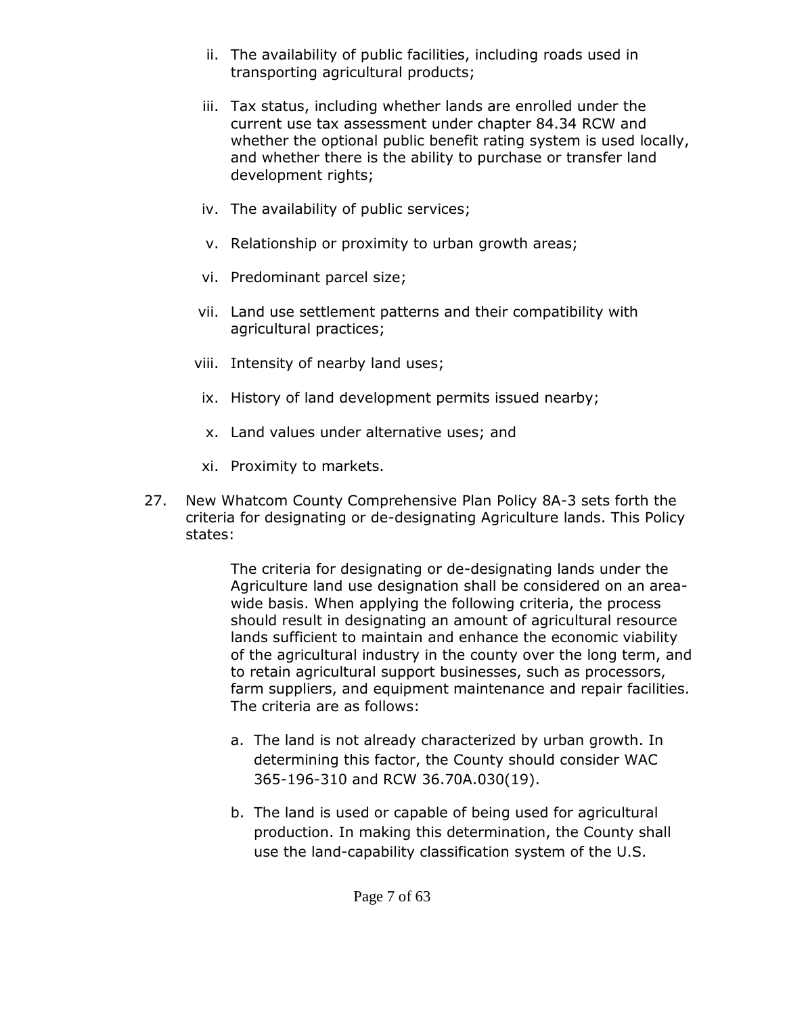- ii. The availability of public facilities, including roads used in transporting agricultural products;
- iii. Tax status, including whether lands are enrolled under the current use tax assessment under chapter 84.34 RCW and whether the optional public benefit rating system is used locally, and whether there is the ability to purchase or transfer land development rights;
- iv. The availability of public services;
- v. Relationship or proximity to urban growth areas;
- vi. Predominant parcel size;
- vii. Land use settlement patterns and their compatibility with agricultural practices;
- viii. Intensity of nearby land uses;
	- ix. History of land development permits issued nearby;
	- x. Land values under alternative uses; and
	- xi. Proximity to markets.
- 27. New Whatcom County Comprehensive Plan Policy 8A-3 sets forth the criteria for designating or de-designating Agriculture lands. This Policy states:

The criteria for designating or de-designating lands under the Agriculture land use designation shall be considered on an areawide basis. When applying the following criteria, the process should result in designating an amount of agricultural resource lands sufficient to maintain and enhance the economic viability of the agricultural industry in the county over the long term, and to retain agricultural support businesses, such as processors, farm suppliers, and equipment maintenance and repair facilities. The criteria are as follows:

- a. The land is not already characterized by urban growth. In determining this factor, the County should consider WAC 365-196-310 and RCW 36.70A.030(19).
- b. The land is used or capable of being used for agricultural production. In making this determination, the County shall use the land-capability classification system of the U.S.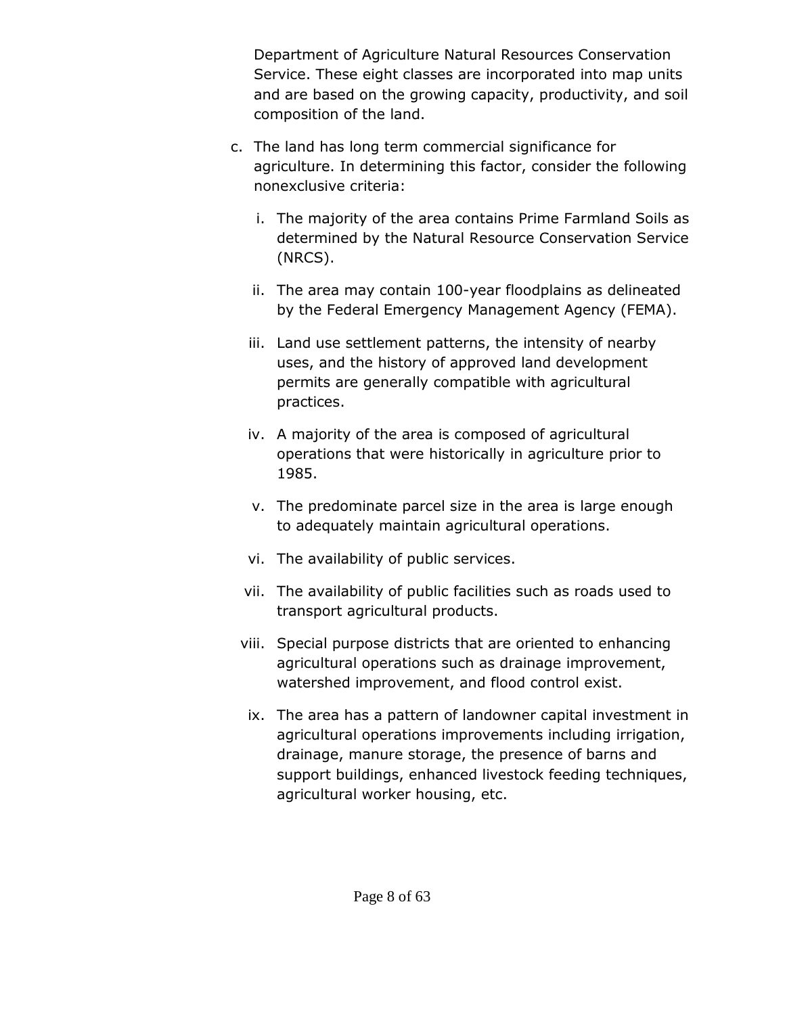Department of Agriculture Natural Resources Conservation Service. These eight classes are incorporated into map units and are based on the growing capacity, productivity, and soil composition of the land.

- c. The land has long term commercial significance for agriculture. In determining this factor, consider the following nonexclusive criteria:
	- i. The majority of the area contains Prime Farmland Soils as determined by the Natural Resource Conservation Service (NRCS).
	- ii. The area may contain 100-year floodplains as delineated by the Federal Emergency Management Agency (FEMA).
	- iii. Land use settlement patterns, the intensity of nearby uses, and the history of approved land development permits are generally compatible with agricultural practices.
	- iv. A majority of the area is composed of agricultural operations that were historically in agriculture prior to 1985.
	- v. The predominate parcel size in the area is large enough to adequately maintain agricultural operations.
	- vi. The availability of public services.
	- vii. The availability of public facilities such as roads used to transport agricultural products.
	- viii. Special purpose districts that are oriented to enhancing agricultural operations such as drainage improvement, watershed improvement, and flood control exist.
	- ix. The area has a pattern of landowner capital investment in agricultural operations improvements including irrigation, drainage, manure storage, the presence of barns and support buildings, enhanced livestock feeding techniques, agricultural worker housing, etc.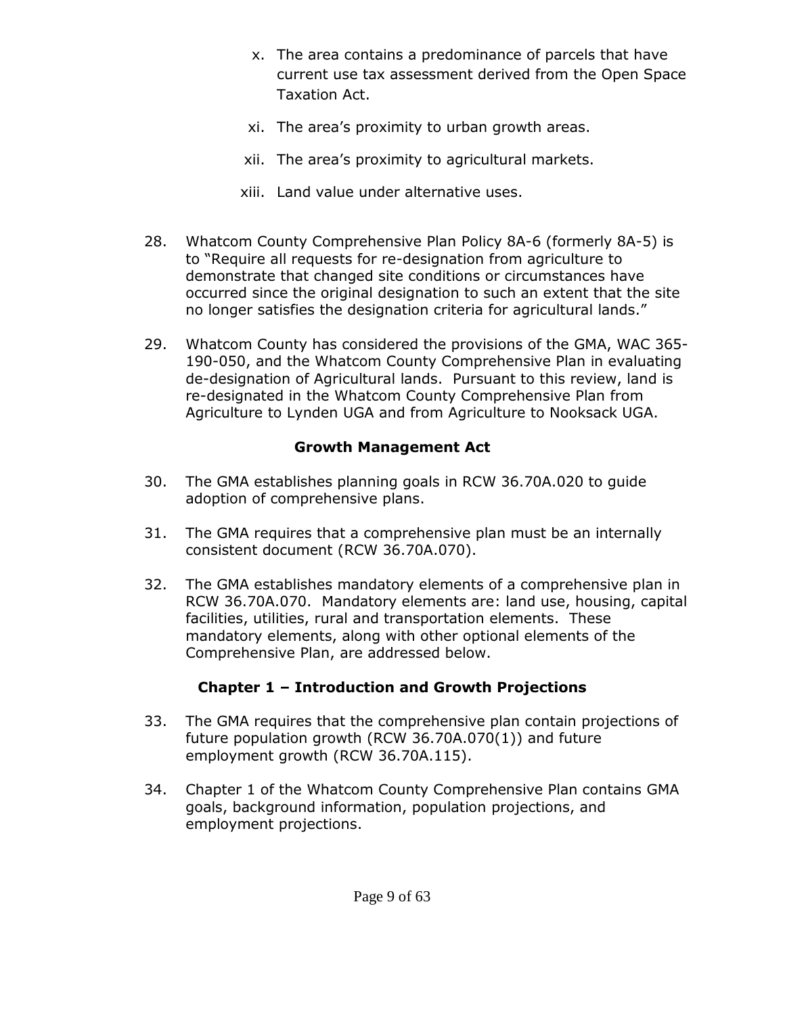- x. The area contains a predominance of parcels that have current use tax assessment derived from the Open Space Taxation Act.
- xi. The area's proximity to urban growth areas.
- xii. The area's proximity to agricultural markets.
- xiii. Land value under alternative uses.
- 28. Whatcom County Comprehensive Plan Policy 8A-6 (formerly 8A-5) is to "Require all requests for re-designation from agriculture to demonstrate that changed site conditions or circumstances have occurred since the original designation to such an extent that the site no longer satisfies the designation criteria for agricultural lands."
- 29. Whatcom County has considered the provisions of the GMA, WAC 365- 190-050, and the Whatcom County Comprehensive Plan in evaluating de-designation of Agricultural lands. Pursuant to this review, land is re-designated in the Whatcom County Comprehensive Plan from Agriculture to Lynden UGA and from Agriculture to Nooksack UGA.

# **Growth Management Act**

- 30. The GMA establishes planning goals in RCW 36.70A.020 to guide adoption of comprehensive plans.
- 31. The GMA requires that a comprehensive plan must be an internally consistent document (RCW 36.70A.070).
- 32. The GMA establishes mandatory elements of a comprehensive plan in RCW 36.70A.070. Mandatory elements are: land use, housing, capital facilities, utilities, rural and transportation elements. These mandatory elements, along with other optional elements of the Comprehensive Plan, are addressed below.

# **Chapter 1 – Introduction and Growth Projections**

- 33. The GMA requires that the comprehensive plan contain projections of future population growth (RCW 36.70A.070(1)) and future employment growth (RCW 36.70A.115).
- 34. Chapter 1 of the Whatcom County Comprehensive Plan contains GMA goals, background information, population projections, and employment projections.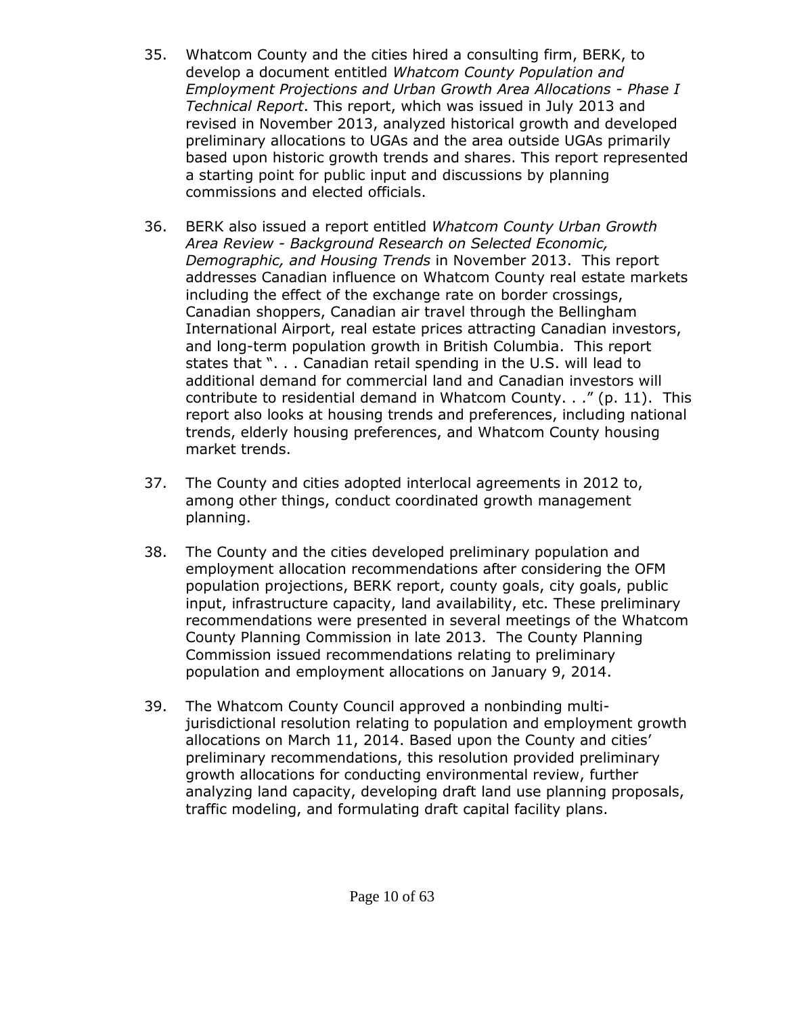- 35. Whatcom County and the cities hired a consulting firm, BERK, to develop a document entitled *Whatcom County Population and Employment Projections and Urban Growth Area Allocations - Phase I Technical Report*. This report, which was issued in July 2013 and revised in November 2013, analyzed historical growth and developed preliminary allocations to UGAs and the area outside UGAs primarily based upon historic growth trends and shares. This report represented a starting point for public input and discussions by planning commissions and elected officials.
- 36. BERK also issued a report entitled *Whatcom County Urban Growth Area Review - Background Research on Selected Economic, Demographic, and Housing Trends* in November 2013. This report addresses Canadian influence on Whatcom County real estate markets including the effect of the exchange rate on border crossings, Canadian shoppers, Canadian air travel through the Bellingham International Airport, real estate prices attracting Canadian investors, and long-term population growth in British Columbia. This report states that ". . . Canadian retail spending in the U.S. will lead to additional demand for commercial land and Canadian investors will contribute to residential demand in Whatcom County. . ." (p. 11). This report also looks at housing trends and preferences, including national trends, elderly housing preferences, and Whatcom County housing market trends.
- 37. The County and cities adopted interlocal agreements in 2012 to, among other things, conduct coordinated growth management planning.
- 38. The County and the cities developed preliminary population and employment allocation recommendations after considering the OFM population projections, BERK report, county goals, city goals, public input, infrastructure capacity, land availability, etc. These preliminary recommendations were presented in several meetings of the Whatcom County Planning Commission in late 2013. The County Planning Commission issued recommendations relating to preliminary population and employment allocations on January 9, 2014.
- 39. The Whatcom County Council approved a nonbinding multijurisdictional resolution relating to population and employment growth allocations on March 11, 2014. Based upon the County and cities' preliminary recommendations, this resolution provided preliminary growth allocations for conducting environmental review, further analyzing land capacity, developing draft land use planning proposals, traffic modeling, and formulating draft capital facility plans.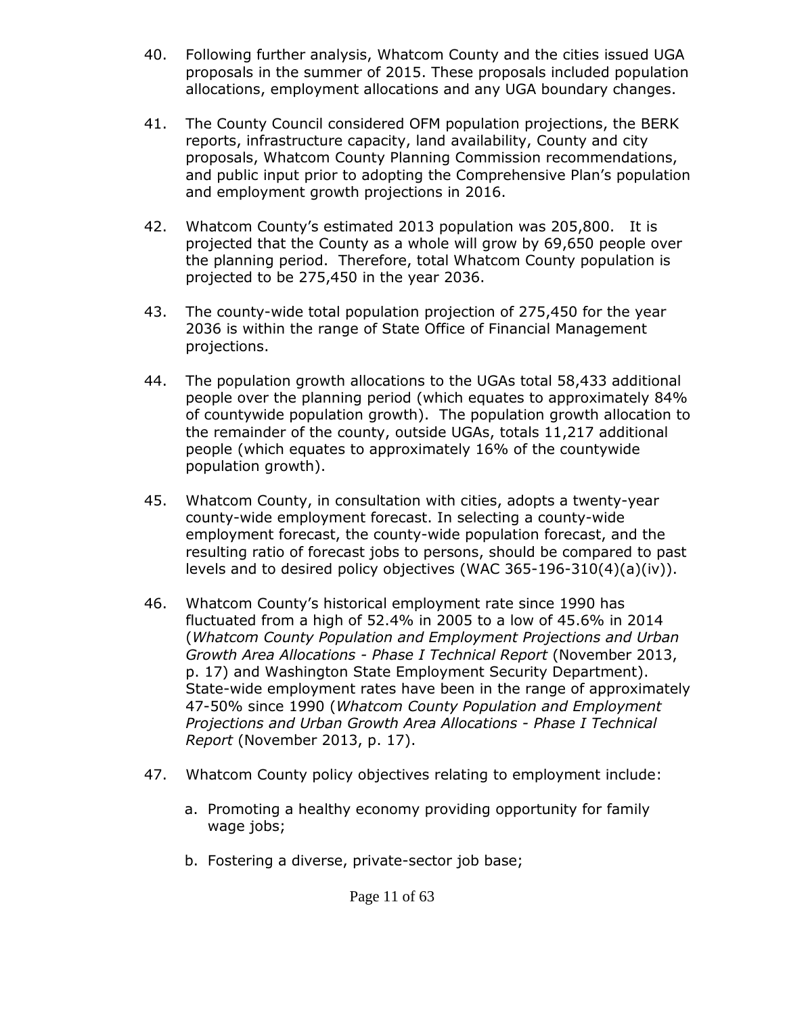- 40. Following further analysis, Whatcom County and the cities issued UGA proposals in the summer of 2015. These proposals included population allocations, employment allocations and any UGA boundary changes.
- 41. The County Council considered OFM population projections, the BERK reports, infrastructure capacity, land availability, County and city proposals, Whatcom County Planning Commission recommendations, and public input prior to adopting the Comprehensive Plan's population and employment growth projections in 2016.
- 42. Whatcom County's estimated 2013 population was 205,800. It is projected that the County as a whole will grow by 69,650 people over the planning period. Therefore, total Whatcom County population is projected to be 275,450 in the year 2036.
- 43. The county-wide total population projection of 275,450 for the year 2036 is within the range of State Office of Financial Management projections.
- 44. The population growth allocations to the UGAs total 58,433 additional people over the planning period (which equates to approximately 84% of countywide population growth). The population growth allocation to the remainder of the county, outside UGAs, totals 11,217 additional people (which equates to approximately 16% of the countywide population growth).
- 45. Whatcom County, in consultation with cities, adopts a twenty-year county-wide employment forecast. In selecting a county-wide employment forecast, the county-wide population forecast, and the resulting ratio of forecast jobs to persons, should be compared to past levels and to desired policy objectives (WAC  $365-196-310(4)(a)(iv)$ ).
- 46. Whatcom County's historical employment rate since 1990 has fluctuated from a high of 52.4% in 2005 to a low of 45.6% in 2014 (*Whatcom County Population and Employment Projections and Urban Growth Area Allocations - Phase I Technical Report* (November 2013, p. 17) and Washington State Employment Security Department). State-wide employment rates have been in the range of approximately 47-50% since 1990 (*Whatcom County Population and Employment Projections and Urban Growth Area Allocations - Phase I Technical Report* (November 2013, p. 17).
- 47. Whatcom County policy objectives relating to employment include:
	- a. Promoting a healthy economy providing opportunity for family wage jobs;
	- b. Fostering a diverse, private-sector job base;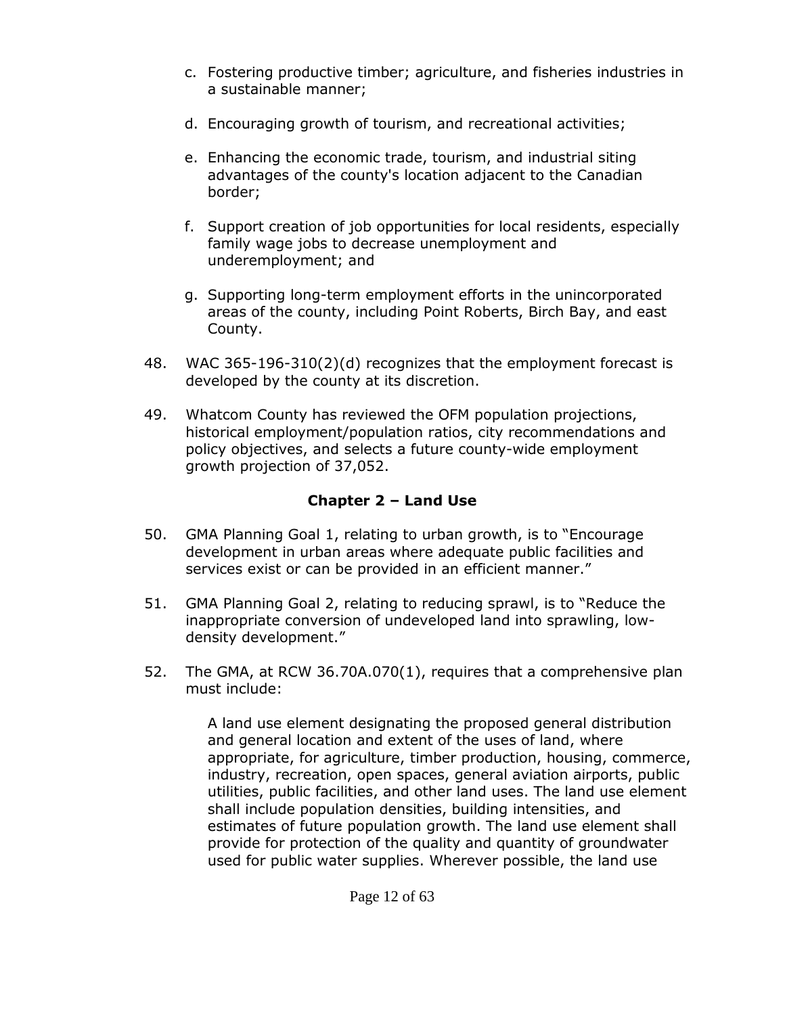- c. Fostering productive timber; agriculture, and fisheries industries in a sustainable manner;
- d. Encouraging growth of tourism, and recreational activities;
- e. Enhancing the economic trade, tourism, and industrial siting advantages of the county's location adjacent to the Canadian border;
- f. Support creation of job opportunities for local residents, especially family wage jobs to decrease unemployment and underemployment; and
- g. Supporting long-term employment efforts in the unincorporated areas of the county, including Point Roberts, Birch Bay, and east County.
- 48. WAC 365-196-310(2)(d) recognizes that the employment forecast is developed by the county at its discretion.
- 49. Whatcom County has reviewed the OFM population projections, historical employment/population ratios, city recommendations and policy objectives, and selects a future county-wide employment growth projection of 37,052.

# **Chapter 2 – Land Use**

- 50. GMA Planning Goal 1, relating to urban growth, is to "Encourage development in urban areas where adequate public facilities and services exist or can be provided in an efficient manner."
- 51. GMA Planning Goal 2, relating to reducing sprawl, is to "Reduce the inappropriate conversion of undeveloped land into sprawling, lowdensity development."
- 52. The GMA, at RCW 36.70A.070(1), requires that a comprehensive plan must include:

A land use element designating the proposed general distribution and general location and extent of the uses of land, where appropriate, for agriculture, timber production, housing, commerce, industry, recreation, open spaces, general aviation airports, public utilities, public facilities, and other land uses. The land use element shall include population densities, building intensities, and estimates of future population growth. The land use element shall provide for protection of the quality and quantity of groundwater used for public water supplies. Wherever possible, the land use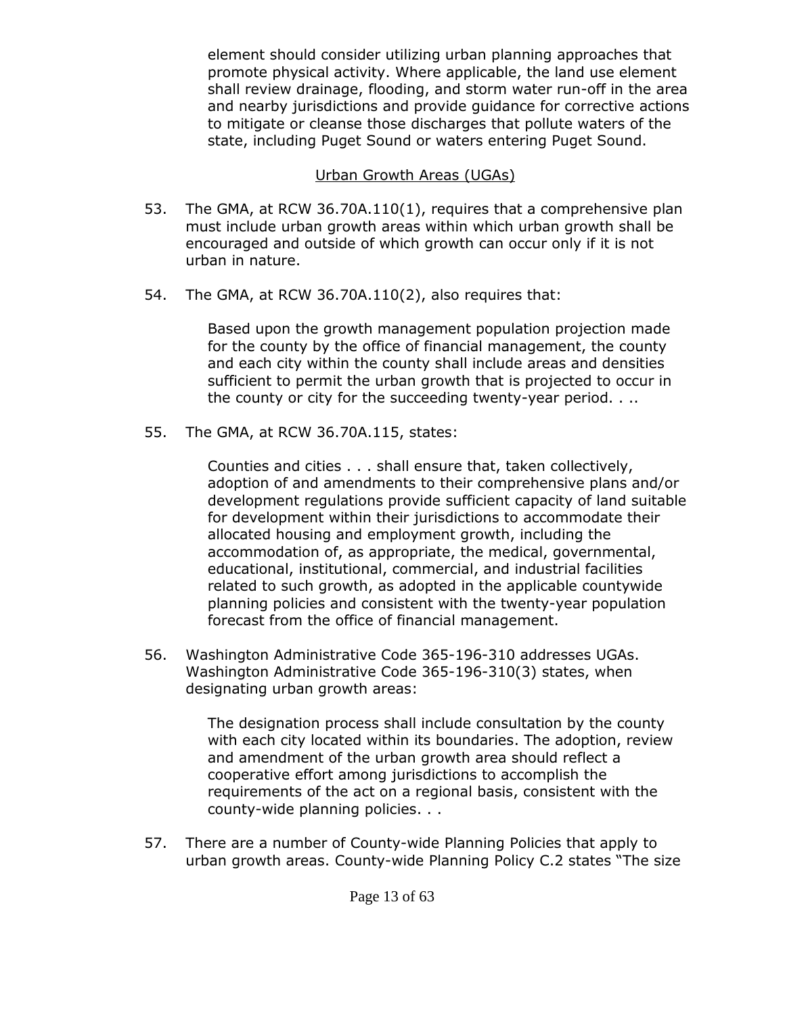element should consider utilizing urban planning approaches that promote physical activity. Where applicable, the land use element shall review drainage, flooding, and storm water run-off in the area and nearby jurisdictions and provide guidance for corrective actions to mitigate or cleanse those discharges that pollute waters of the state, including Puget Sound or waters entering Puget Sound.

### Urban Growth Areas (UGAs)

- 53. The GMA, at RCW 36.70A.110(1), requires that a comprehensive plan must include urban growth areas within which urban growth shall be encouraged and outside of which growth can occur only if it is not urban in nature.
- 54. The GMA, at RCW 36.70A.110(2), also requires that:

Based upon the growth management population projection made for the county by the office of financial management, the county and each city within the county shall include areas and densities sufficient to permit the urban growth that is projected to occur in the county or city for the succeeding twenty-year period. . ..

55. The GMA, at RCW 36.70A.115, states:

Counties and cities . . . shall ensure that, taken collectively, adoption of and amendments to their comprehensive plans and/or development regulations provide sufficient capacity of land suitable for development within their jurisdictions to accommodate their allocated housing and employment growth, including the accommodation of, as appropriate, the medical, governmental, educational, institutional, commercial, and industrial facilities related to such growth, as adopted in the applicable countywide planning policies and consistent with the twenty-year population forecast from the office of financial management.

56. Washington Administrative Code 365-196-310 addresses UGAs. Washington Administrative Code 365-196-310(3) states, when designating urban growth areas:

> The designation process shall include consultation by the county with each city located within its boundaries. The adoption, review and amendment of the urban growth area should reflect a cooperative effort among jurisdictions to accomplish the requirements of the act on a regional basis, consistent with the county-wide planning policies. . .

57. There are a number of County-wide Planning Policies that apply to urban growth areas. County-wide Planning Policy C.2 states "The size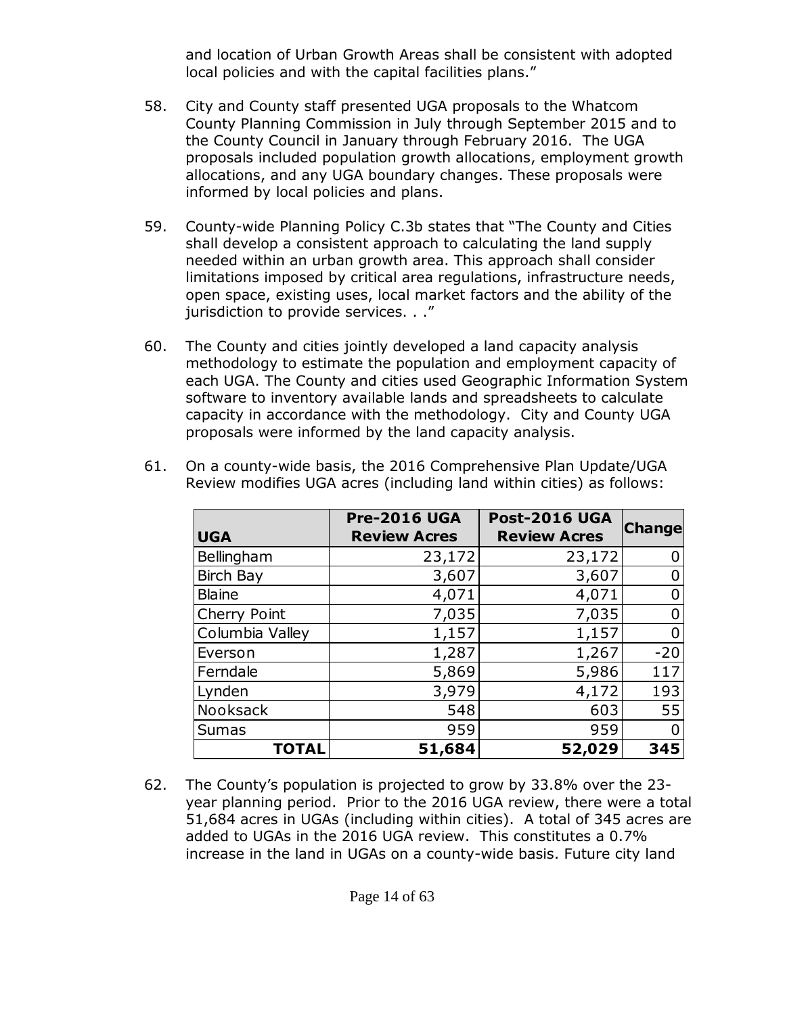and location of Urban Growth Areas shall be consistent with adopted local policies and with the capital facilities plans."

- 58. City and County staff presented UGA proposals to the Whatcom County Planning Commission in July through September 2015 and to the County Council in January through February 2016. The UGA proposals included population growth allocations, employment growth allocations, and any UGA boundary changes. These proposals were informed by local policies and plans.
- 59. County-wide Planning Policy C.3b states that "The County and Cities shall develop a consistent approach to calculating the land supply needed within an urban growth area. This approach shall consider limitations imposed by critical area regulations, infrastructure needs, open space, existing uses, local market factors and the ability of the jurisdiction to provide services. . ."
- 60. The County and cities jointly developed a land capacity analysis methodology to estimate the population and employment capacity of each UGA. The County and cities used Geographic Information System software to inventory available lands and spreadsheets to calculate capacity in accordance with the methodology. City and County UGA proposals were informed by the land capacity analysis.

| <b>UGA</b>       | <b>Pre-2016 UGA</b><br><b>Review Acres</b> | <b>Post-2016 UGA</b><br><b>Review Acres</b> | <b>Change</b> |
|------------------|--------------------------------------------|---------------------------------------------|---------------|
| Bellingham       | 23,172                                     | 23,172                                      |               |
| <b>Birch Bay</b> | 3,607                                      | 3,607                                       |               |
| <b>Blaine</b>    | 4,071                                      | 4,071                                       |               |
| Cherry Point     | 7,035                                      | 7,035                                       |               |
| Columbia Valley  | 1,157                                      | 1,157                                       |               |
| Everson          | 1,287                                      | 1,267                                       | $-20$         |
| Ferndale         | 5,869                                      | 5,986                                       | 117           |
| Lynden           | 3,979                                      | 4,172                                       | 193           |
| Nooksack         | 548                                        | 603                                         | 55            |
| <b>Sumas</b>     | 959                                        | 959                                         |               |
| <b>TOTAL</b>     | 51,684                                     | 52,029                                      | 345           |

61. On a county-wide basis, the 2016 Comprehensive Plan Update/UGA Review modifies UGA acres (including land within cities) as follows:

62. The County's population is projected to grow by 33.8% over the 23 year planning period. Prior to the 2016 UGA review, there were a total 51,684 acres in UGAs (including within cities). A total of 345 acres are added to UGAs in the 2016 UGA review. This constitutes a 0.7% increase in the land in UGAs on a county-wide basis. Future city land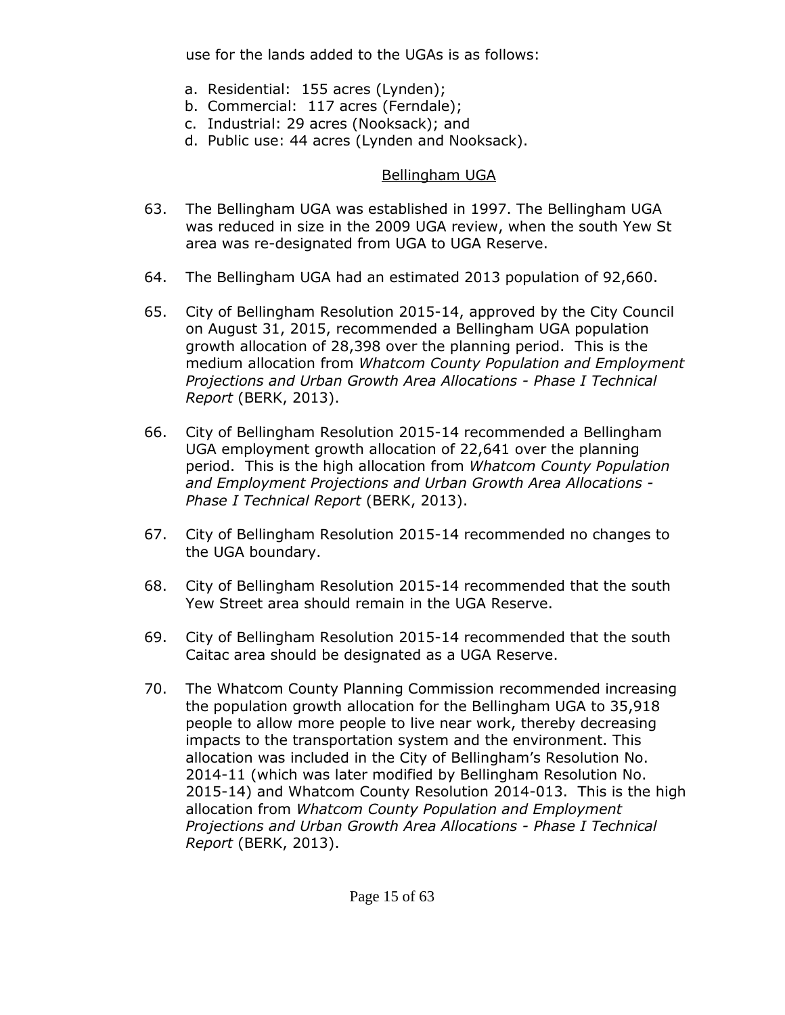use for the lands added to the UGAs is as follows:

- a. Residential: 155 acres (Lynden);
- b. Commercial: 117 acres (Ferndale);
- c. Industrial: 29 acres (Nooksack); and
- d. Public use: 44 acres (Lynden and Nooksack).

### Bellingham UGA

- 63. The Bellingham UGA was established in 1997. The Bellingham UGA was reduced in size in the 2009 UGA review, when the south Yew St area was re-designated from UGA to UGA Reserve.
- 64. The Bellingham UGA had an estimated 2013 population of 92,660.
- 65. City of Bellingham Resolution 2015-14, approved by the City Council on August 31, 2015, recommended a Bellingham UGA population growth allocation of 28,398 over the planning period. This is the medium allocation from *Whatcom County Population and Employment Projections and Urban Growth Area Allocations - Phase I Technical Report* (BERK, 2013).
- 66. City of Bellingham Resolution 2015-14 recommended a Bellingham UGA employment growth allocation of 22,641 over the planning period. This is the high allocation from *Whatcom County Population and Employment Projections and Urban Growth Area Allocations - Phase I Technical Report* (BERK, 2013).
- 67. City of Bellingham Resolution 2015-14 recommended no changes to the UGA boundary.
- 68. City of Bellingham Resolution 2015-14 recommended that the south Yew Street area should remain in the UGA Reserve.
- 69. City of Bellingham Resolution 2015-14 recommended that the south Caitac area should be designated as a UGA Reserve.
- 70. The Whatcom County Planning Commission recommended increasing the population growth allocation for the Bellingham UGA to 35,918 people to allow more people to live near work, thereby decreasing impacts to the transportation system and the environment. This allocation was included in the City of Bellingham's Resolution No. 2014-11 (which was later modified by Bellingham Resolution No. 2015-14) and Whatcom County Resolution 2014-013. This is the high allocation from *Whatcom County Population and Employment Projections and Urban Growth Area Allocations - Phase I Technical Report* (BERK, 2013).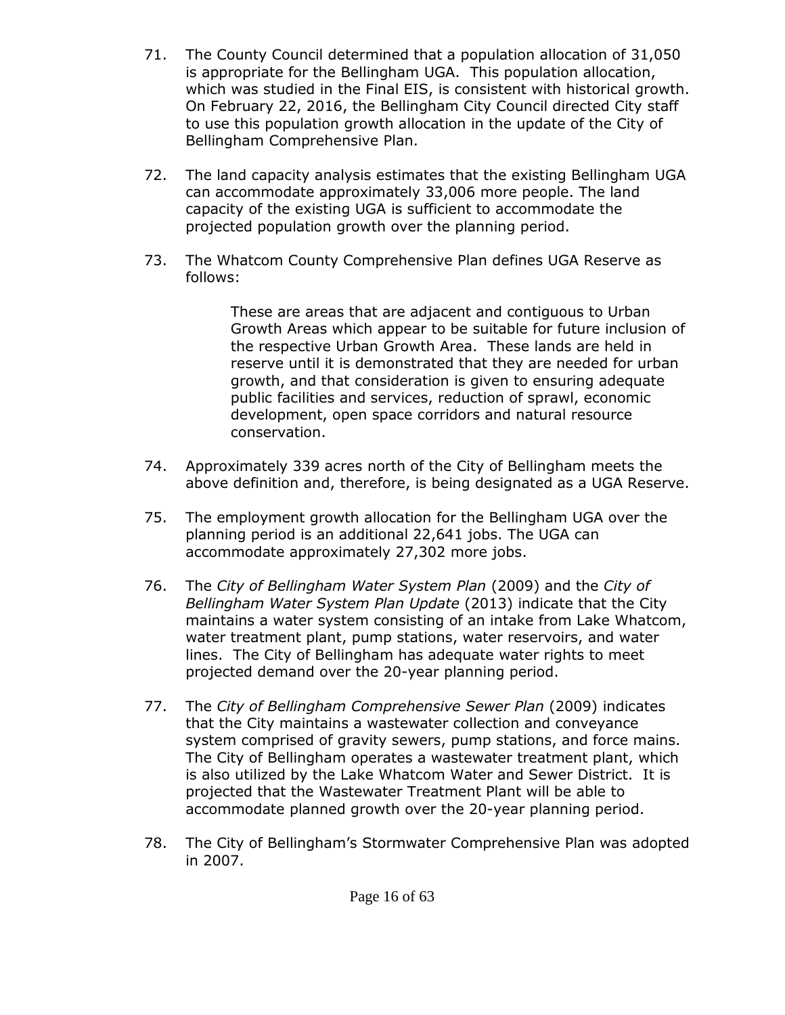- 71. The County Council determined that a population allocation of 31,050 is appropriate for the Bellingham UGA. This population allocation, which was studied in the Final EIS, is consistent with historical growth. On February 22, 2016, the Bellingham City Council directed City staff to use this population growth allocation in the update of the City of Bellingham Comprehensive Plan.
- 72. The land capacity analysis estimates that the existing Bellingham UGA can accommodate approximately 33,006 more people. The land capacity of the existing UGA is sufficient to accommodate the projected population growth over the planning period.
- 73. The Whatcom County Comprehensive Plan defines UGA Reserve as follows:

These are areas that are adjacent and contiguous to Urban Growth Areas which appear to be suitable for future inclusion of the respective Urban Growth Area. These lands are held in reserve until it is demonstrated that they are needed for urban growth, and that consideration is given to ensuring adequate public facilities and services, reduction of sprawl, economic development, open space corridors and natural resource conservation.

- 74. Approximately 339 acres north of the City of Bellingham meets the above definition and, therefore, is being designated as a UGA Reserve.
- 75. The employment growth allocation for the Bellingham UGA over the planning period is an additional 22,641 jobs. The UGA can accommodate approximately 27,302 more jobs.
- 76. The *City of Bellingham Water System Plan* (2009) and the *City of Bellingham Water System Plan Update* (2013) indicate that the City maintains a water system consisting of an intake from Lake Whatcom, water treatment plant, pump stations, water reservoirs, and water lines. The City of Bellingham has adequate water rights to meet projected demand over the 20-year planning period.
- 77. The *City of Bellingham Comprehensive Sewer Plan* (2009) indicates that the City maintains a wastewater collection and conveyance system comprised of gravity sewers, pump stations, and force mains. The City of Bellingham operates a wastewater treatment plant, which is also utilized by the Lake Whatcom Water and Sewer District. It is projected that the Wastewater Treatment Plant will be able to accommodate planned growth over the 20-year planning period.
- 78. The City of Bellingham's Stormwater Comprehensive Plan was adopted in 2007.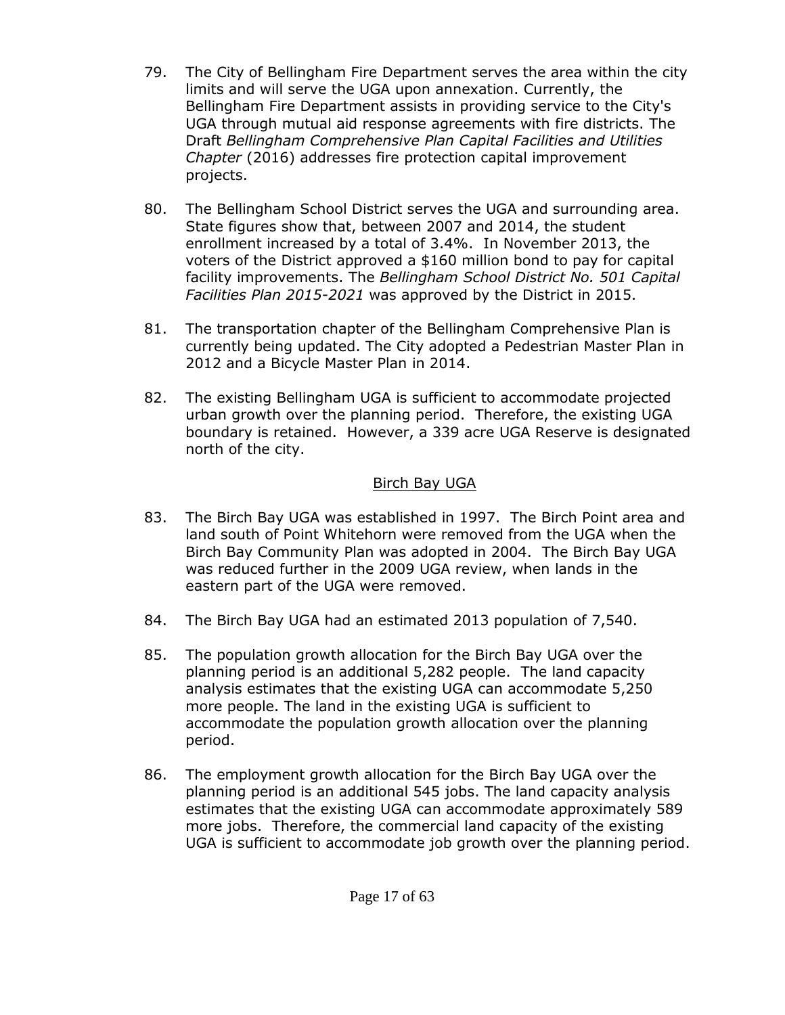- 79. The City of Bellingham Fire Department serves the area within the city limits and will serve the UGA upon annexation. Currently, the Bellingham Fire Department assists in providing service to the City's UGA through mutual aid response agreements with fire districts. The Draft *Bellingham Comprehensive Plan Capital Facilities and Utilities Chapter* (2016) addresses fire protection capital improvement projects.
- 80. The Bellingham School District serves the UGA and surrounding area. State figures show that, between 2007 and 2014, the student enrollment increased by a total of 3.4%. In November 2013, the voters of the District approved a \$160 million bond to pay for capital facility improvements. The *Bellingham School District No. 501 Capital Facilities Plan 2015-2021* was approved by the District in 2015.
- 81. The transportation chapter of the Bellingham Comprehensive Plan is currently being updated. The City adopted a Pedestrian Master Plan in 2012 and a Bicycle Master Plan in 2014.
- 82. The existing Bellingham UGA is sufficient to accommodate projected urban growth over the planning period. Therefore, the existing UGA boundary is retained. However, a 339 acre UGA Reserve is designated north of the city.

### Birch Bay UGA

- 83. The Birch Bay UGA was established in 1997. The Birch Point area and land south of Point Whitehorn were removed from the UGA when the Birch Bay Community Plan was adopted in 2004. The Birch Bay UGA was reduced further in the 2009 UGA review, when lands in the eastern part of the UGA were removed.
- 84. The Birch Bay UGA had an estimated 2013 population of 7,540.
- 85. The population growth allocation for the Birch Bay UGA over the planning period is an additional 5,282 people. The land capacity analysis estimates that the existing UGA can accommodate 5,250 more people. The land in the existing UGA is sufficient to accommodate the population growth allocation over the planning period.
- 86. The employment growth allocation for the Birch Bay UGA over the planning period is an additional 545 jobs. The land capacity analysis estimates that the existing UGA can accommodate approximately 589 more jobs. Therefore, the commercial land capacity of the existing UGA is sufficient to accommodate job growth over the planning period.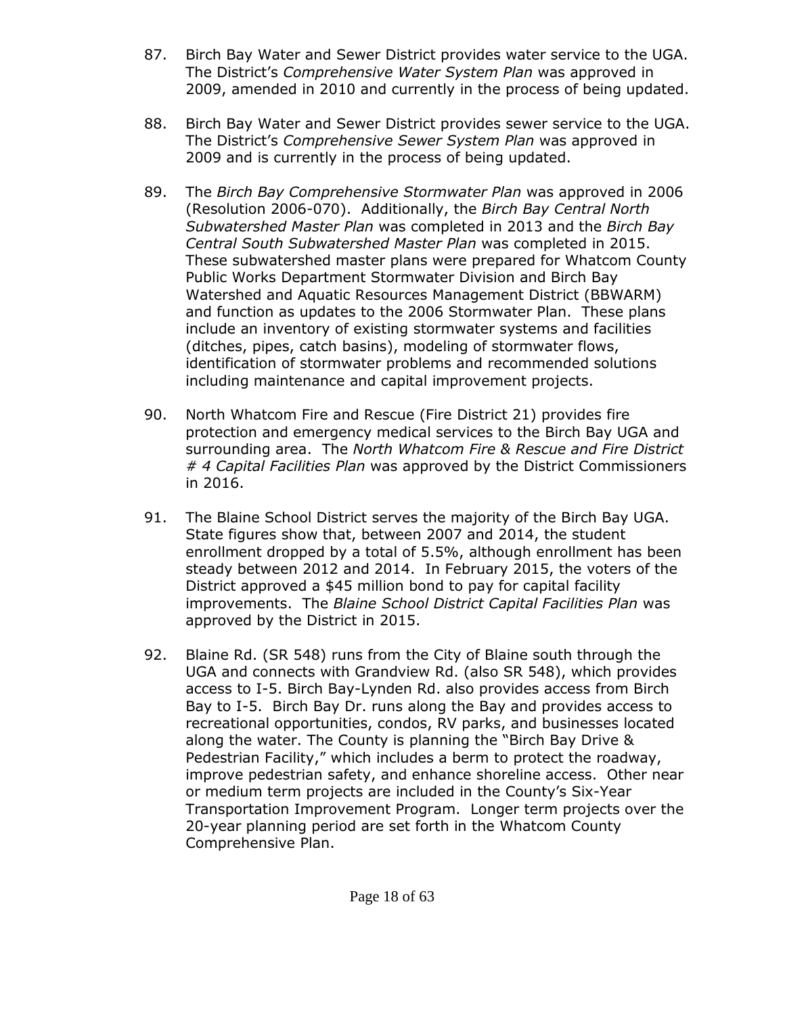- 87. Birch Bay Water and Sewer District provides water service to the UGA. The District's *Comprehensive Water System Plan* was approved in 2009, amended in 2010 and currently in the process of being updated.
- 88. Birch Bay Water and Sewer District provides sewer service to the UGA. The District's *Comprehensive Sewer System Plan* was approved in 2009 and is currently in the process of being updated.
- 89. The *Birch Bay Comprehensive Stormwater Plan* was approved in 2006 (Resolution 2006-070). Additionally, the *Birch Bay Central North Subwatershed Master Plan* was completed in 2013 and the *Birch Bay Central South Subwatershed Master Plan* was completed in 2015. These subwatershed master plans were prepared for Whatcom County Public Works Department Stormwater Division and Birch Bay Watershed and Aquatic Resources Management District (BBWARM) and function as updates to the 2006 Stormwater Plan. These plans include an inventory of existing stormwater systems and facilities (ditches, pipes, catch basins), modeling of stormwater flows, identification of stormwater problems and recommended solutions including maintenance and capital improvement projects.
- 90. North Whatcom Fire and Rescue (Fire District 21) provides fire protection and emergency medical services to the Birch Bay UGA and surrounding area. The *North Whatcom Fire & Rescue and Fire District # 4 Capital Facilities Plan* was approved by the District Commissioners in 2016.
- 91. The Blaine School District serves the majority of the Birch Bay UGA. State figures show that, between 2007 and 2014, the student enrollment dropped by a total of 5.5%, although enrollment has been steady between 2012 and 2014. In February 2015, the voters of the District approved a \$45 million bond to pay for capital facility improvements. The *Blaine School District Capital Facilities Plan* was approved by the District in 2015.
- 92. Blaine Rd. (SR 548) runs from the City of Blaine south through the UGA and connects with Grandview Rd. (also SR 548), which provides access to I-5. Birch Bay-Lynden Rd. also provides access from Birch Bay to I-5. Birch Bay Dr. runs along the Bay and provides access to recreational opportunities, condos, RV parks, and businesses located along the water. The County is planning the "Birch Bay Drive & Pedestrian Facility," which includes a berm to protect the roadway, improve pedestrian safety, and enhance shoreline access. Other near or medium term projects are included in the County's Six-Year Transportation Improvement Program. Longer term projects over the 20-year planning period are set forth in the Whatcom County Comprehensive Plan.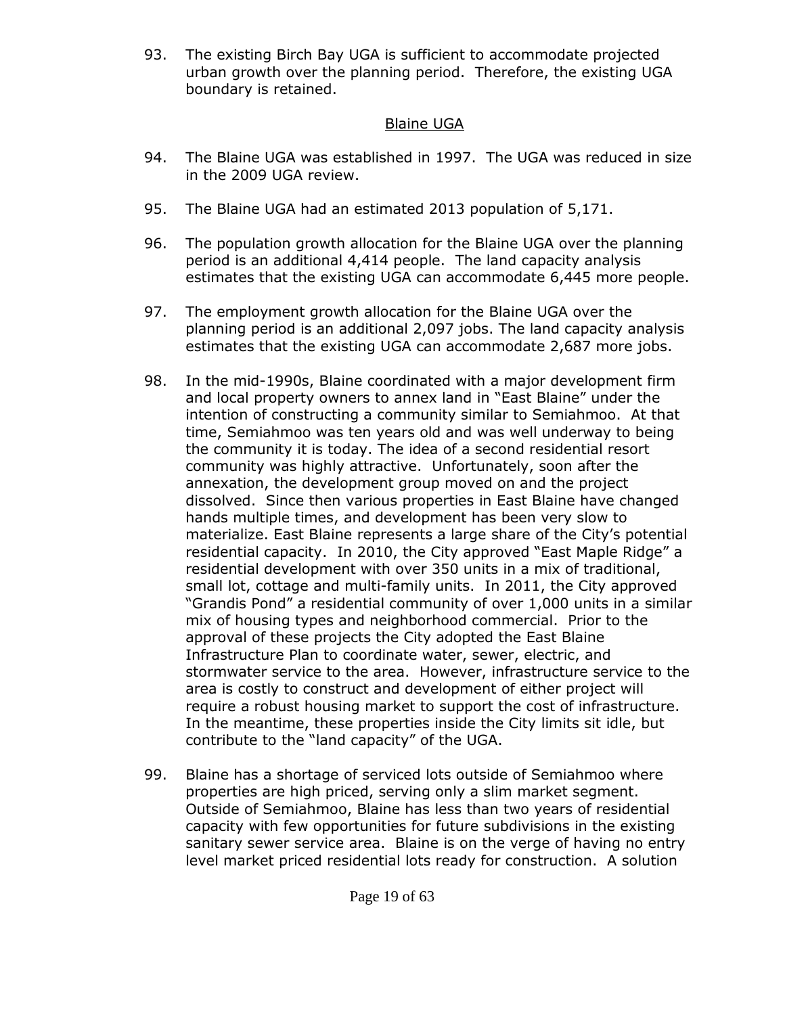93. The existing Birch Bay UGA is sufficient to accommodate projected urban growth over the planning period. Therefore, the existing UGA boundary is retained.

### Blaine UGA

- 94. The Blaine UGA was established in 1997. The UGA was reduced in size in the 2009 UGA review.
- 95. The Blaine UGA had an estimated 2013 population of 5,171.
- 96. The population growth allocation for the Blaine UGA over the planning period is an additional 4,414 people. The land capacity analysis estimates that the existing UGA can accommodate 6,445 more people.
- 97. The employment growth allocation for the Blaine UGA over the planning period is an additional 2,097 jobs. The land capacity analysis estimates that the existing UGA can accommodate 2,687 more jobs.
- 98. In the mid-1990s, Blaine coordinated with a major development firm and local property owners to annex land in "East Blaine" under the intention of constructing a community similar to Semiahmoo. At that time, Semiahmoo was ten years old and was well underway to being the community it is today. The idea of a second residential resort community was highly attractive. Unfortunately, soon after the annexation, the development group moved on and the project dissolved. Since then various properties in East Blaine have changed hands multiple times, and development has been very slow to materialize. East Blaine represents a large share of the City's potential residential capacity. In 2010, the City approved "East Maple Ridge" a residential development with over 350 units in a mix of traditional, small lot, cottage and multi-family units. In 2011, the City approved "Grandis Pond" a residential community of over 1,000 units in a similar mix of housing types and neighborhood commercial. Prior to the approval of these projects the City adopted the East Blaine Infrastructure Plan to coordinate water, sewer, electric, and stormwater service to the area. However, infrastructure service to the area is costly to construct and development of either project will require a robust housing market to support the cost of infrastructure. In the meantime, these properties inside the City limits sit idle, but contribute to the "land capacity" of the UGA.
- 99. Blaine has a shortage of serviced lots outside of Semiahmoo where properties are high priced, serving only a slim market segment. Outside of Semiahmoo, Blaine has less than two years of residential capacity with few opportunities for future subdivisions in the existing sanitary sewer service area. Blaine is on the verge of having no entry level market priced residential lots ready for construction. A solution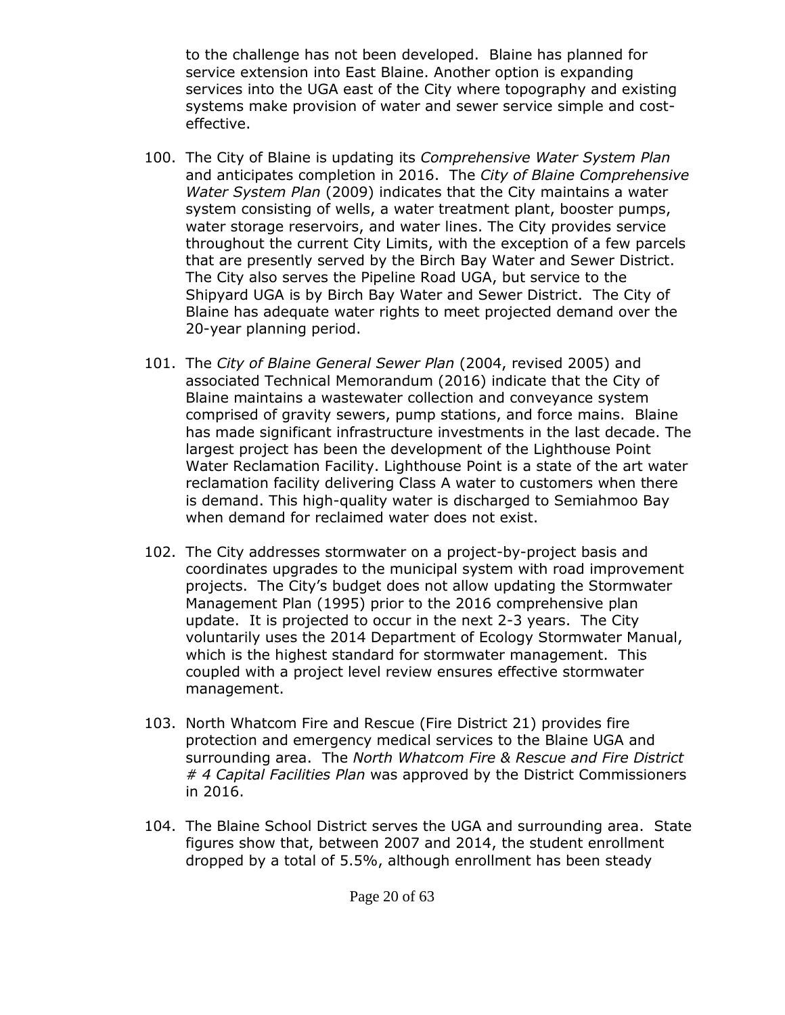to the challenge has not been developed. Blaine has planned for service extension into East Blaine. Another option is expanding services into the UGA east of the City where topography and existing systems make provision of water and sewer service simple and costeffective.

- 100. The City of Blaine is updating its *Comprehensive Water System Plan* and anticipates completion in 2016. The *City of Blaine Comprehensive Water System Plan* (2009) indicates that the City maintains a water system consisting of wells, a water treatment plant, booster pumps, water storage reservoirs, and water lines. The City provides service throughout the current City Limits, with the exception of a few parcels that are presently served by the Birch Bay Water and Sewer District. The City also serves the Pipeline Road UGA, but service to the Shipyard UGA is by Birch Bay Water and Sewer District. The City of Blaine has adequate water rights to meet projected demand over the 20-year planning period.
- 101. The *City of Blaine General Sewer Plan* (2004, revised 2005) and associated Technical Memorandum (2016) indicate that the City of Blaine maintains a wastewater collection and conveyance system comprised of gravity sewers, pump stations, and force mains. Blaine has made significant infrastructure investments in the last decade. The largest project has been the development of the Lighthouse Point Water Reclamation Facility. Lighthouse Point is a state of the art water reclamation facility delivering Class A water to customers when there is demand. This high-quality water is discharged to Semiahmoo Bay when demand for reclaimed water does not exist.
- 102. The City addresses stormwater on a project-by-project basis and coordinates upgrades to the municipal system with road improvement projects. The City's budget does not allow updating the Stormwater Management Plan (1995) prior to the 2016 comprehensive plan update. It is projected to occur in the next 2-3 years. The City voluntarily uses the 2014 Department of Ecology Stormwater Manual, which is the highest standard for stormwater management. This coupled with a project level review ensures effective stormwater management.
- 103. North Whatcom Fire and Rescue (Fire District 21) provides fire protection and emergency medical services to the Blaine UGA and surrounding area. The *North Whatcom Fire & Rescue and Fire District # 4 Capital Facilities Plan* was approved by the District Commissioners in 2016.
- 104. The Blaine School District serves the UGA and surrounding area. State figures show that, between 2007 and 2014, the student enrollment dropped by a total of 5.5%, although enrollment has been steady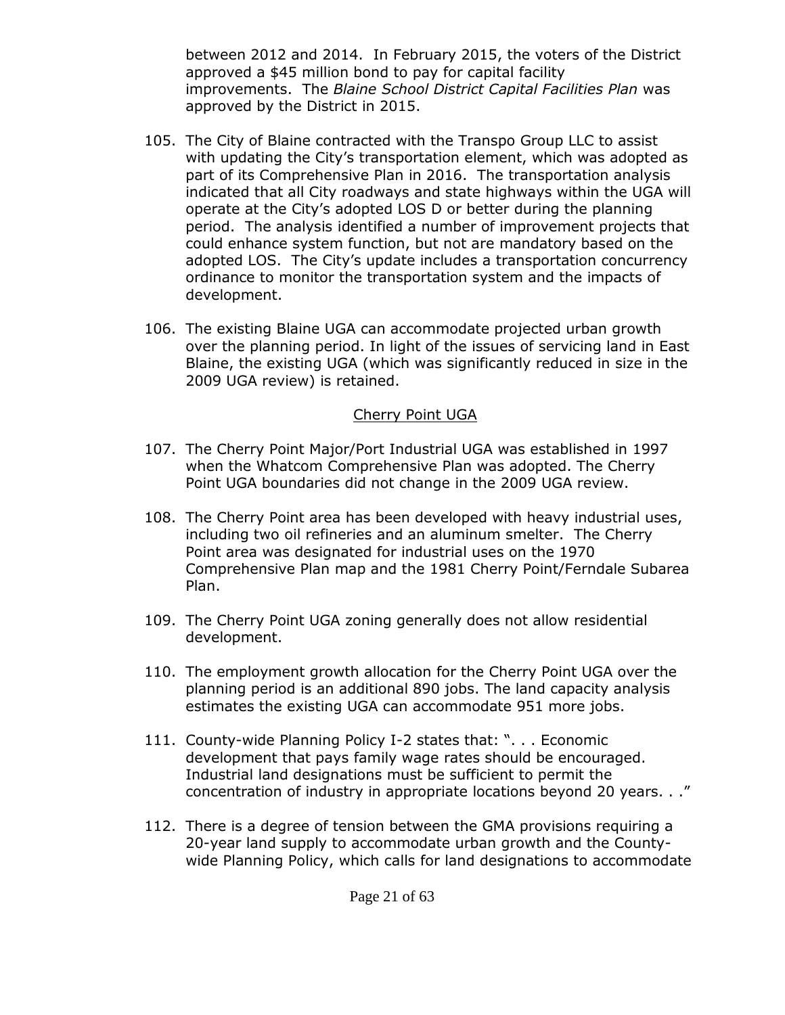between 2012 and 2014. In February 2015, the voters of the District approved a \$45 million bond to pay for capital facility improvements. The *Blaine School District Capital Facilities Plan* was approved by the District in 2015.

- 105. The City of Blaine contracted with the Transpo Group LLC to assist with updating the City's transportation element, which was adopted as part of its Comprehensive Plan in 2016. The transportation analysis indicated that all City roadways and state highways within the UGA will operate at the City's adopted LOS D or better during the planning period. The analysis identified a number of improvement projects that could enhance system function, but not are mandatory based on the adopted LOS. The City's update includes a transportation concurrency ordinance to monitor the transportation system and the impacts of development.
- 106. The existing Blaine UGA can accommodate projected urban growth over the planning period. In light of the issues of servicing land in East Blaine, the existing UGA (which was significantly reduced in size in the 2009 UGA review) is retained.

#### Cherry Point UGA

- 107. The Cherry Point Major/Port Industrial UGA was established in 1997 when the Whatcom Comprehensive Plan was adopted. The Cherry Point UGA boundaries did not change in the 2009 UGA review.
- 108. The Cherry Point area has been developed with heavy industrial uses, including two oil refineries and an aluminum smelter. The Cherry Point area was designated for industrial uses on the 1970 Comprehensive Plan map and the 1981 Cherry Point/Ferndale Subarea Plan.
- 109. The Cherry Point UGA zoning generally does not allow residential development.
- 110. The employment growth allocation for the Cherry Point UGA over the planning period is an additional 890 jobs. The land capacity analysis estimates the existing UGA can accommodate 951 more jobs.
- 111. County-wide Planning Policy I-2 states that: ". . . Economic development that pays family wage rates should be encouraged. Industrial land designations must be sufficient to permit the concentration of industry in appropriate locations beyond 20 years. . ."
- 112. There is a degree of tension between the GMA provisions requiring a 20-year land supply to accommodate urban growth and the Countywide Planning Policy, which calls for land designations to accommodate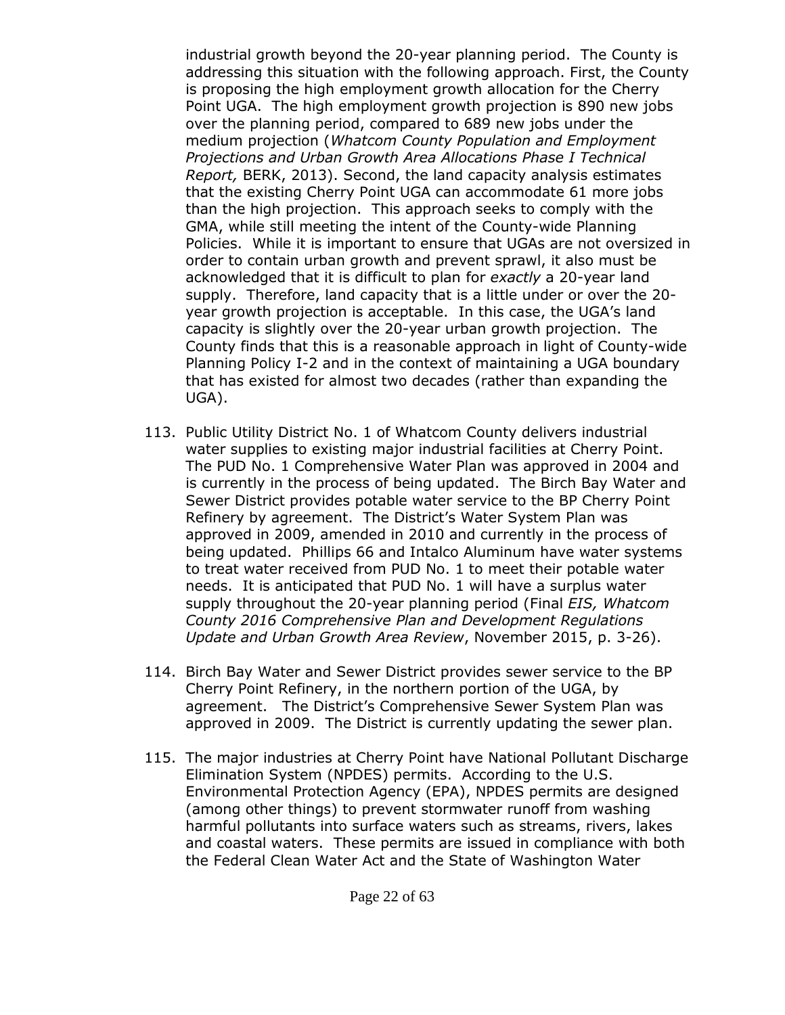industrial growth beyond the 20-year planning period. The County is addressing this situation with the following approach. First, the County is proposing the high employment growth allocation for the Cherry Point UGA. The high employment growth projection is 890 new jobs over the planning period, compared to 689 new jobs under the medium projection (*Whatcom County Population and Employment Projections and Urban Growth Area Allocations Phase I Technical Report,* BERK, 2013). Second, the land capacity analysis estimates that the existing Cherry Point UGA can accommodate 61 more jobs than the high projection. This approach seeks to comply with the GMA, while still meeting the intent of the County-wide Planning Policies. While it is important to ensure that UGAs are not oversized in order to contain urban growth and prevent sprawl, it also must be acknowledged that it is difficult to plan for *exactly* a 20-year land supply. Therefore, land capacity that is a little under or over the 20 year growth projection is acceptable. In this case, the UGA's land capacity is slightly over the 20-year urban growth projection. The County finds that this is a reasonable approach in light of County-wide Planning Policy I-2 and in the context of maintaining a UGA boundary that has existed for almost two decades (rather than expanding the UGA).

- 113. Public Utility District No. 1 of Whatcom County delivers industrial water supplies to existing major industrial facilities at Cherry Point. The PUD No. 1 Comprehensive Water Plan was approved in 2004 and is currently in the process of being updated. The Birch Bay Water and Sewer District provides potable water service to the BP Cherry Point Refinery by agreement. The District's Water System Plan was approved in 2009, amended in 2010 and currently in the process of being updated. Phillips 66 and Intalco Aluminum have water systems to treat water received from PUD No. 1 to meet their potable water needs. It is anticipated that PUD No. 1 will have a surplus water supply throughout the 20-year planning period (Final *EIS, Whatcom County 2016 Comprehensive Plan and Development Regulations Update and Urban Growth Area Review*, November 2015, p. 3-26).
- 114. Birch Bay Water and Sewer District provides sewer service to the BP Cherry Point Refinery, in the northern portion of the UGA, by agreement. The District's Comprehensive Sewer System Plan was approved in 2009. The District is currently updating the sewer plan.
- 115. The major industries at Cherry Point have National Pollutant Discharge Elimination System (NPDES) permits. According to the U.S. Environmental Protection Agency (EPA), NPDES permits are designed (among other things) to prevent stormwater runoff from washing harmful pollutants into surface waters such as streams, rivers, lakes and coastal waters. These permits are issued in compliance with both the Federal Clean Water Act and the State of Washington Water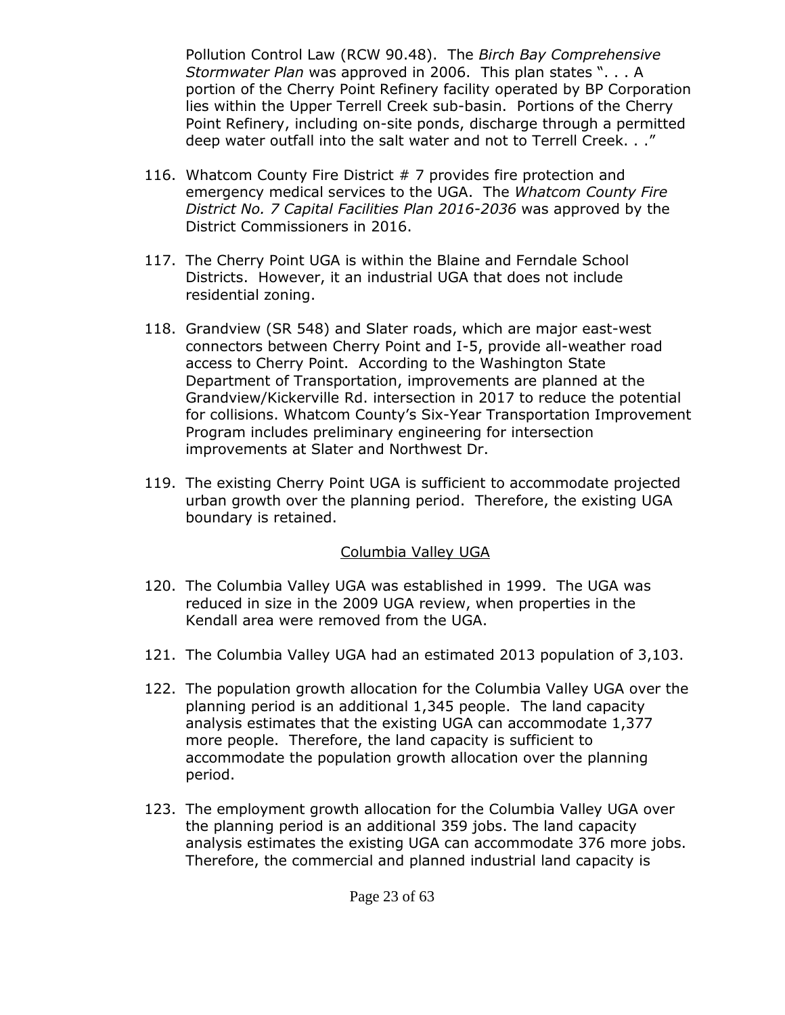Pollution Control Law (RCW 90.48). The *Birch Bay Comprehensive Stormwater Plan* was approved in 2006. This plan states ". . . A portion of the Cherry Point Refinery facility operated by BP Corporation lies within the Upper Terrell Creek sub-basin. Portions of the Cherry Point Refinery, including on-site ponds, discharge through a permitted deep water outfall into the salt water and not to Terrell Creek. . ."

- 116. Whatcom County Fire District # 7 provides fire protection and emergency medical services to the UGA. The *Whatcom County Fire District No. 7 Capital Facilities Plan 2016-2036* was approved by the District Commissioners in 2016.
- 117. The Cherry Point UGA is within the Blaine and Ferndale School Districts. However, it an industrial UGA that does not include residential zoning.
- 118. Grandview (SR 548) and Slater roads, which are major east-west connectors between Cherry Point and I-5, provide all-weather road access to Cherry Point. According to the Washington State Department of Transportation, improvements are planned at the Grandview/Kickerville Rd. intersection in 2017 to reduce the potential for collisions. Whatcom County's Six-Year Transportation Improvement Program includes preliminary engineering for intersection improvements at Slater and Northwest Dr.
- 119. The existing Cherry Point UGA is sufficient to accommodate projected urban growth over the planning period. Therefore, the existing UGA boundary is retained.

#### Columbia Valley UGA

- 120. The Columbia Valley UGA was established in 1999. The UGA was reduced in size in the 2009 UGA review, when properties in the Kendall area were removed from the UGA.
- 121. The Columbia Valley UGA had an estimated 2013 population of 3,103.
- 122. The population growth allocation for the Columbia Valley UGA over the planning period is an additional 1,345 people. The land capacity analysis estimates that the existing UGA can accommodate 1,377 more people. Therefore, the land capacity is sufficient to accommodate the population growth allocation over the planning period.
- 123. The employment growth allocation for the Columbia Valley UGA over the planning period is an additional 359 jobs. The land capacity analysis estimates the existing UGA can accommodate 376 more jobs. Therefore, the commercial and planned industrial land capacity is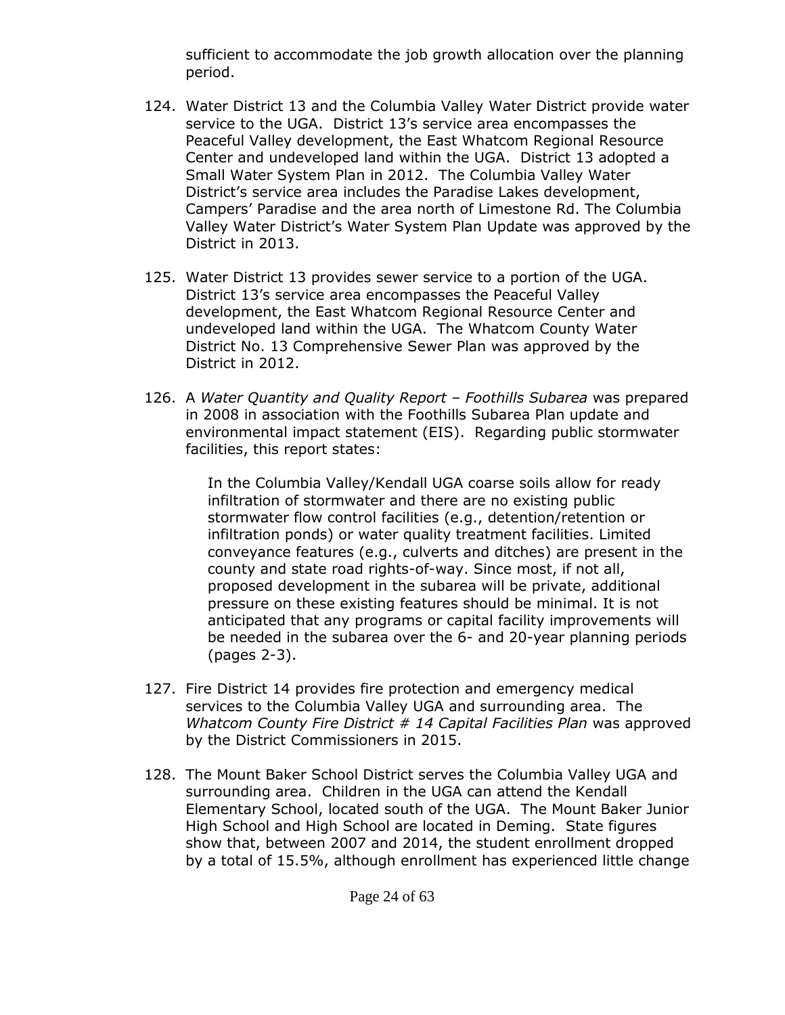sufficient to accommodate the job growth allocation over the planning period.

- 124. Water District 13 and the Columbia Valley Water District provide water service to the UGA. District 13's service area encompasses the Peaceful Valley development, the East Whatcom Regional Resource Center and undeveloped land within the UGA. District 13 adopted a Small Water System Plan in 2012. The Columbia Valley Water District's service area includes the Paradise Lakes development, Campers' Paradise and the area north of Limestone Rd. The Columbia Valley Water District's Water System Plan Update was approved by the District in 2013.
- 125. Water District 13 provides sewer service to a portion of the UGA. District 13's service area encompasses the Peaceful Valley development, the East Whatcom Regional Resource Center and undeveloped land within the UGA. The Whatcom County Water District No. 13 Comprehensive Sewer Plan was approved by the District in 2012.
- 126. A *Water Quantity and Quality Report – Foothills Subarea* was prepared in 2008 in association with the Foothills Subarea Plan update and environmental impact statement (EIS). Regarding public stormwater facilities, this report states:

In the Columbia Valley/Kendall UGA coarse soils allow for ready infiltration of stormwater and there are no existing public stormwater flow control facilities (e.g., detention/retention or infiltration ponds) or water quality treatment facilities. Limited conveyance features (e.g., culverts and ditches) are present in the county and state road rights-of-way. Since most, if not all, proposed development in the subarea will be private, additional pressure on these existing features should be minimal. It is not anticipated that any programs or capital facility improvements will be needed in the subarea over the 6- and 20-year planning periods (pages 2-3).

- 127. Fire District 14 provides fire protection and emergency medical services to the Columbia Valley UGA and surrounding area. The *Whatcom County Fire District # 14 Capital Facilities Plan* was approved by the District Commissioners in 2015.
- 128. The Mount Baker School District serves the Columbia Valley UGA and surrounding area. Children in the UGA can attend the Kendall Elementary School, located south of the UGA. The Mount Baker Junior High School and High School are located in Deming. State figures show that, between 2007 and 2014, the student enrollment dropped by a total of 15.5%, although enrollment has experienced little change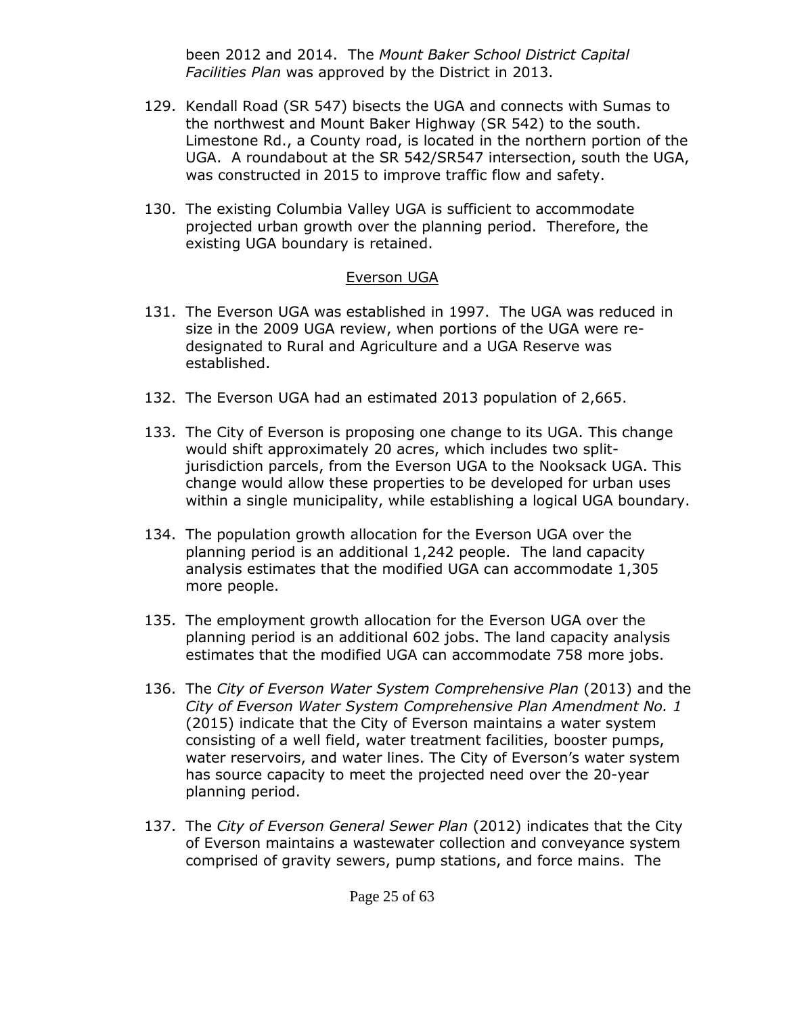been 2012 and 2014. The *Mount Baker School District Capital Facilities Plan* was approved by the District in 2013.

- 129. Kendall Road (SR 547) bisects the UGA and connects with Sumas to the northwest and Mount Baker Highway (SR 542) to the south. Limestone Rd., a County road, is located in the northern portion of the UGA. A roundabout at the SR 542/SR547 intersection, south the UGA, was constructed in 2015 to improve traffic flow and safety.
- 130. The existing Columbia Valley UGA is sufficient to accommodate projected urban growth over the planning period. Therefore, the existing UGA boundary is retained.

#### Everson UGA

- 131. The Everson UGA was established in 1997. The UGA was reduced in size in the 2009 UGA review, when portions of the UGA were redesignated to Rural and Agriculture and a UGA Reserve was established.
- 132. The Everson UGA had an estimated 2013 population of 2,665.
- 133. The City of Everson is proposing one change to its UGA. This change would shift approximately 20 acres, which includes two splitjurisdiction parcels, from the Everson UGA to the Nooksack UGA. This change would allow these properties to be developed for urban uses within a single municipality, while establishing a logical UGA boundary.
- 134. The population growth allocation for the Everson UGA over the planning period is an additional 1,242 people. The land capacity analysis estimates that the modified UGA can accommodate 1,305 more people.
- 135. The employment growth allocation for the Everson UGA over the planning period is an additional 602 jobs. The land capacity analysis estimates that the modified UGA can accommodate 758 more jobs.
- 136. The *City of Everson Water System Comprehensive Plan* (2013) and the *City of Everson Water System Comprehensive Plan Amendment No. 1* (2015) indicate that the City of Everson maintains a water system consisting of a well field, water treatment facilities, booster pumps, water reservoirs, and water lines. The City of Everson's water system has source capacity to meet the projected need over the 20-year planning period.
- 137. The *City of Everson General Sewer Plan* (2012) indicates that the City of Everson maintains a wastewater collection and conveyance system comprised of gravity sewers, pump stations, and force mains. The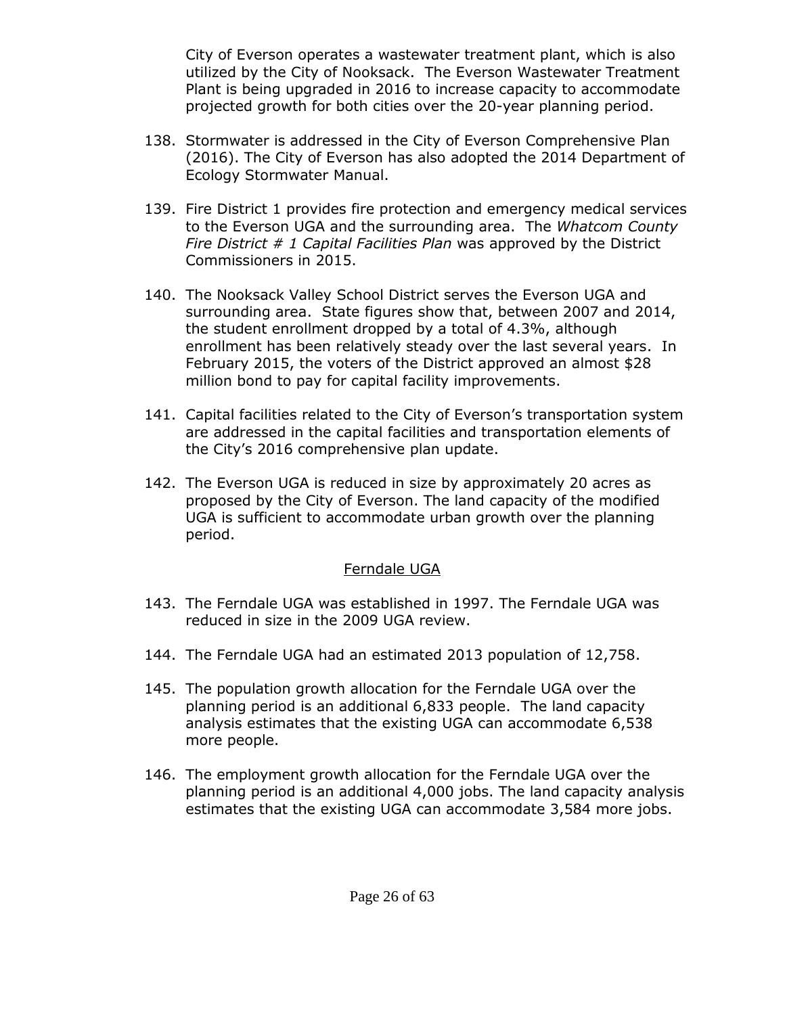City of Everson operates a wastewater treatment plant, which is also utilized by the City of Nooksack. The Everson Wastewater Treatment Plant is being upgraded in 2016 to increase capacity to accommodate projected growth for both cities over the 20-year planning period.

- 138. Stormwater is addressed in the City of Everson Comprehensive Plan (2016). The City of Everson has also adopted the 2014 Department of Ecology Stormwater Manual.
- 139. Fire District 1 provides fire protection and emergency medical services to the Everson UGA and the surrounding area. The *Whatcom County Fire District # 1 Capital Facilities Plan* was approved by the District Commissioners in 2015.
- 140. The Nooksack Valley School District serves the Everson UGA and surrounding area. State figures show that, between 2007 and 2014, the student enrollment dropped by a total of 4.3%, although enrollment has been relatively steady over the last several years. In February 2015, the voters of the District approved an almost \$28 million bond to pay for capital facility improvements.
- 141. Capital facilities related to the City of Everson's transportation system are addressed in the capital facilities and transportation elements of the City's 2016 comprehensive plan update.
- 142. The Everson UGA is reduced in size by approximately 20 acres as proposed by the City of Everson. The land capacity of the modified UGA is sufficient to accommodate urban growth over the planning period.

#### Ferndale UGA

- 143. The Ferndale UGA was established in 1997. The Ferndale UGA was reduced in size in the 2009 UGA review.
- 144. The Ferndale UGA had an estimated 2013 population of 12,758.
- 145. The population growth allocation for the Ferndale UGA over the planning period is an additional 6,833 people. The land capacity analysis estimates that the existing UGA can accommodate 6,538 more people.
- 146. The employment growth allocation for the Ferndale UGA over the planning period is an additional 4,000 jobs. The land capacity analysis estimates that the existing UGA can accommodate 3,584 more jobs.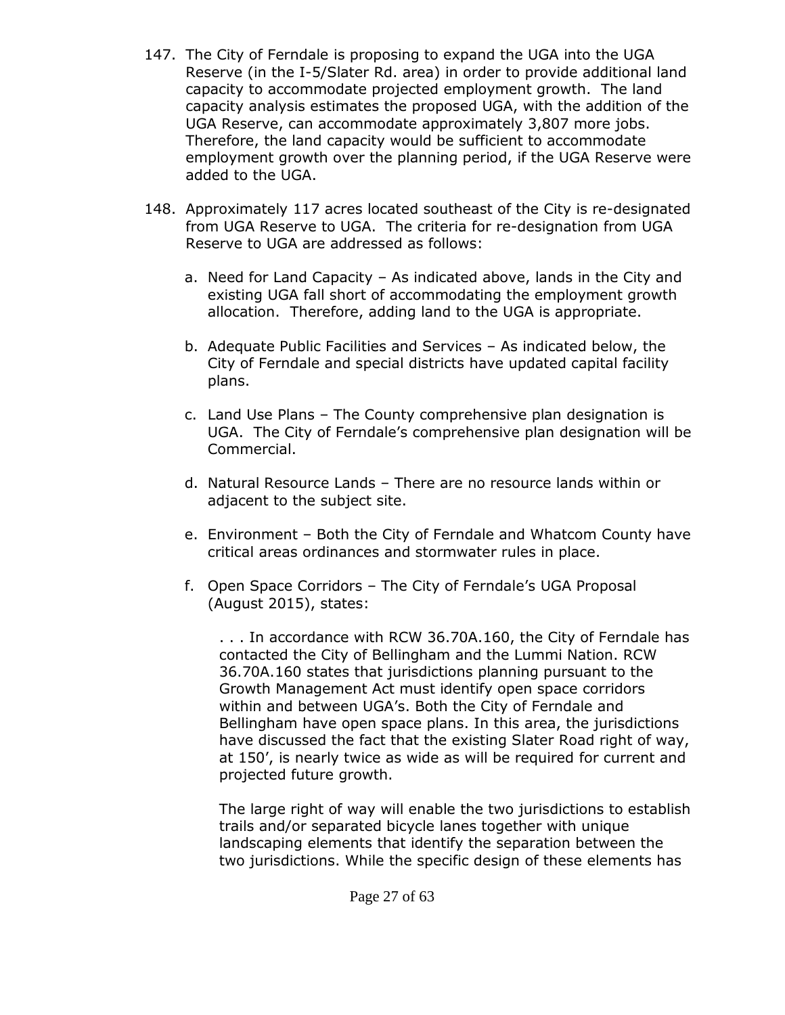- 147. The City of Ferndale is proposing to expand the UGA into the UGA Reserve (in the I-5/Slater Rd. area) in order to provide additional land capacity to accommodate projected employment growth. The land capacity analysis estimates the proposed UGA, with the addition of the UGA Reserve, can accommodate approximately 3,807 more jobs. Therefore, the land capacity would be sufficient to accommodate employment growth over the planning period, if the UGA Reserve were added to the UGA.
- 148. Approximately 117 acres located southeast of the City is re-designated from UGA Reserve to UGA. The criteria for re-designation from UGA Reserve to UGA are addressed as follows:
	- a. Need for Land Capacity As indicated above, lands in the City and existing UGA fall short of accommodating the employment growth allocation. Therefore, adding land to the UGA is appropriate.
	- b. Adequate Public Facilities and Services As indicated below, the City of Ferndale and special districts have updated capital facility plans.
	- c. Land Use Plans The County comprehensive plan designation is UGA. The City of Ferndale's comprehensive plan designation will be Commercial.
	- d. Natural Resource Lands There are no resource lands within or adjacent to the subject site.
	- e. Environment Both the City of Ferndale and Whatcom County have critical areas ordinances and stormwater rules in place.
	- f. Open Space Corridors The City of Ferndale's UGA Proposal (August 2015), states:

. . . In accordance with RCW 36.70A.160, the City of Ferndale has contacted the City of Bellingham and the Lummi Nation. RCW 36.70A.160 states that jurisdictions planning pursuant to the Growth Management Act must identify open space corridors within and between UGA's. Both the City of Ferndale and Bellingham have open space plans. In this area, the jurisdictions have discussed the fact that the existing Slater Road right of way, at 150', is nearly twice as wide as will be required for current and projected future growth.

The large right of way will enable the two jurisdictions to establish trails and/or separated bicycle lanes together with unique landscaping elements that identify the separation between the two jurisdictions. While the specific design of these elements has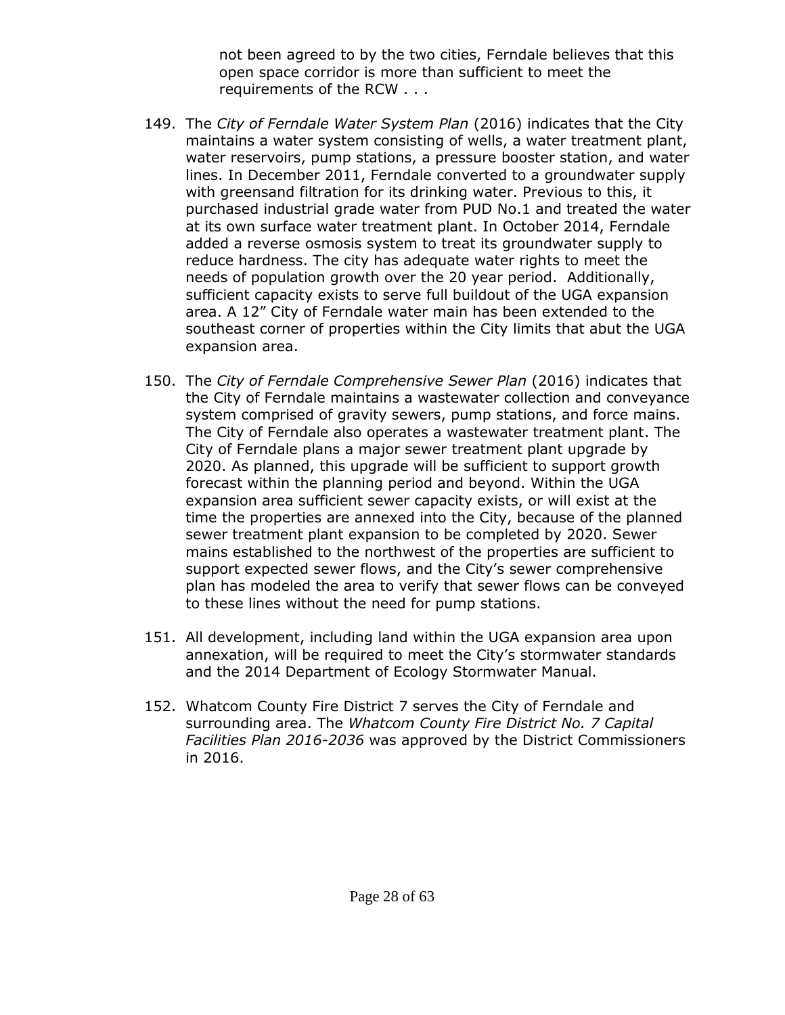not been agreed to by the two cities, Ferndale believes that this open space corridor is more than sufficient to meet the requirements of the RCW . . .

- 149. The *City of Ferndale Water System Plan* (2016) indicates that the City maintains a water system consisting of wells, a water treatment plant, water reservoirs, pump stations, a pressure booster station, and water lines. In December 2011, Ferndale converted to a groundwater supply with greensand filtration for its drinking water. Previous to this, it purchased industrial grade water from PUD No.1 and treated the water at its own surface water treatment plant. In October 2014, Ferndale added a reverse osmosis system to treat its groundwater supply to reduce hardness. The city has adequate water rights to meet the needs of population growth over the 20 year period. Additionally, sufficient capacity exists to serve full buildout of the UGA expansion area. A 12" City of Ferndale water main has been extended to the southeast corner of properties within the City limits that abut the UGA expansion area.
- 150. The *City of Ferndale Comprehensive Sewer Plan* (2016) indicates that the City of Ferndale maintains a wastewater collection and conveyance system comprised of gravity sewers, pump stations, and force mains. The City of Ferndale also operates a wastewater treatment plant. The City of Ferndale plans a major sewer treatment plant upgrade by 2020. As planned, this upgrade will be sufficient to support growth forecast within the planning period and beyond. Within the UGA expansion area sufficient sewer capacity exists, or will exist at the time the properties are annexed into the City, because of the planned sewer treatment plant expansion to be completed by 2020. Sewer mains established to the northwest of the properties are sufficient to support expected sewer flows, and the City's sewer comprehensive plan has modeled the area to verify that sewer flows can be conveyed to these lines without the need for pump stations.
- 151. All development, including land within the UGA expansion area upon annexation, will be required to meet the City's stormwater standards and the 2014 Department of Ecology Stormwater Manual.
- 152. Whatcom County Fire District 7 serves the City of Ferndale and surrounding area. The *Whatcom County Fire District No. 7 Capital Facilities Plan 2016-2036* was approved by the District Commissioners in 2016.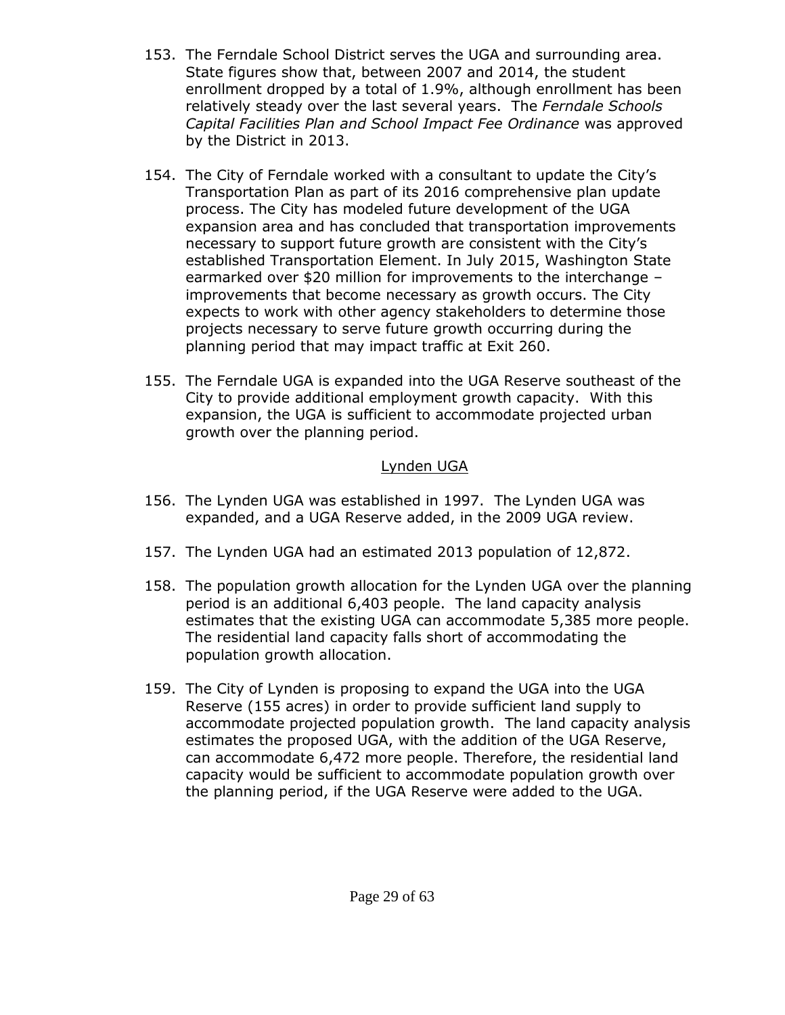- 153. The Ferndale School District serves the UGA and surrounding area. State figures show that, between 2007 and 2014, the student enrollment dropped by a total of 1.9%, although enrollment has been relatively steady over the last several years. The *Ferndale Schools Capital Facilities Plan and School Impact Fee Ordinance* was approved by the District in 2013.
- 154. The City of Ferndale worked with a consultant to update the City's Transportation Plan as part of its 2016 comprehensive plan update process. The City has modeled future development of the UGA expansion area and has concluded that transportation improvements necessary to support future growth are consistent with the City's established Transportation Element. In July 2015, Washington State earmarked over \$20 million for improvements to the interchange – improvements that become necessary as growth occurs. The City expects to work with other agency stakeholders to determine those projects necessary to serve future growth occurring during the planning period that may impact traffic at Exit 260.
- 155. The Ferndale UGA is expanded into the UGA Reserve southeast of the City to provide additional employment growth capacity. With this expansion, the UGA is sufficient to accommodate projected urban growth over the planning period.

### Lynden UGA

- 156. The Lynden UGA was established in 1997. The Lynden UGA was expanded, and a UGA Reserve added, in the 2009 UGA review.
- 157. The Lynden UGA had an estimated 2013 population of 12,872.
- 158. The population growth allocation for the Lynden UGA over the planning period is an additional 6,403 people. The land capacity analysis estimates that the existing UGA can accommodate 5,385 more people. The residential land capacity falls short of accommodating the population growth allocation.
- 159. The City of Lynden is proposing to expand the UGA into the UGA Reserve (155 acres) in order to provide sufficient land supply to accommodate projected population growth. The land capacity analysis estimates the proposed UGA, with the addition of the UGA Reserve, can accommodate 6,472 more people. Therefore, the residential land capacity would be sufficient to accommodate population growth over the planning period, if the UGA Reserve were added to the UGA.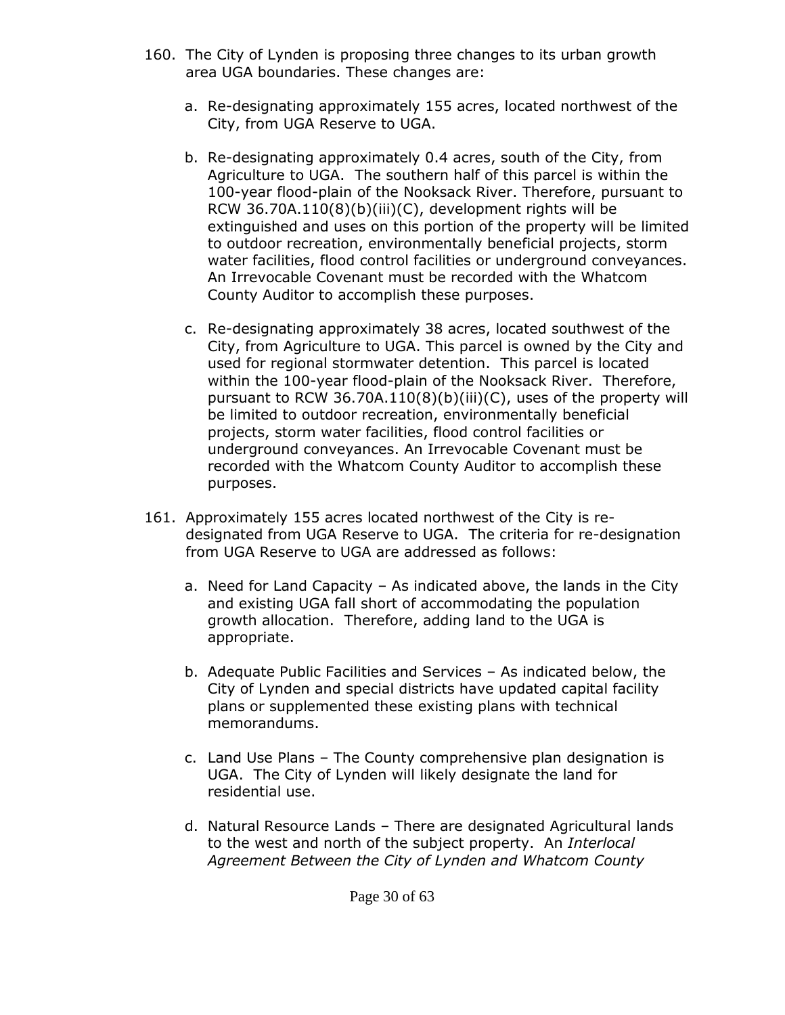- 160. The City of Lynden is proposing three changes to its urban growth area UGA boundaries. These changes are:
	- a. Re-designating approximately 155 acres, located northwest of the City, from UGA Reserve to UGA.
	- b. Re-designating approximately 0.4 acres, south of the City, from Agriculture to UGA. The southern half of this parcel is within the 100-year flood-plain of the Nooksack River. Therefore, pursuant to RCW 36.70A.110(8)(b)(iii)(C), development rights will be extinguished and uses on this portion of the property will be limited to outdoor recreation, environmentally beneficial projects, storm water facilities, flood control facilities or underground conveyances. An Irrevocable Covenant must be recorded with the Whatcom County Auditor to accomplish these purposes.
	- c. Re-designating approximately 38 acres, located southwest of the City, from Agriculture to UGA. This parcel is owned by the City and used for regional stormwater detention. This parcel is located within the 100-year flood-plain of the Nooksack River. Therefore, pursuant to RCW 36.70A.110(8)(b)(iii)(C), uses of the property will be limited to outdoor recreation, environmentally beneficial projects, storm water facilities, flood control facilities or underground conveyances. An Irrevocable Covenant must be recorded with the Whatcom County Auditor to accomplish these purposes.
- 161. Approximately 155 acres located northwest of the City is redesignated from UGA Reserve to UGA. The criteria for re-designation from UGA Reserve to UGA are addressed as follows:
	- a. Need for Land Capacity As indicated above, the lands in the City and existing UGA fall short of accommodating the population growth allocation. Therefore, adding land to the UGA is appropriate.
	- b. Adequate Public Facilities and Services As indicated below, the City of Lynden and special districts have updated capital facility plans or supplemented these existing plans with technical memorandums.
	- c. Land Use Plans The County comprehensive plan designation is UGA. The City of Lynden will likely designate the land for residential use.
	- d. Natural Resource Lands There are designated Agricultural lands to the west and north of the subject property. An *Interlocal Agreement Between the City of Lynden and Whatcom County*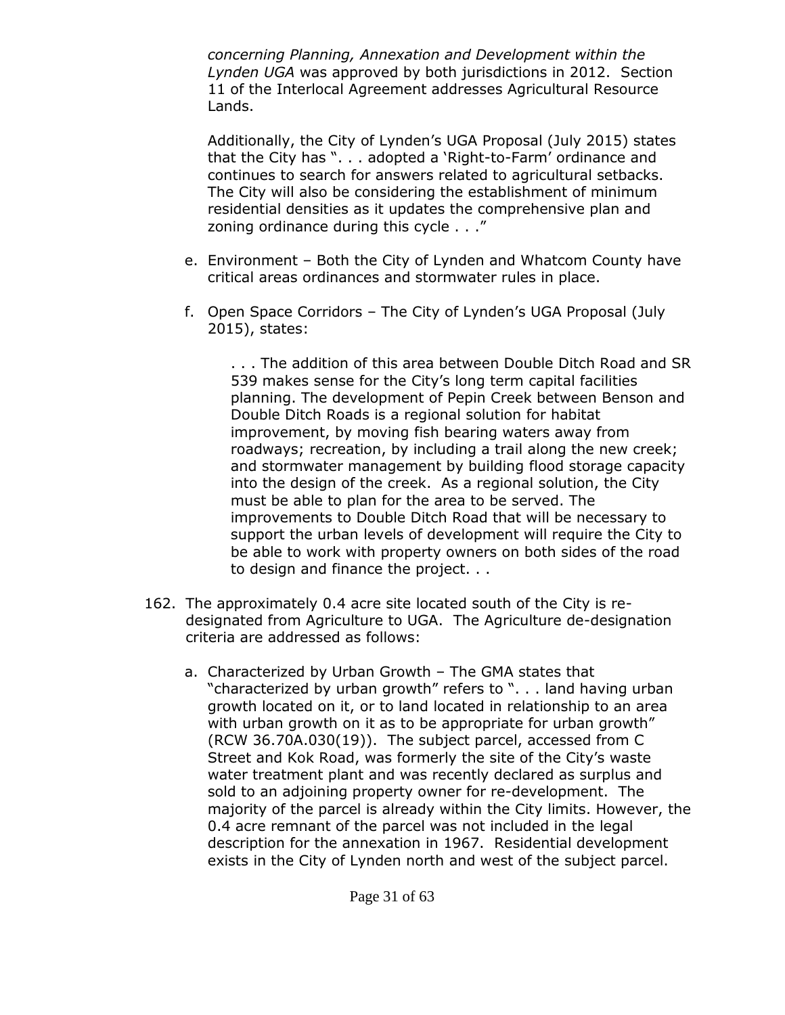*concerning Planning, Annexation and Development within the Lynden UGA* was approved by both jurisdictions in 2012. Section 11 of the Interlocal Agreement addresses Agricultural Resource Lands.

Additionally, the City of Lynden's UGA Proposal (July 2015) states that the City has ". . . adopted a 'Right-to-Farm' ordinance and continues to search for answers related to agricultural setbacks. The City will also be considering the establishment of minimum residential densities as it updates the comprehensive plan and zoning ordinance during this cycle . . ."

- e. Environment Both the City of Lynden and Whatcom County have critical areas ordinances and stormwater rules in place.
- f. Open Space Corridors The City of Lynden's UGA Proposal (July 2015), states:

. . . The addition of this area between Double Ditch Road and SR 539 makes sense for the City's long term capital facilities planning. The development of Pepin Creek between Benson and Double Ditch Roads is a regional solution for habitat improvement, by moving fish bearing waters away from roadways; recreation, by including a trail along the new creek; and stormwater management by building flood storage capacity into the design of the creek. As a regional solution, the City must be able to plan for the area to be served. The improvements to Double Ditch Road that will be necessary to support the urban levels of development will require the City to be able to work with property owners on both sides of the road to design and finance the project. . .

- 162. The approximately 0.4 acre site located south of the City is redesignated from Agriculture to UGA. The Agriculture de-designation criteria are addressed as follows:
	- a. Characterized by Urban Growth The GMA states that "characterized by urban growth" refers to ". . . land having urban growth located on it, or to land located in relationship to an area with urban growth on it as to be appropriate for urban growth" (RCW 36.70A.030(19)). The subject parcel, accessed from C Street and Kok Road, was formerly the site of the City's waste water treatment plant and was recently declared as surplus and sold to an adjoining property owner for re-development. The majority of the parcel is already within the City limits. However, the 0.4 acre remnant of the parcel was not included in the legal description for the annexation in 1967. Residential development exists in the City of Lynden north and west of the subject parcel.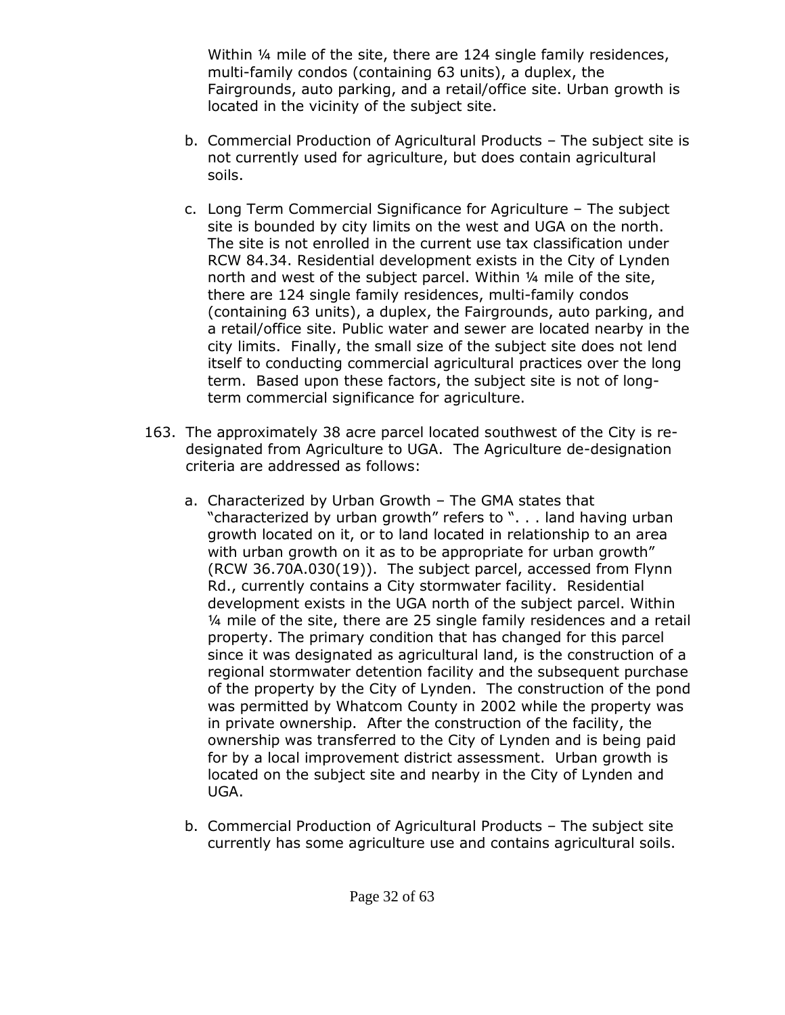Within ¼ mile of the site, there are 124 single family residences, multi-family condos (containing 63 units), a duplex, the Fairgrounds, auto parking, and a retail/office site. Urban growth is located in the vicinity of the subject site.

- b. Commercial Production of Agricultural Products The subject site is not currently used for agriculture, but does contain agricultural soils.
- c. Long Term Commercial Significance for Agriculture The subject site is bounded by city limits on the west and UGA on the north. The site is not enrolled in the current use tax classification under RCW 84.34. Residential development exists in the City of Lynden north and west of the subject parcel. Within ¼ mile of the site, there are 124 single family residences, multi-family condos (containing 63 units), a duplex, the Fairgrounds, auto parking, and a retail/office site. Public water and sewer are located nearby in the city limits. Finally, the small size of the subject site does not lend itself to conducting commercial agricultural practices over the long term. Based upon these factors, the subject site is not of longterm commercial significance for agriculture.
- 163. The approximately 38 acre parcel located southwest of the City is redesignated from Agriculture to UGA. The Agriculture de-designation criteria are addressed as follows:
	- a. Characterized by Urban Growth The GMA states that "characterized by urban growth" refers to ". . . land having urban growth located on it, or to land located in relationship to an area with urban growth on it as to be appropriate for urban growth" (RCW 36.70A.030(19)). The subject parcel, accessed from Flynn Rd., currently contains a City stormwater facility. Residential development exists in the UGA north of the subject parcel. Within ¼ mile of the site, there are 25 single family residences and a retail property. The primary condition that has changed for this parcel since it was designated as agricultural land, is the construction of a regional stormwater detention facility and the subsequent purchase of the property by the City of Lynden. The construction of the pond was permitted by Whatcom County in 2002 while the property was in private ownership. After the construction of the facility, the ownership was transferred to the City of Lynden and is being paid for by a local improvement district assessment. Urban growth is located on the subject site and nearby in the City of Lynden and UGA.
	- b. Commercial Production of Agricultural Products The subject site currently has some agriculture use and contains agricultural soils.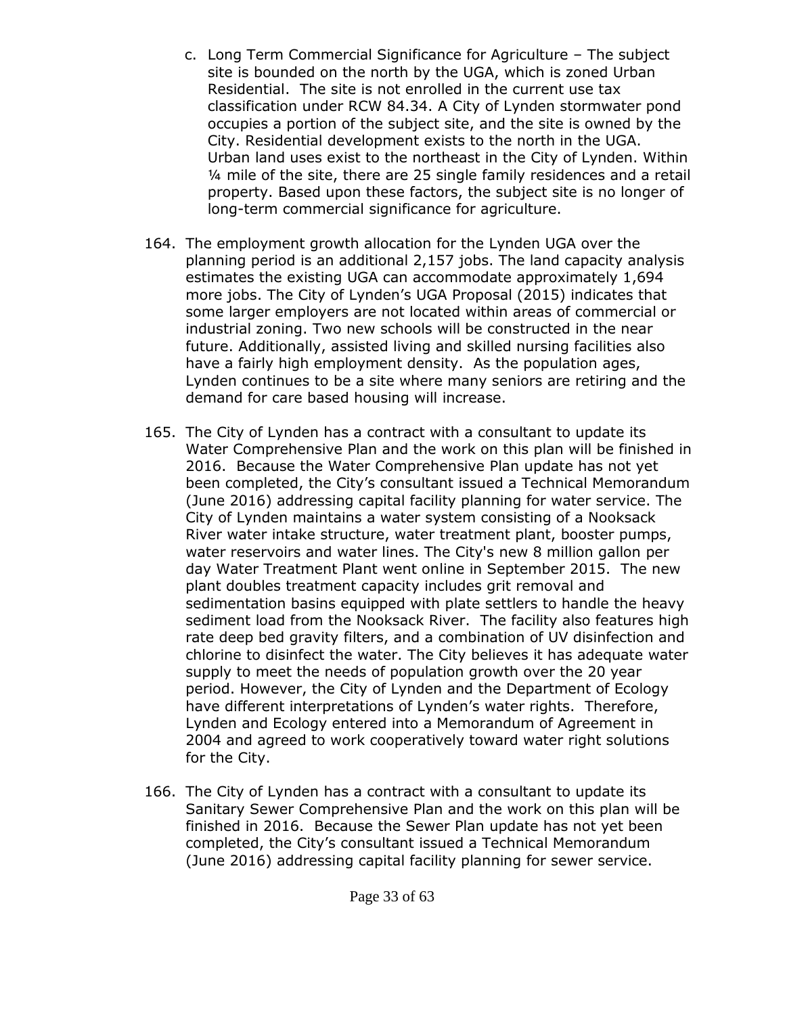- c. Long Term Commercial Significance for Agriculture The subject site is bounded on the north by the UGA, which is zoned Urban Residential. The site is not enrolled in the current use tax classification under RCW 84.34. A City of Lynden stormwater pond occupies a portion of the subject site, and the site is owned by the City. Residential development exists to the north in the UGA. Urban land uses exist to the northeast in the City of Lynden. Within ¼ mile of the site, there are 25 single family residences and a retail property. Based upon these factors, the subject site is no longer of long-term commercial significance for agriculture.
- 164. The employment growth allocation for the Lynden UGA over the planning period is an additional 2,157 jobs. The land capacity analysis estimates the existing UGA can accommodate approximately 1,694 more jobs. The City of Lynden's UGA Proposal (2015) indicates that some larger employers are not located within areas of commercial or industrial zoning. Two new schools will be constructed in the near future. Additionally, assisted living and skilled nursing facilities also have a fairly high employment density. As the population ages, Lynden continues to be a site where many seniors are retiring and the demand for care based housing will increase.
- 165. The City of Lynden has a contract with a consultant to update its Water Comprehensive Plan and the work on this plan will be finished in 2016. Because the Water Comprehensive Plan update has not yet been completed, the City's consultant issued a Technical Memorandum (June 2016) addressing capital facility planning for water service. The City of Lynden maintains a water system consisting of a Nooksack River water intake structure, water treatment plant, booster pumps, water reservoirs and water lines. The City's new 8 million gallon per day Water Treatment Plant went online in September 2015. The new plant doubles treatment capacity includes grit removal and sedimentation basins equipped with plate settlers to handle the heavy sediment load from the Nooksack River. The facility also features high rate deep bed gravity filters, and a combination of UV disinfection and chlorine to disinfect the water. The City believes it has adequate water supply to meet the needs of population growth over the 20 year period. However, the City of Lynden and the Department of Ecology have different interpretations of Lynden's water rights. Therefore, Lynden and Ecology entered into a Memorandum of Agreement in 2004 and agreed to work cooperatively toward water right solutions for the City.
- 166. The City of Lynden has a contract with a consultant to update its Sanitary Sewer Comprehensive Plan and the work on this plan will be finished in 2016. Because the Sewer Plan update has not yet been completed, the City's consultant issued a Technical Memorandum (June 2016) addressing capital facility planning for sewer service.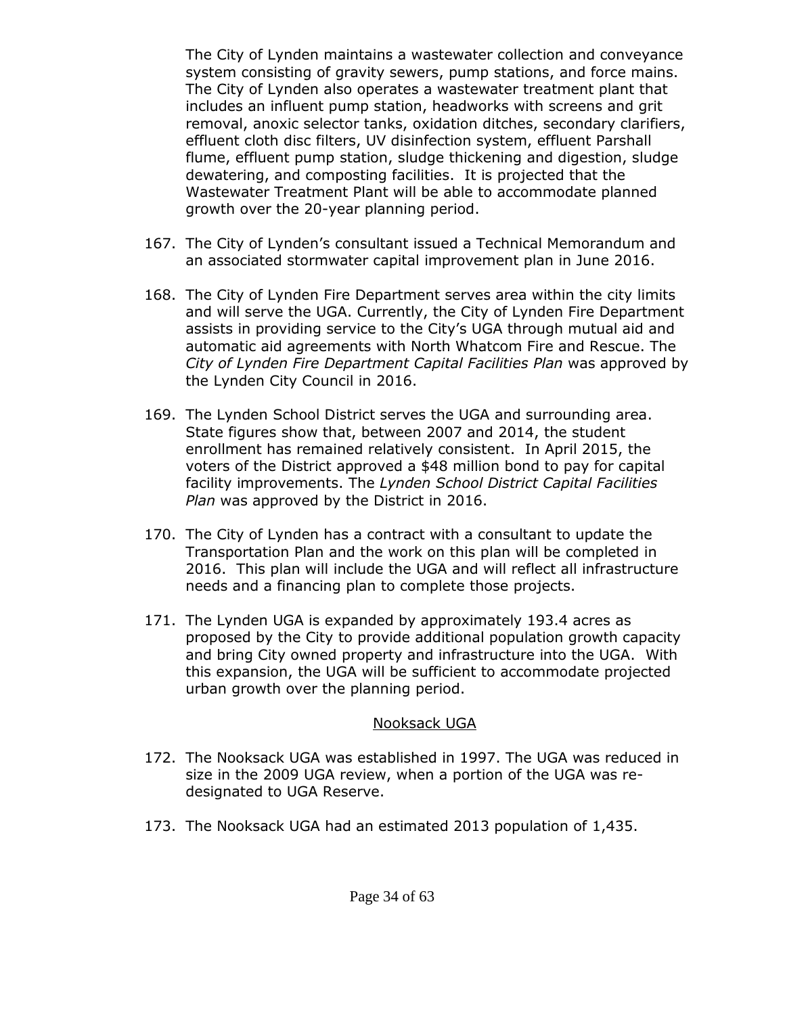The City of Lynden maintains a wastewater collection and conveyance system consisting of gravity sewers, pump stations, and force mains. The City of Lynden also operates a wastewater treatment plant that includes an influent pump station, headworks with screens and grit removal, anoxic selector tanks, oxidation ditches, secondary clarifiers, effluent cloth disc filters, UV disinfection system, effluent Parshall flume, effluent pump station, sludge thickening and digestion, sludge dewatering, and composting facilities. It is projected that the Wastewater Treatment Plant will be able to accommodate planned growth over the 20-year planning period.

- 167. The City of Lynden's consultant issued a Technical Memorandum and an associated stormwater capital improvement plan in June 2016.
- 168. The City of Lynden Fire Department serves area within the city limits and will serve the UGA. Currently, the City of Lynden Fire Department assists in providing service to the City's UGA through mutual aid and automatic aid agreements with North Whatcom Fire and Rescue. The *City of Lynden Fire Department Capital Facilities Plan* was approved by the Lynden City Council in 2016.
- 169. The Lynden School District serves the UGA and surrounding area. State figures show that, between 2007 and 2014, the student enrollment has remained relatively consistent. In April 2015, the voters of the District approved a \$48 million bond to pay for capital facility improvements. The *Lynden School District Capital Facilities Plan* was approved by the District in 2016.
- 170. The City of Lynden has a contract with a consultant to update the Transportation Plan and the work on this plan will be completed in 2016. This plan will include the UGA and will reflect all infrastructure needs and a financing plan to complete those projects.
- 171. The Lynden UGA is expanded by approximately 193.4 acres as proposed by the City to provide additional population growth capacity and bring City owned property and infrastructure into the UGA. With this expansion, the UGA will be sufficient to accommodate projected urban growth over the planning period.

#### Nooksack UGA

- 172. The Nooksack UGA was established in 1997. The UGA was reduced in size in the 2009 UGA review, when a portion of the UGA was redesignated to UGA Reserve.
- 173. The Nooksack UGA had an estimated 2013 population of 1,435.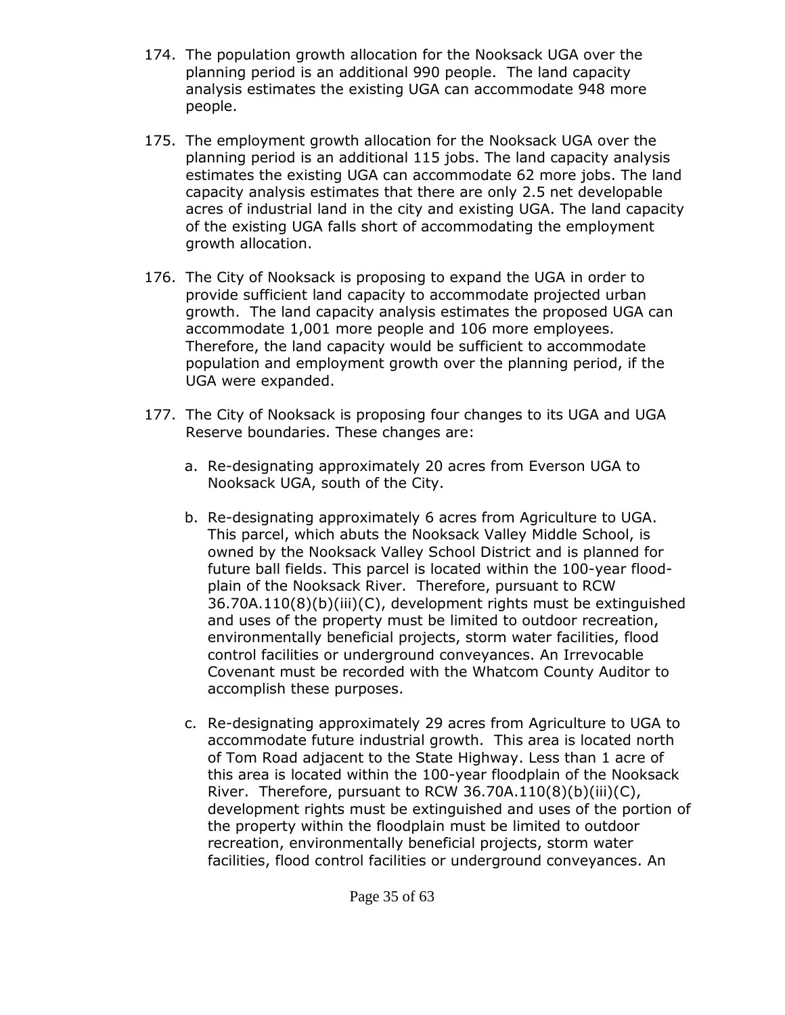- 174. The population growth allocation for the Nooksack UGA over the planning period is an additional 990 people. The land capacity analysis estimates the existing UGA can accommodate 948 more people.
- 175. The employment growth allocation for the Nooksack UGA over the planning period is an additional 115 jobs. The land capacity analysis estimates the existing UGA can accommodate 62 more jobs. The land capacity analysis estimates that there are only 2.5 net developable acres of industrial land in the city and existing UGA. The land capacity of the existing UGA falls short of accommodating the employment growth allocation.
- 176. The City of Nooksack is proposing to expand the UGA in order to provide sufficient land capacity to accommodate projected urban growth. The land capacity analysis estimates the proposed UGA can accommodate 1,001 more people and 106 more employees. Therefore, the land capacity would be sufficient to accommodate population and employment growth over the planning period, if the UGA were expanded.
- 177. The City of Nooksack is proposing four changes to its UGA and UGA Reserve boundaries. These changes are:
	- a. Re-designating approximately 20 acres from Everson UGA to Nooksack UGA, south of the City.
	- b. Re-designating approximately 6 acres from Agriculture to UGA. This parcel, which abuts the Nooksack Valley Middle School, is owned by the Nooksack Valley School District and is planned for future ball fields. This parcel is located within the 100-year floodplain of the Nooksack River. Therefore, pursuant to RCW 36.70A.110(8)(b)(iii)(C), development rights must be extinguished and uses of the property must be limited to outdoor recreation, environmentally beneficial projects, storm water facilities, flood control facilities or underground conveyances. An Irrevocable Covenant must be recorded with the Whatcom County Auditor to accomplish these purposes.
	- c. Re-designating approximately 29 acres from Agriculture to UGA to accommodate future industrial growth. This area is located north of Tom Road adjacent to the State Highway. Less than 1 acre of this area is located within the 100-year floodplain of the Nooksack River. Therefore, pursuant to RCW 36.70A.110 $(8)(b)(iii)(C)$ , development rights must be extinguished and uses of the portion of the property within the floodplain must be limited to outdoor recreation, environmentally beneficial projects, storm water facilities, flood control facilities or underground conveyances. An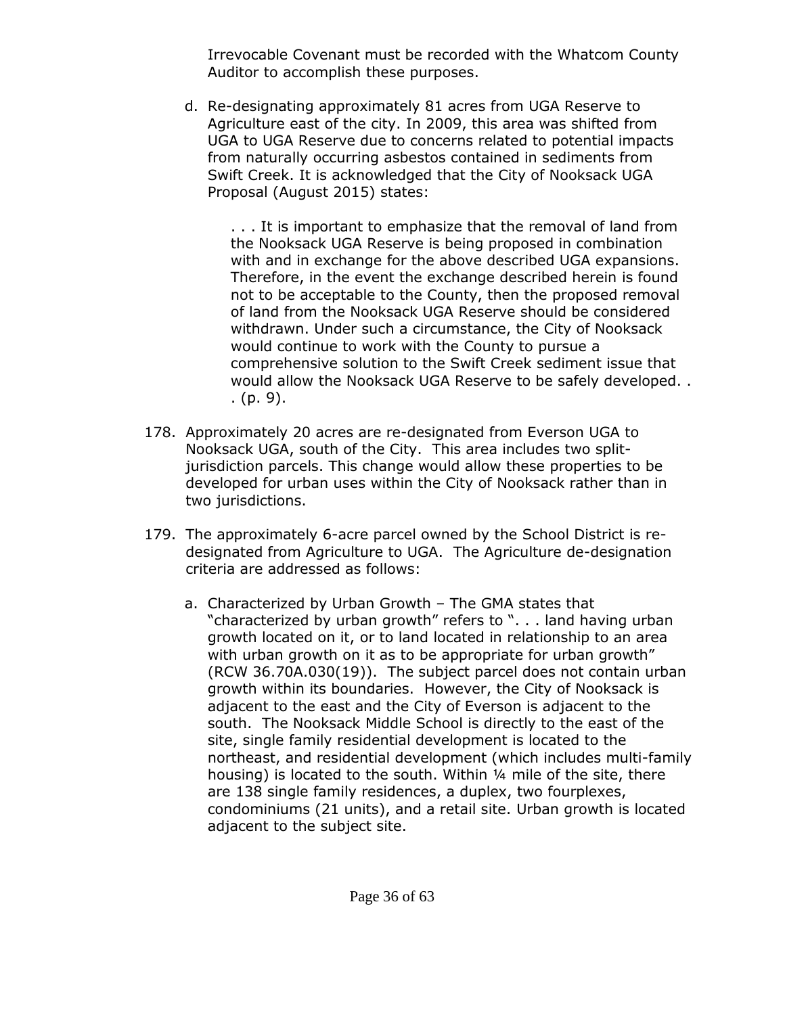Irrevocable Covenant must be recorded with the Whatcom County Auditor to accomplish these purposes.

d. Re-designating approximately 81 acres from UGA Reserve to Agriculture east of the city. In 2009, this area was shifted from UGA to UGA Reserve due to concerns related to potential impacts from naturally occurring asbestos contained in sediments from Swift Creek. It is acknowledged that the City of Nooksack UGA Proposal (August 2015) states:

. . . It is important to emphasize that the removal of land from the Nooksack UGA Reserve is being proposed in combination with and in exchange for the above described UGA expansions. Therefore, in the event the exchange described herein is found not to be acceptable to the County, then the proposed removal of land from the Nooksack UGA Reserve should be considered withdrawn. Under such a circumstance, the City of Nooksack would continue to work with the County to pursue a comprehensive solution to the Swift Creek sediment issue that would allow the Nooksack UGA Reserve to be safely developed. . . (p. 9).

- 178. Approximately 20 acres are re-designated from Everson UGA to Nooksack UGA, south of the City. This area includes two splitjurisdiction parcels. This change would allow these properties to be developed for urban uses within the City of Nooksack rather than in two jurisdictions.
- 179. The approximately 6-acre parcel owned by the School District is redesignated from Agriculture to UGA. The Agriculture de-designation criteria are addressed as follows:
	- a. Characterized by Urban Growth The GMA states that "characterized by urban growth" refers to ". . . land having urban growth located on it, or to land located in relationship to an area with urban growth on it as to be appropriate for urban growth" (RCW 36.70A.030(19)). The subject parcel does not contain urban growth within its boundaries. However, the City of Nooksack is adjacent to the east and the City of Everson is adjacent to the south. The Nooksack Middle School is directly to the east of the site, single family residential development is located to the northeast, and residential development (which includes multi-family housing) is located to the south. Within 1/4 mile of the site, there are 138 single family residences, a duplex, two fourplexes, condominiums (21 units), and a retail site. Urban growth is located adjacent to the subject site.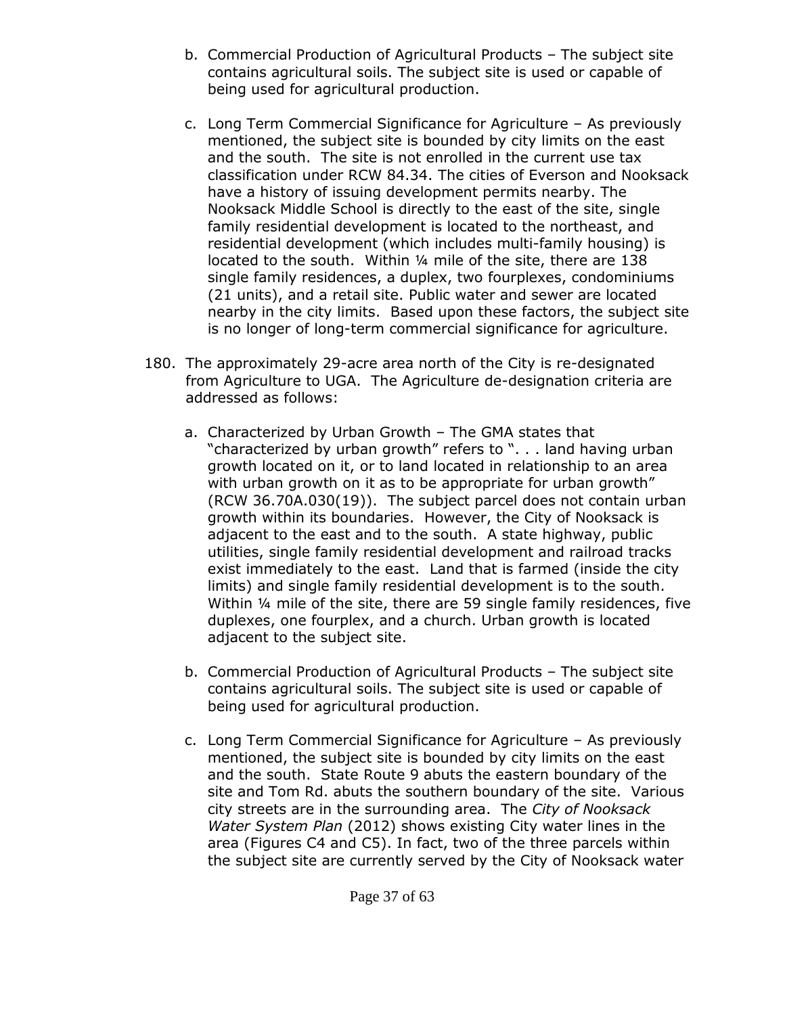- b. Commercial Production of Agricultural Products The subject site contains agricultural soils. The subject site is used or capable of being used for agricultural production.
- c. Long Term Commercial Significance for Agriculture As previously mentioned, the subject site is bounded by city limits on the east and the south. The site is not enrolled in the current use tax classification under RCW 84.34. The cities of Everson and Nooksack have a history of issuing development permits nearby. The Nooksack Middle School is directly to the east of the site, single family residential development is located to the northeast, and residential development (which includes multi-family housing) is located to the south. Within ¼ mile of the site, there are 138 single family residences, a duplex, two fourplexes, condominiums (21 units), and a retail site. Public water and sewer are located nearby in the city limits. Based upon these factors, the subject site is no longer of long-term commercial significance for agriculture.
- 180. The approximately 29-acre area north of the City is re-designated from Agriculture to UGA. The Agriculture de-designation criteria are addressed as follows:
	- a. Characterized by Urban Growth The GMA states that "characterized by urban growth" refers to ". . . land having urban growth located on it, or to land located in relationship to an area with urban growth on it as to be appropriate for urban growth" (RCW 36.70A.030(19)). The subject parcel does not contain urban growth within its boundaries. However, the City of Nooksack is adjacent to the east and to the south. A state highway, public utilities, single family residential development and railroad tracks exist immediately to the east. Land that is farmed (inside the city limits) and single family residential development is to the south. Within ¼ mile of the site, there are 59 single family residences, five duplexes, one fourplex, and a church. Urban growth is located adjacent to the subject site.
	- b. Commercial Production of Agricultural Products The subject site contains agricultural soils. The subject site is used or capable of being used for agricultural production.
	- c. Long Term Commercial Significance for Agriculture As previously mentioned, the subject site is bounded by city limits on the east and the south. State Route 9 abuts the eastern boundary of the site and Tom Rd. abuts the southern boundary of the site. Various city streets are in the surrounding area. The *City of Nooksack Water System Plan* (2012) shows existing City water lines in the area (Figures C4 and C5). In fact, two of the three parcels within the subject site are currently served by the City of Nooksack water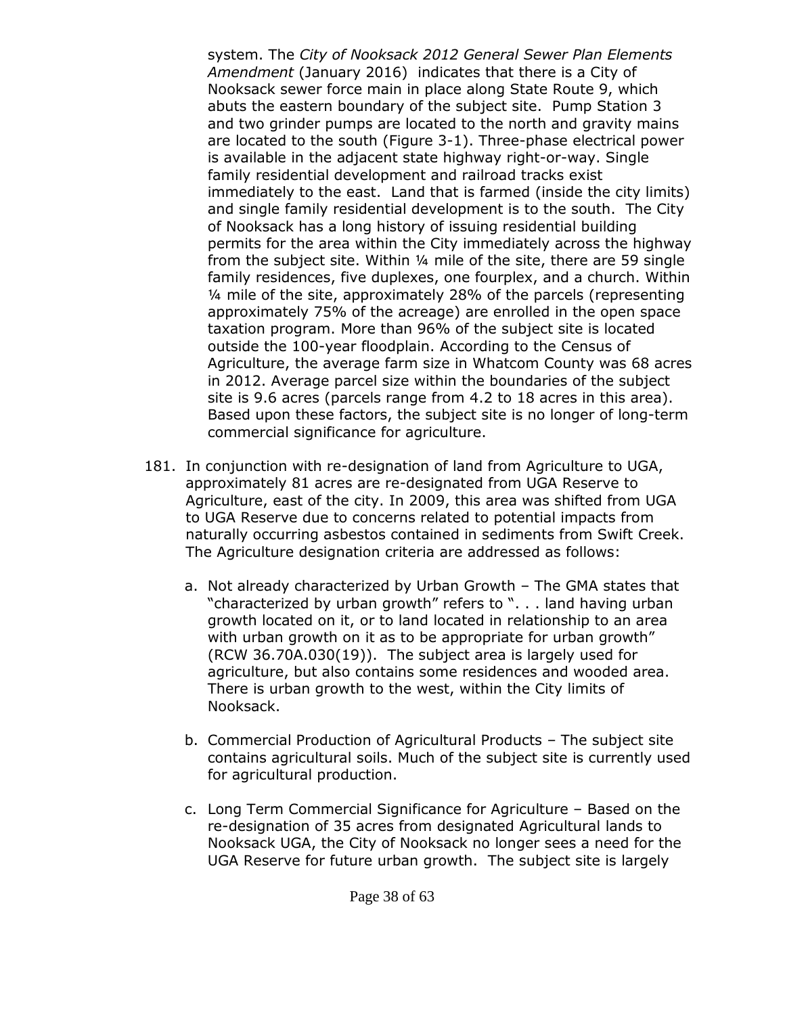system. The *City of Nooksack 2012 General Sewer Plan Elements Amendment* (January 2016) indicates that there is a City of Nooksack sewer force main in place along State Route 9, which abuts the eastern boundary of the subject site. Pump Station 3 and two grinder pumps are located to the north and gravity mains are located to the south (Figure 3-1). Three-phase electrical power is available in the adjacent state highway right-or-way. Single family residential development and railroad tracks exist immediately to the east. Land that is farmed (inside the city limits) and single family residential development is to the south. The City of Nooksack has a long history of issuing residential building permits for the area within the City immediately across the highway from the subject site. Within ¼ mile of the site, there are 59 single family residences, five duplexes, one fourplex, and a church. Within ¼ mile of the site, approximately 28% of the parcels (representing approximately 75% of the acreage) are enrolled in the open space taxation program. More than 96% of the subject site is located outside the 100-year floodplain. According to the Census of Agriculture, the average farm size in Whatcom County was 68 acres in 2012. Average parcel size within the boundaries of the subject site is 9.6 acres (parcels range from 4.2 to 18 acres in this area). Based upon these factors, the subject site is no longer of long-term commercial significance for agriculture.

- 181. In conjunction with re-designation of land from Agriculture to UGA, approximately 81 acres are re-designated from UGA Reserve to Agriculture, east of the city. In 2009, this area was shifted from UGA to UGA Reserve due to concerns related to potential impacts from naturally occurring asbestos contained in sediments from Swift Creek. The Agriculture designation criteria are addressed as follows:
	- a. Not already characterized by Urban Growth The GMA states that "characterized by urban growth" refers to ". . . land having urban growth located on it, or to land located in relationship to an area with urban growth on it as to be appropriate for urban growth" (RCW 36.70A.030(19)). The subject area is largely used for agriculture, but also contains some residences and wooded area. There is urban growth to the west, within the City limits of Nooksack.
	- b. Commercial Production of Agricultural Products The subject site contains agricultural soils. Much of the subject site is currently used for agricultural production.
	- c. Long Term Commercial Significance for Agriculture Based on the re-designation of 35 acres from designated Agricultural lands to Nooksack UGA, the City of Nooksack no longer sees a need for the UGA Reserve for future urban growth. The subject site is largely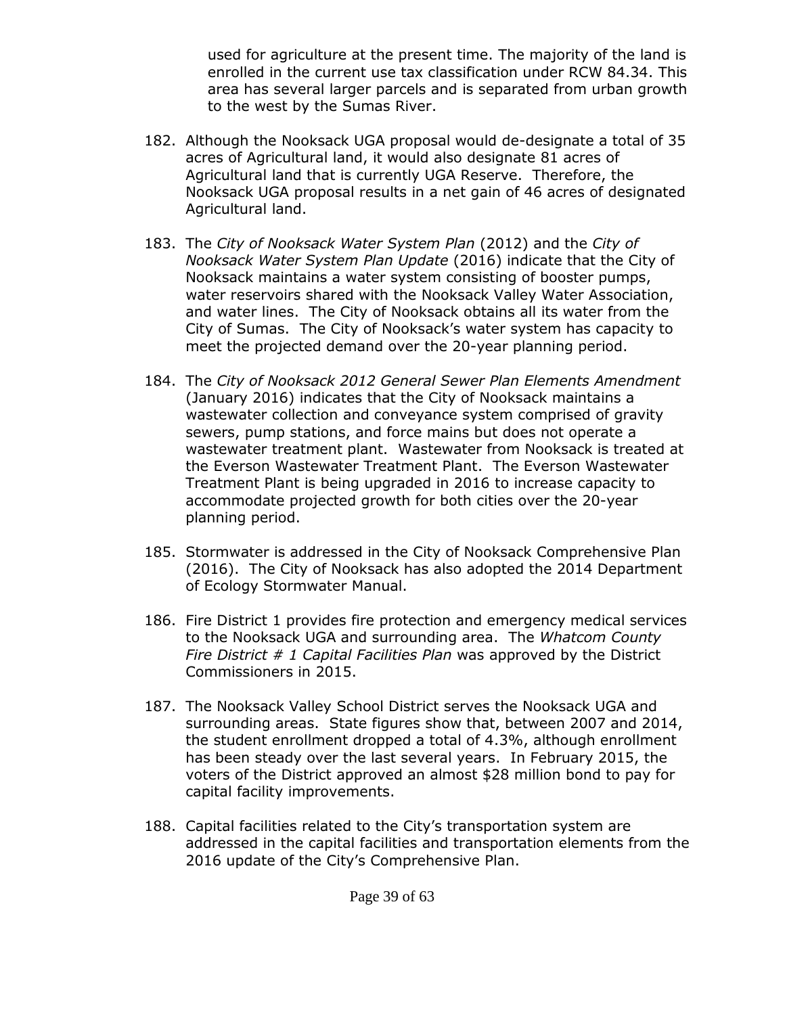used for agriculture at the present time. The majority of the land is enrolled in the current use tax classification under RCW 84.34. This area has several larger parcels and is separated from urban growth to the west by the Sumas River.

- 182. Although the Nooksack UGA proposal would de-designate a total of 35 acres of Agricultural land, it would also designate 81 acres of Agricultural land that is currently UGA Reserve. Therefore, the Nooksack UGA proposal results in a net gain of 46 acres of designated Agricultural land.
- 183. The *City of Nooksack Water System Plan* (2012) and the *City of Nooksack Water System Plan Update* (2016) indicate that the City of Nooksack maintains a water system consisting of booster pumps, water reservoirs shared with the Nooksack Valley Water Association, and water lines. The City of Nooksack obtains all its water from the City of Sumas. The City of Nooksack's water system has capacity to meet the projected demand over the 20-year planning period.
- 184. The *City of Nooksack 2012 General Sewer Plan Elements Amendment* (January 2016) indicates that the City of Nooksack maintains a wastewater collection and conveyance system comprised of gravity sewers, pump stations, and force mains but does not operate a wastewater treatment plant. Wastewater from Nooksack is treated at the Everson Wastewater Treatment Plant. The Everson Wastewater Treatment Plant is being upgraded in 2016 to increase capacity to accommodate projected growth for both cities over the 20-year planning period.
- 185. Stormwater is addressed in the City of Nooksack Comprehensive Plan (2016). The City of Nooksack has also adopted the 2014 Department of Ecology Stormwater Manual.
- 186. Fire District 1 provides fire protection and emergency medical services to the Nooksack UGA and surrounding area. The *Whatcom County Fire District # 1 Capital Facilities Plan* was approved by the District Commissioners in 2015.
- 187. The Nooksack Valley School District serves the Nooksack UGA and surrounding areas. State figures show that, between 2007 and 2014, the student enrollment dropped a total of 4.3%, although enrollment has been steady over the last several years. In February 2015, the voters of the District approved an almost \$28 million bond to pay for capital facility improvements.
- 188. Capital facilities related to the City's transportation system are addressed in the capital facilities and transportation elements from the 2016 update of the City's Comprehensive Plan.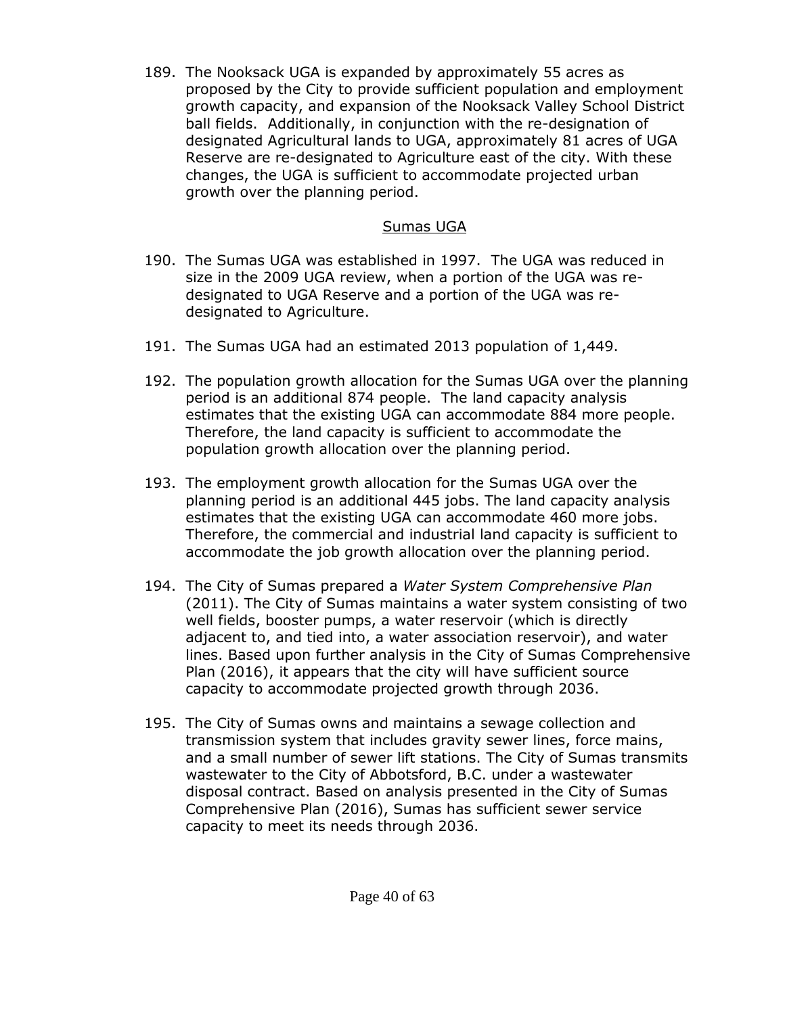189. The Nooksack UGA is expanded by approximately 55 acres as proposed by the City to provide sufficient population and employment growth capacity, and expansion of the Nooksack Valley School District ball fields. Additionally, in conjunction with the re-designation of designated Agricultural lands to UGA, approximately 81 acres of UGA Reserve are re-designated to Agriculture east of the city. With these changes, the UGA is sufficient to accommodate projected urban growth over the planning period.

#### Sumas UGA

- 190. The Sumas UGA was established in 1997. The UGA was reduced in size in the 2009 UGA review, when a portion of the UGA was redesignated to UGA Reserve and a portion of the UGA was redesignated to Agriculture.
- 191. The Sumas UGA had an estimated 2013 population of 1,449.
- 192. The population growth allocation for the Sumas UGA over the planning period is an additional 874 people. The land capacity analysis estimates that the existing UGA can accommodate 884 more people. Therefore, the land capacity is sufficient to accommodate the population growth allocation over the planning period.
- 193. The employment growth allocation for the Sumas UGA over the planning period is an additional 445 jobs. The land capacity analysis estimates that the existing UGA can accommodate 460 more jobs. Therefore, the commercial and industrial land capacity is sufficient to accommodate the job growth allocation over the planning period.
- 194. The City of Sumas prepared a *Water System Comprehensive Plan* (2011). The City of Sumas maintains a water system consisting of two well fields, booster pumps, a water reservoir (which is directly adjacent to, and tied into, a water association reservoir), and water lines. Based upon further analysis in the City of Sumas Comprehensive Plan (2016), it appears that the city will have sufficient source capacity to accommodate projected growth through 2036.
- 195. The City of Sumas owns and maintains a sewage collection and transmission system that includes gravity sewer lines, force mains, and a small number of sewer lift stations. The City of Sumas transmits wastewater to the City of Abbotsford, B.C. under a wastewater disposal contract. Based on analysis presented in the City of Sumas Comprehensive Plan (2016), Sumas has sufficient sewer service capacity to meet its needs through 2036.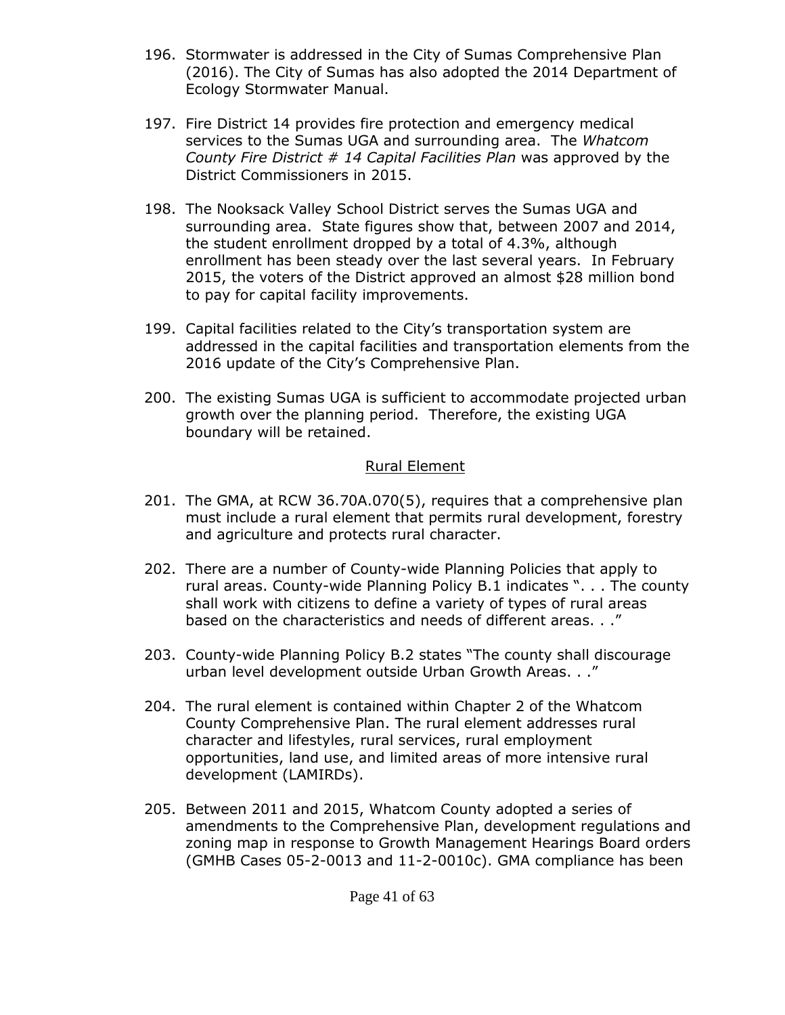- 196. Stormwater is addressed in the City of Sumas Comprehensive Plan (2016). The City of Sumas has also adopted the 2014 Department of Ecology Stormwater Manual.
- 197. Fire District 14 provides fire protection and emergency medical services to the Sumas UGA and surrounding area. The *Whatcom County Fire District # 14 Capital Facilities Plan* was approved by the District Commissioners in 2015.
- 198. The Nooksack Valley School District serves the Sumas UGA and surrounding area. State figures show that, between 2007 and 2014, the student enrollment dropped by a total of 4.3%, although enrollment has been steady over the last several years. In February 2015, the voters of the District approved an almost \$28 million bond to pay for capital facility improvements.
- 199. Capital facilities related to the City's transportation system are addressed in the capital facilities and transportation elements from the 2016 update of the City's Comprehensive Plan.
- 200. The existing Sumas UGA is sufficient to accommodate projected urban growth over the planning period. Therefore, the existing UGA boundary will be retained.

#### Rural Element

- 201. The GMA, at RCW 36.70A.070(5), requires that a comprehensive plan must include a rural element that permits rural development, forestry and agriculture and protects rural character.
- 202. There are a number of County-wide Planning Policies that apply to rural areas. County-wide Planning Policy B.1 indicates ". . . The county shall work with citizens to define a variety of types of rural areas based on the characteristics and needs of different areas. . ."
- 203. County-wide Planning Policy B.2 states "The county shall discourage urban level development outside Urban Growth Areas. . ."
- 204. The rural element is contained within Chapter 2 of the Whatcom County Comprehensive Plan. The rural element addresses rural character and lifestyles, rural services, rural employment opportunities, land use, and limited areas of more intensive rural development (LAMIRDs).
- 205. Between 2011 and 2015, Whatcom County adopted a series of amendments to the Comprehensive Plan, development regulations and zoning map in response to Growth Management Hearings Board orders (GMHB Cases 05-2-0013 and 11-2-0010c). GMA compliance has been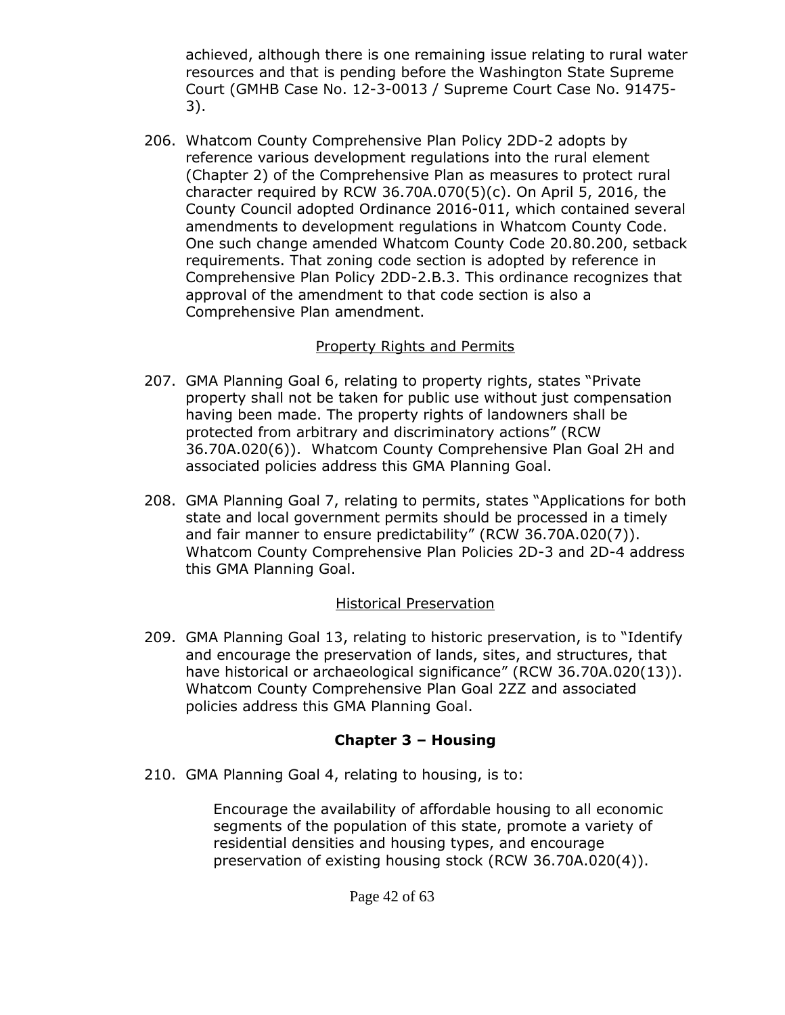achieved, although there is one remaining issue relating to rural water resources and that is pending before the Washington State Supreme Court (GMHB Case No. 12-3-0013 / Supreme Court Case No. 91475- 3).

206. Whatcom County Comprehensive Plan Policy 2DD-2 adopts by reference various development regulations into the rural element (Chapter 2) of the Comprehensive Plan as measures to protect rural character required by RCW 36.70A.070(5)(c). On April 5, 2016, the County Council adopted Ordinance 2016-011, which contained several amendments to development regulations in Whatcom County Code. One such change amended Whatcom County Code 20.80.200, setback requirements. That zoning code section is adopted by reference in Comprehensive Plan Policy 2DD-2.B.3. This ordinance recognizes that approval of the amendment to that code section is also a Comprehensive Plan amendment.

#### Property Rights and Permits

- 207. GMA Planning Goal 6, relating to property rights, states "Private property shall not be taken for public use without just compensation having been made. The property rights of landowners shall be protected from arbitrary and discriminatory actions" (RCW 36.70A.020(6)). Whatcom County Comprehensive Plan Goal 2H and associated policies address this GMA Planning Goal.
- 208. GMA Planning Goal 7, relating to permits, states "Applications for both state and local government permits should be processed in a timely and fair manner to ensure predictability" (RCW 36.70A.020(7)). Whatcom County Comprehensive Plan Policies 2D-3 and 2D-4 address this GMA Planning Goal.

### Historical Preservation

209. GMA Planning Goal 13, relating to historic preservation, is to "Identify and encourage the preservation of lands, sites, and structures, that have historical or archaeological significance" (RCW 36.70A.020(13)). Whatcom County Comprehensive Plan Goal 2ZZ and associated policies address this GMA Planning Goal.

### **Chapter 3 – Housing**

210. GMA Planning Goal 4, relating to housing, is to:

Encourage the availability of affordable housing to all economic segments of the population of this state, promote a variety of residential densities and housing types, and encourage preservation of existing housing stock (RCW 36.70A.020(4)).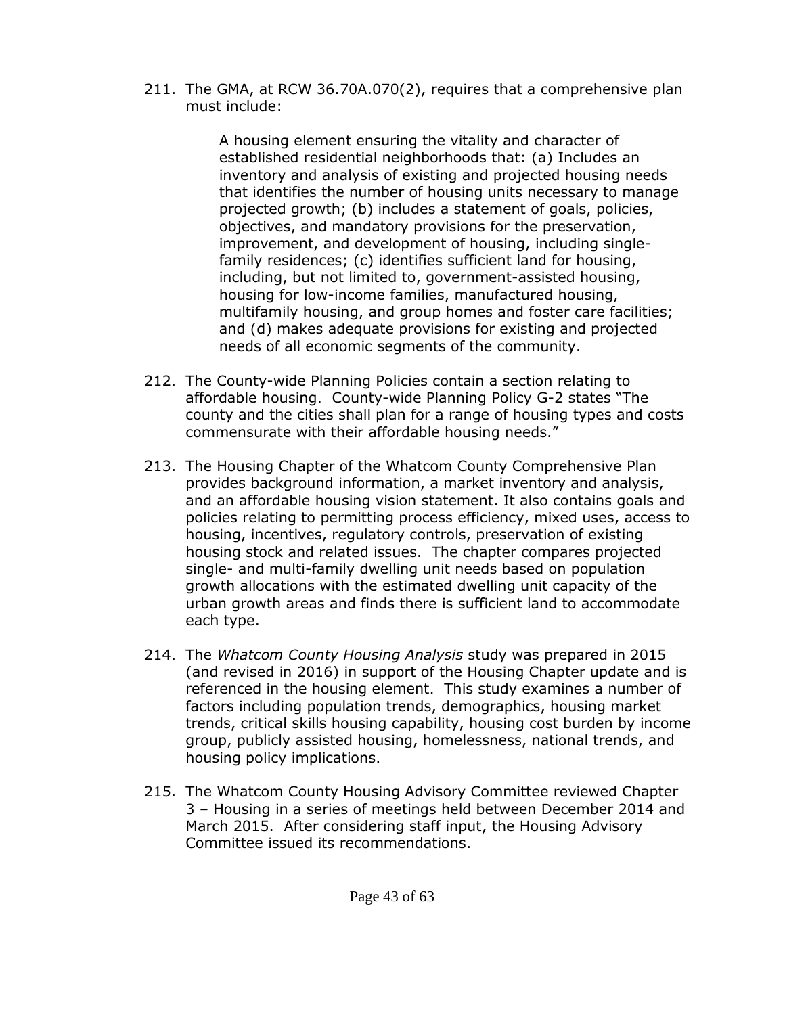211. The GMA, at RCW 36.70A.070(2), requires that a comprehensive plan must include:

> A housing element ensuring the vitality and character of established residential neighborhoods that: (a) Includes an inventory and analysis of existing and projected housing needs that identifies the number of housing units necessary to manage projected growth; (b) includes a statement of goals, policies, objectives, and mandatory provisions for the preservation, improvement, and development of housing, including singlefamily residences; (c) identifies sufficient land for housing, including, but not limited to, government-assisted housing, housing for low-income families, manufactured housing, multifamily housing, and group homes and foster care facilities; and (d) makes adequate provisions for existing and projected needs of all economic segments of the community.

- 212. The County-wide Planning Policies contain a section relating to affordable housing. County-wide Planning Policy G-2 states "The county and the cities shall plan for a range of housing types and costs commensurate with their affordable housing needs."
- 213. The Housing Chapter of the Whatcom County Comprehensive Plan provides background information, a market inventory and analysis, and an affordable housing vision statement. It also contains goals and policies relating to permitting process efficiency, mixed uses, access to housing, incentives, regulatory controls, preservation of existing housing stock and related issues. The chapter compares projected single- and multi-family dwelling unit needs based on population growth allocations with the estimated dwelling unit capacity of the urban growth areas and finds there is sufficient land to accommodate each type.
- 214. The *Whatcom County Housing Analysis* study was prepared in 2015 (and revised in 2016) in support of the Housing Chapter update and is referenced in the housing element. This study examines a number of factors including population trends, demographics, housing market trends, critical skills housing capability, housing cost burden by income group, publicly assisted housing, homelessness, national trends, and housing policy implications.
- 215. The Whatcom County Housing Advisory Committee reviewed Chapter 3 – Housing in a series of meetings held between December 2014 and March 2015. After considering staff input, the Housing Advisory Committee issued its recommendations.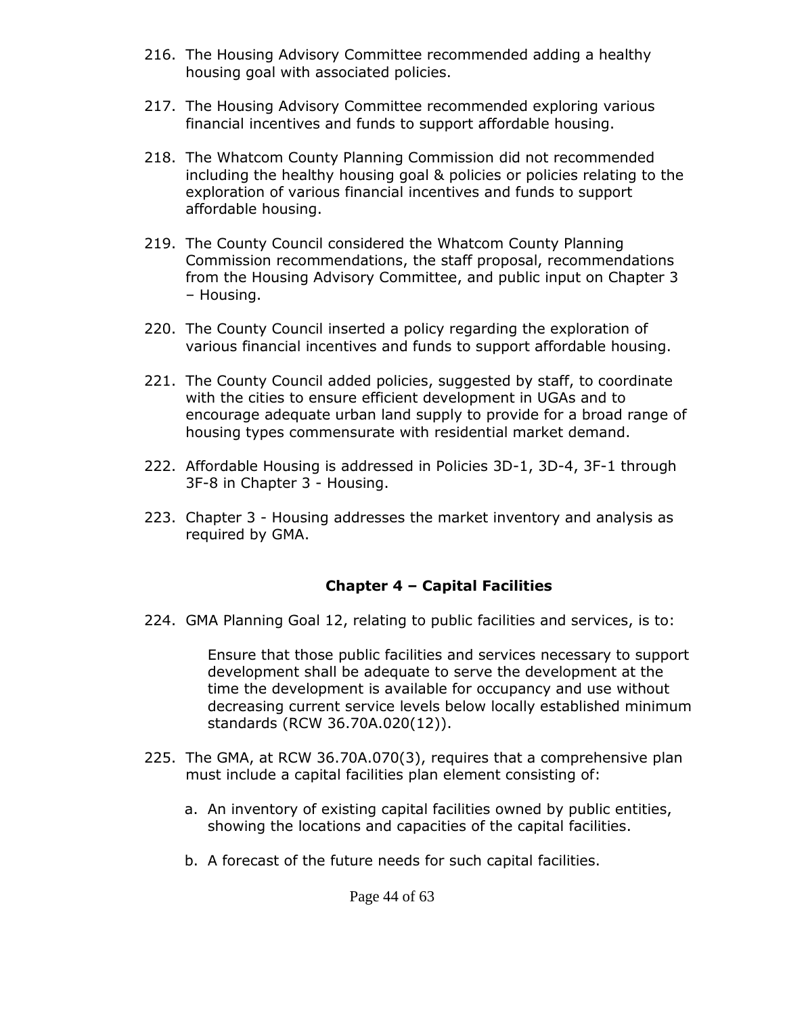- 216. The Housing Advisory Committee recommended adding a healthy housing goal with associated policies.
- 217. The Housing Advisory Committee recommended exploring various financial incentives and funds to support affordable housing.
- 218. The Whatcom County Planning Commission did not recommended including the healthy housing goal & policies or policies relating to the exploration of various financial incentives and funds to support affordable housing.
- 219. The County Council considered the Whatcom County Planning Commission recommendations, the staff proposal, recommendations from the Housing Advisory Committee, and public input on Chapter 3 – Housing.
- 220. The County Council inserted a policy regarding the exploration of various financial incentives and funds to support affordable housing.
- 221. The County Council added policies, suggested by staff, to coordinate with the cities to ensure efficient development in UGAs and to encourage adequate urban land supply to provide for a broad range of housing types commensurate with residential market demand.
- 222. Affordable Housing is addressed in Policies 3D-1, 3D-4, 3F-1 through 3F-8 in Chapter 3 - Housing.
- 223. Chapter 3 Housing addresses the market inventory and analysis as required by GMA.

#### **Chapter 4 – Capital Facilities**

224. GMA Planning Goal 12, relating to public facilities and services, is to:

Ensure that those public facilities and services necessary to support development shall be adequate to serve the development at the time the development is available for occupancy and use without decreasing current service levels below locally established minimum standards (RCW 36.70A.020(12)).

- 225. The GMA, at RCW 36.70A.070(3), requires that a comprehensive plan must include a capital facilities plan element consisting of:
	- a. An inventory of existing capital facilities owned by public entities, showing the locations and capacities of the capital facilities.
	- b. A forecast of the future needs for such capital facilities.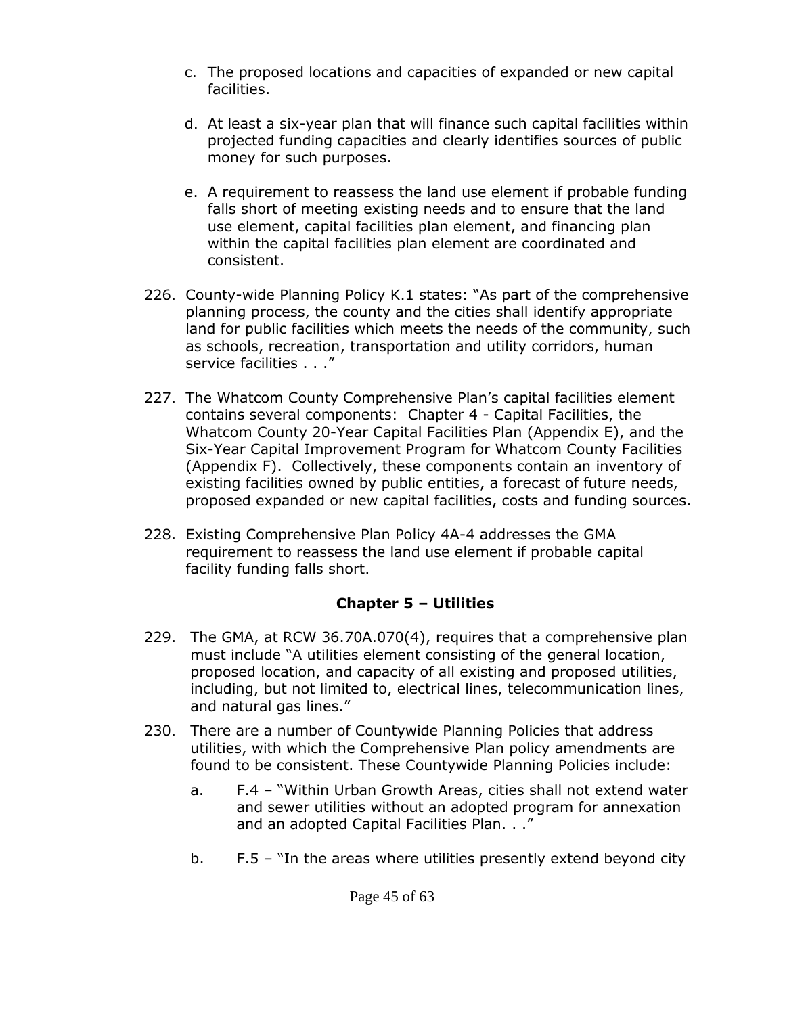- c. The proposed locations and capacities of expanded or new capital facilities.
- d. At least a six-year plan that will finance such capital facilities within projected funding capacities and clearly identifies sources of public money for such purposes.
- e. A requirement to reassess the land use element if probable funding falls short of meeting existing needs and to ensure that the land use element, capital facilities plan element, and financing plan within the capital facilities plan element are coordinated and consistent.
- 226. County-wide Planning Policy K.1 states: "As part of the comprehensive planning process, the county and the cities shall identify appropriate land for public facilities which meets the needs of the community, such as schools, recreation, transportation and utility corridors, human service facilities . . ."
- 227. The Whatcom County Comprehensive Plan's capital facilities element contains several components: Chapter 4 - Capital Facilities, the Whatcom County 20-Year Capital Facilities Plan (Appendix E), and the Six-Year Capital Improvement Program for Whatcom County Facilities (Appendix F). Collectively, these components contain an inventory of existing facilities owned by public entities, a forecast of future needs, proposed expanded or new capital facilities, costs and funding sources.
- 228. Existing Comprehensive Plan Policy 4A-4 addresses the GMA requirement to reassess the land use element if probable capital facility funding falls short.

# **Chapter 5 – Utilities**

- 229. The GMA, at RCW 36.70A.070(4), requires that a comprehensive plan must include "A utilities element consisting of the general location, proposed location, and capacity of all existing and proposed utilities, including, but not limited to, electrical lines, telecommunication lines, and natural gas lines."
- 230. There are a number of Countywide Planning Policies that address utilities, with which the Comprehensive Plan policy amendments are found to be consistent. These Countywide Planning Policies include:
	- a. F.4 "Within Urban Growth Areas, cities shall not extend water and sewer utilities without an adopted program for annexation and an adopted Capital Facilities Plan. . ."
	- b. F.5 "In the areas where utilities presently extend beyond city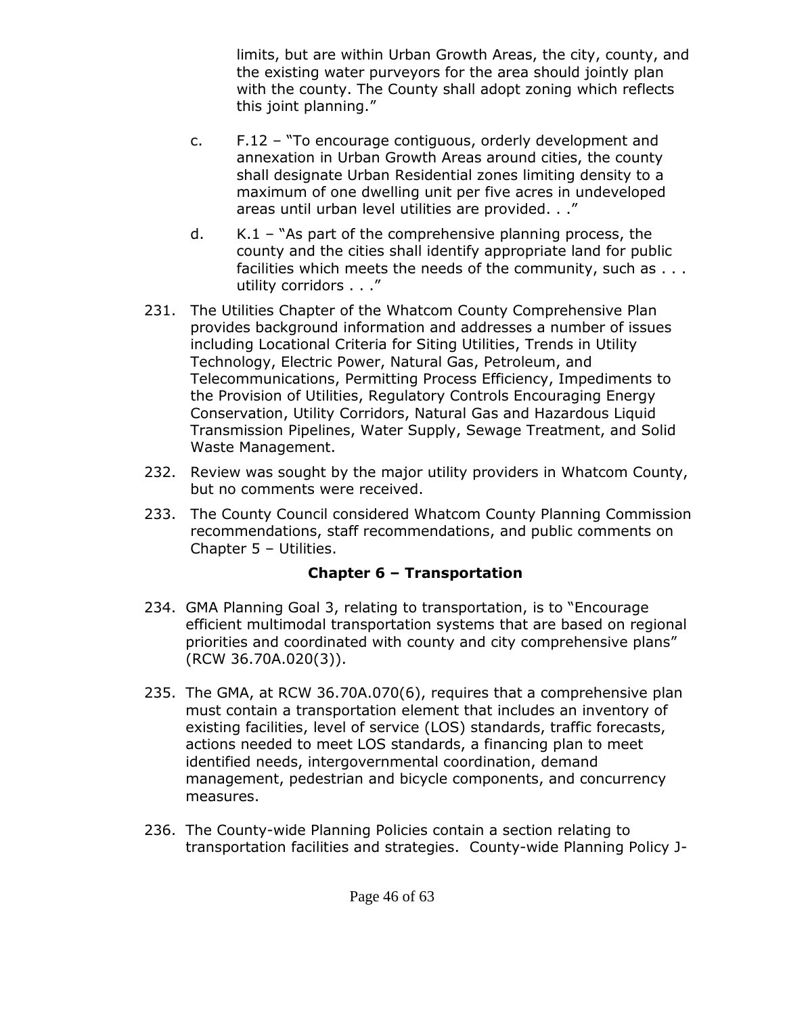limits, but are within Urban Growth Areas, the city, county, and the existing water purveyors for the area should jointly plan with the county. The County shall adopt zoning which reflects this joint planning."

- c. F.12 "To encourage contiguous, orderly development and annexation in Urban Growth Areas around cities, the county shall designate Urban Residential zones limiting density to a maximum of one dwelling unit per five acres in undeveloped areas until urban level utilities are provided. . ."
- d. K.1 "As part of the comprehensive planning process, the county and the cities shall identify appropriate land for public facilities which meets the needs of the community, such as . . . utility corridors . . ."
- 231. The Utilities Chapter of the Whatcom County Comprehensive Plan provides background information and addresses a number of issues including Locational Criteria for Siting Utilities, Trends in Utility Technology, Electric Power, Natural Gas, Petroleum, and Telecommunications, Permitting Process Efficiency, Impediments to the Provision of Utilities, Regulatory Controls Encouraging Energy Conservation, Utility Corridors, Natural Gas and Hazardous Liquid Transmission Pipelines, Water Supply, Sewage Treatment, and Solid Waste Management.
- 232. Review was sought by the major utility providers in Whatcom County, but no comments were received.
- 233. The County Council considered Whatcom County Planning Commission recommendations, staff recommendations, and public comments on Chapter 5 – Utilities.

### **Chapter 6 – Transportation**

- 234. GMA Planning Goal 3, relating to transportation, is to "Encourage efficient multimodal transportation systems that are based on regional priorities and coordinated with county and city comprehensive plans" (RCW 36.70A.020(3)).
- 235. The GMA, at RCW 36.70A.070(6), requires that a comprehensive plan must contain a transportation element that includes an inventory of existing facilities, level of service (LOS) standards, traffic forecasts, actions needed to meet LOS standards, a financing plan to meet identified needs, intergovernmental coordination, demand management, pedestrian and bicycle components, and concurrency measures.
- 236. The County-wide Planning Policies contain a section relating to transportation facilities and strategies. County-wide Planning Policy J-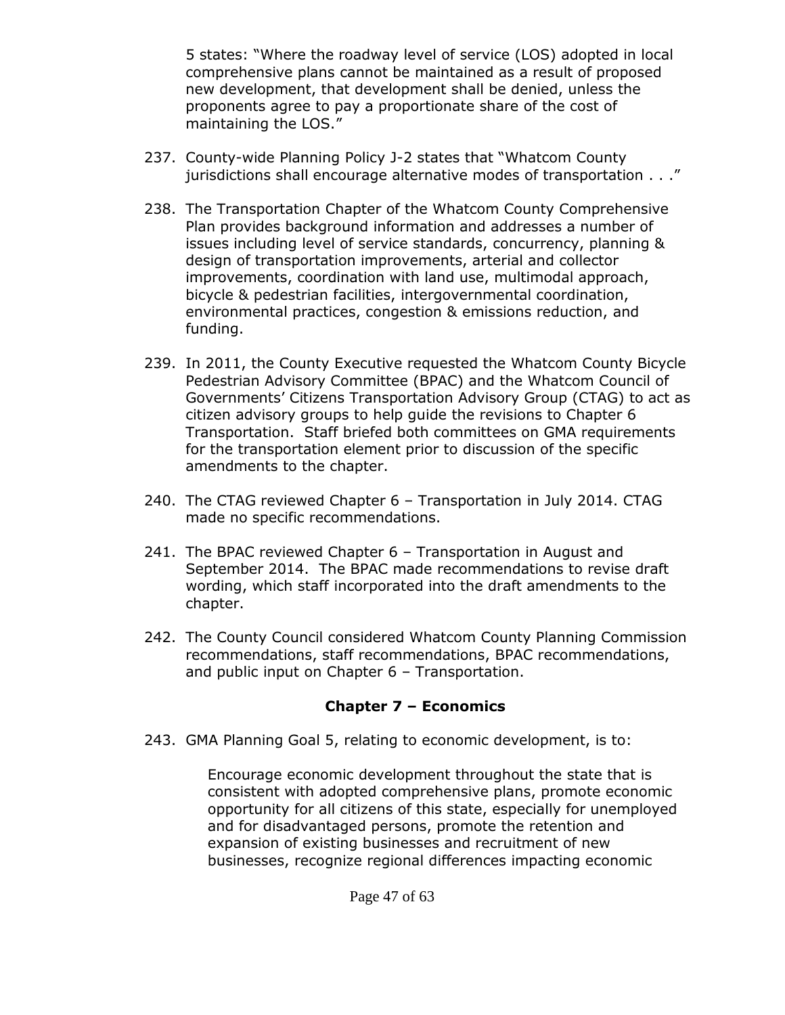5 states: "Where the roadway level of service (LOS) adopted in local comprehensive plans cannot be maintained as a result of proposed new development, that development shall be denied, unless the proponents agree to pay a proportionate share of the cost of maintaining the LOS."

- 237. County-wide Planning Policy J-2 states that "Whatcom County jurisdictions shall encourage alternative modes of transportation . . ."
- 238. The Transportation Chapter of the Whatcom County Comprehensive Plan provides background information and addresses a number of issues including level of service standards, concurrency, planning & design of transportation improvements, arterial and collector improvements, coordination with land use, multimodal approach, bicycle & pedestrian facilities, intergovernmental coordination, environmental practices, congestion & emissions reduction, and funding.
- 239. In 2011, the County Executive requested the Whatcom County Bicycle Pedestrian Advisory Committee (BPAC) and the Whatcom Council of Governments' Citizens Transportation Advisory Group (CTAG) to act as citizen advisory groups to help guide the revisions to Chapter 6 Transportation. Staff briefed both committees on GMA requirements for the transportation element prior to discussion of the specific amendments to the chapter.
- 240. The CTAG reviewed Chapter 6 Transportation in July 2014. CTAG made no specific recommendations.
- 241. The BPAC reviewed Chapter 6 Transportation in August and September 2014. The BPAC made recommendations to revise draft wording, which staff incorporated into the draft amendments to the chapter.
- 242. The County Council considered Whatcom County Planning Commission recommendations, staff recommendations, BPAC recommendations, and public input on Chapter 6 – Transportation.

### **Chapter 7 – Economics**

243. GMA Planning Goal 5, relating to economic development, is to:

Encourage economic development throughout the state that is consistent with adopted comprehensive plans, promote economic opportunity for all citizens of this state, especially for unemployed and for disadvantaged persons, promote the retention and expansion of existing businesses and recruitment of new businesses, recognize regional differences impacting economic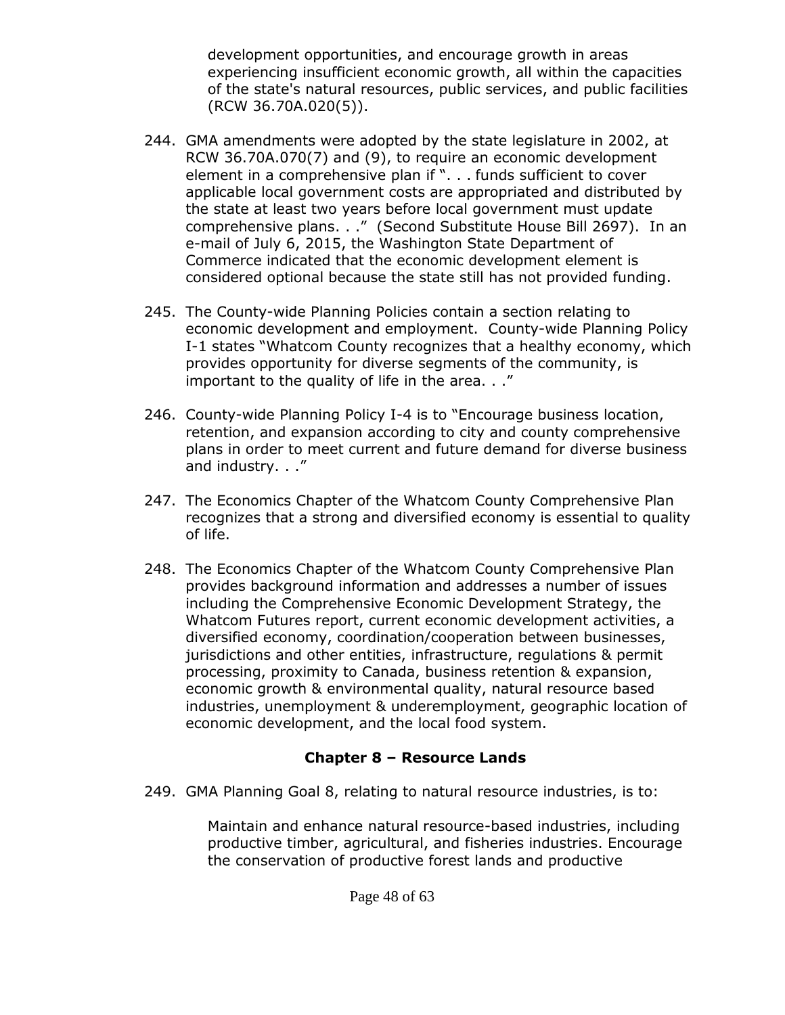development opportunities, and encourage growth in areas experiencing insufficient economic growth, all within the capacities of the state's natural resources, public services, and public facilities (RCW 36.70A.020(5)).

- 244. GMA amendments were adopted by the state legislature in 2002, at RCW 36.70A.070(7) and (9), to require an economic development element in a comprehensive plan if ". . . funds sufficient to cover applicable local government costs are appropriated and distributed by the state at least two years before local government must update comprehensive plans. . ." (Second Substitute House Bill 2697). In an e-mail of July 6, 2015, the Washington State Department of Commerce indicated that the economic development element is considered optional because the state still has not provided funding.
- 245. The County-wide Planning Policies contain a section relating to economic development and employment. County-wide Planning Policy I-1 states "Whatcom County recognizes that a healthy economy, which provides opportunity for diverse segments of the community, is important to the quality of life in the area. . ."
- 246. County-wide Planning Policy I-4 is to "Encourage business location, retention, and expansion according to city and county comprehensive plans in order to meet current and future demand for diverse business and industry. . ."
- 247. The Economics Chapter of the Whatcom County Comprehensive Plan recognizes that a strong and diversified economy is essential to quality of life.
- 248. The Economics Chapter of the Whatcom County Comprehensive Plan provides background information and addresses a number of issues including the Comprehensive Economic Development Strategy, the Whatcom Futures report, current economic development activities, a diversified economy, coordination/cooperation between businesses, jurisdictions and other entities, infrastructure, regulations & permit processing, proximity to Canada, business retention & expansion, economic growth & environmental quality, natural resource based industries, unemployment & underemployment, geographic location of economic development, and the local food system.

# **Chapter 8 – Resource Lands**

249. GMA Planning Goal 8, relating to natural resource industries, is to:

Maintain and enhance natural resource-based industries, including productive timber, agricultural, and fisheries industries. Encourage the conservation of productive forest lands and productive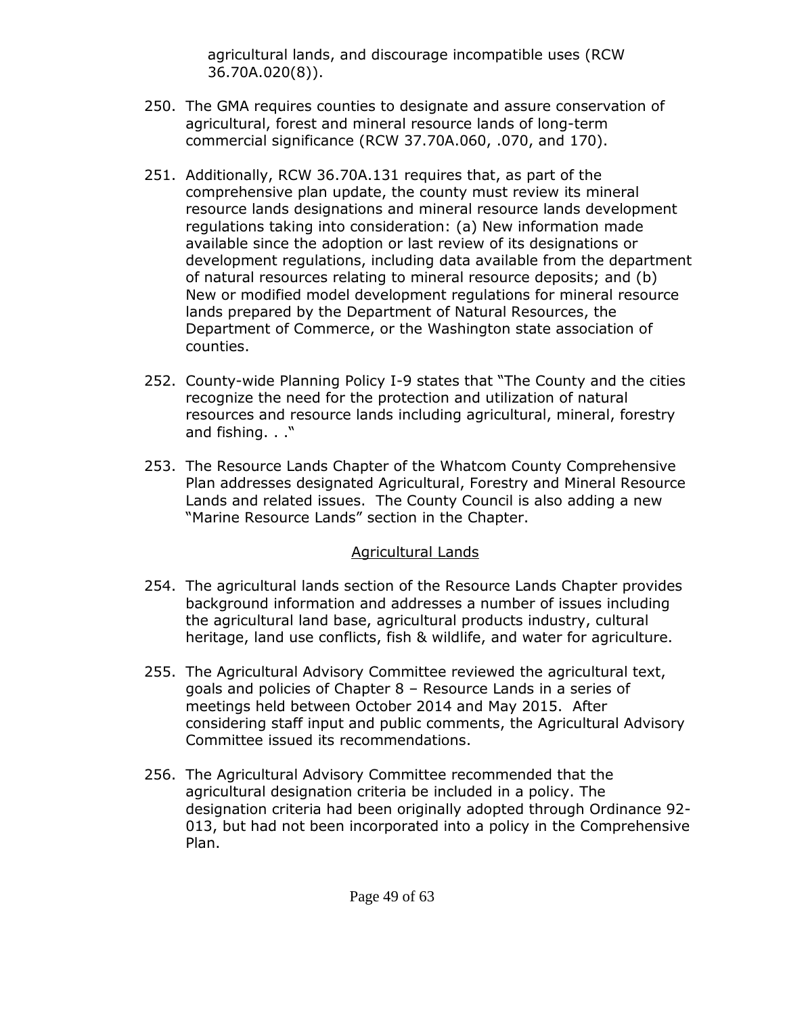agricultural lands, and discourage incompatible uses (RCW 36.70A.020(8)).

- 250. The GMA requires counties to designate and assure conservation of agricultural, forest and mineral resource lands of long-term commercial significance (RCW 37.70A.060, .070, and 170).
- 251. Additionally, RCW 36.70A.131 requires that, as part of the comprehensive plan update, the county must review its mineral resource lands designations and mineral resource lands development regulations taking into consideration: (a) New information made available since the adoption or last review of its designations or development regulations, including data available from the department of natural resources relating to mineral resource deposits; and (b) New or modified model development regulations for mineral resource lands prepared by the Department of Natural Resources, the Department of Commerce, or the Washington state association of counties.
- 252. County-wide Planning Policy I-9 states that "The County and the cities recognize the need for the protection and utilization of natural resources and resource lands including agricultural, mineral, forestry and fishing. . ."
- 253. The Resource Lands Chapter of the Whatcom County Comprehensive Plan addresses designated Agricultural, Forestry and Mineral Resource Lands and related issues. The County Council is also adding a new "Marine Resource Lands" section in the Chapter.

#### Agricultural Lands

- 254. The agricultural lands section of the Resource Lands Chapter provides background information and addresses a number of issues including the agricultural land base, agricultural products industry, cultural heritage, land use conflicts, fish & wildlife, and water for agriculture.
- 255. The Agricultural Advisory Committee reviewed the agricultural text, goals and policies of Chapter 8 – Resource Lands in a series of meetings held between October 2014 and May 2015. After considering staff input and public comments, the Agricultural Advisory Committee issued its recommendations.
- 256. The Agricultural Advisory Committee recommended that the agricultural designation criteria be included in a policy. The designation criteria had been originally adopted through Ordinance 92- 013, but had not been incorporated into a policy in the Comprehensive Plan.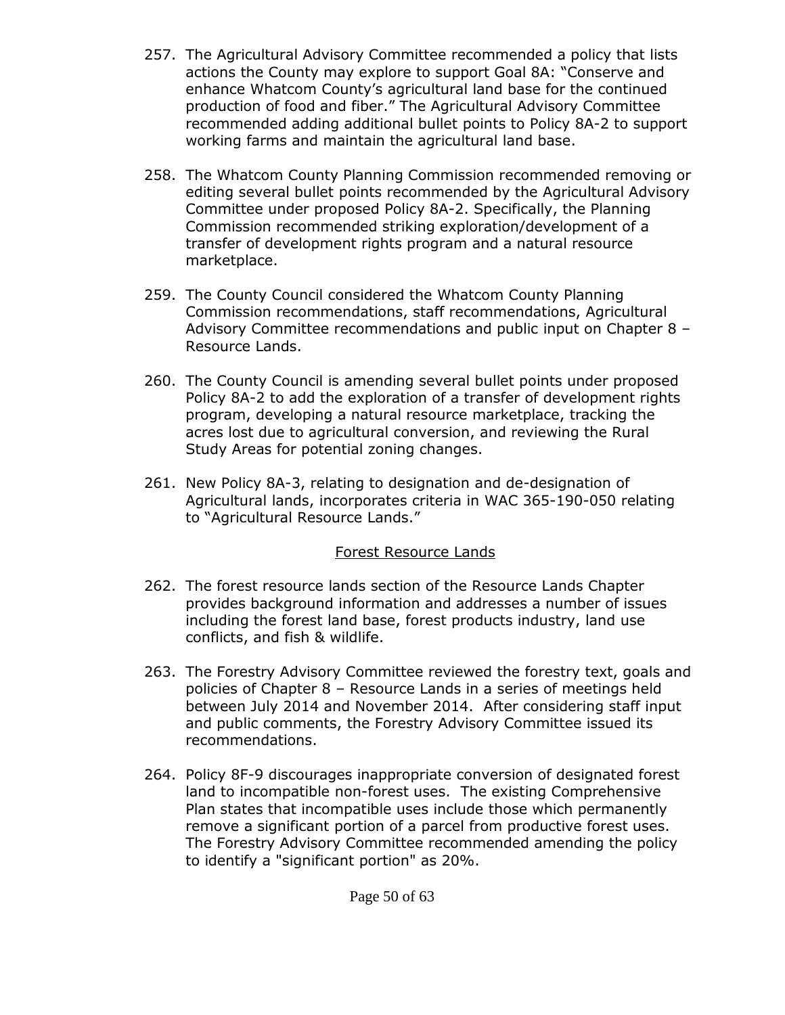- 257. The Agricultural Advisory Committee recommended a policy that lists actions the County may explore to support Goal 8A: "Conserve and enhance Whatcom County's agricultural land base for the continued production of food and fiber." The Agricultural Advisory Committee recommended adding additional bullet points to Policy 8A-2 to support working farms and maintain the agricultural land base.
- 258. The Whatcom County Planning Commission recommended removing or editing several bullet points recommended by the Agricultural Advisory Committee under proposed Policy 8A-2. Specifically, the Planning Commission recommended striking exploration/development of a transfer of development rights program and a natural resource marketplace.
- 259. The County Council considered the Whatcom County Planning Commission recommendations, staff recommendations, Agricultural Advisory Committee recommendations and public input on Chapter 8 – Resource Lands.
- 260. The County Council is amending several bullet points under proposed Policy 8A-2 to add the exploration of a transfer of development rights program, developing a natural resource marketplace, tracking the acres lost due to agricultural conversion, and reviewing the Rural Study Areas for potential zoning changes.
- 261. New Policy 8A-3, relating to designation and de-designation of Agricultural lands, incorporates criteria in WAC 365-190-050 relating to "Agricultural Resource Lands."

### Forest Resource Lands

- 262. The forest resource lands section of the Resource Lands Chapter provides background information and addresses a number of issues including the forest land base, forest products industry, land use conflicts, and fish & wildlife.
- 263. The Forestry Advisory Committee reviewed the forestry text, goals and policies of Chapter 8 – Resource Lands in a series of meetings held between July 2014 and November 2014. After considering staff input and public comments, the Forestry Advisory Committee issued its recommendations.
- 264. Policy 8F-9 discourages inappropriate conversion of designated forest land to incompatible non-forest uses. The existing Comprehensive Plan states that incompatible uses include those which permanently remove a significant portion of a parcel from productive forest uses. The Forestry Advisory Committee recommended amending the policy to identify a "significant portion" as 20%.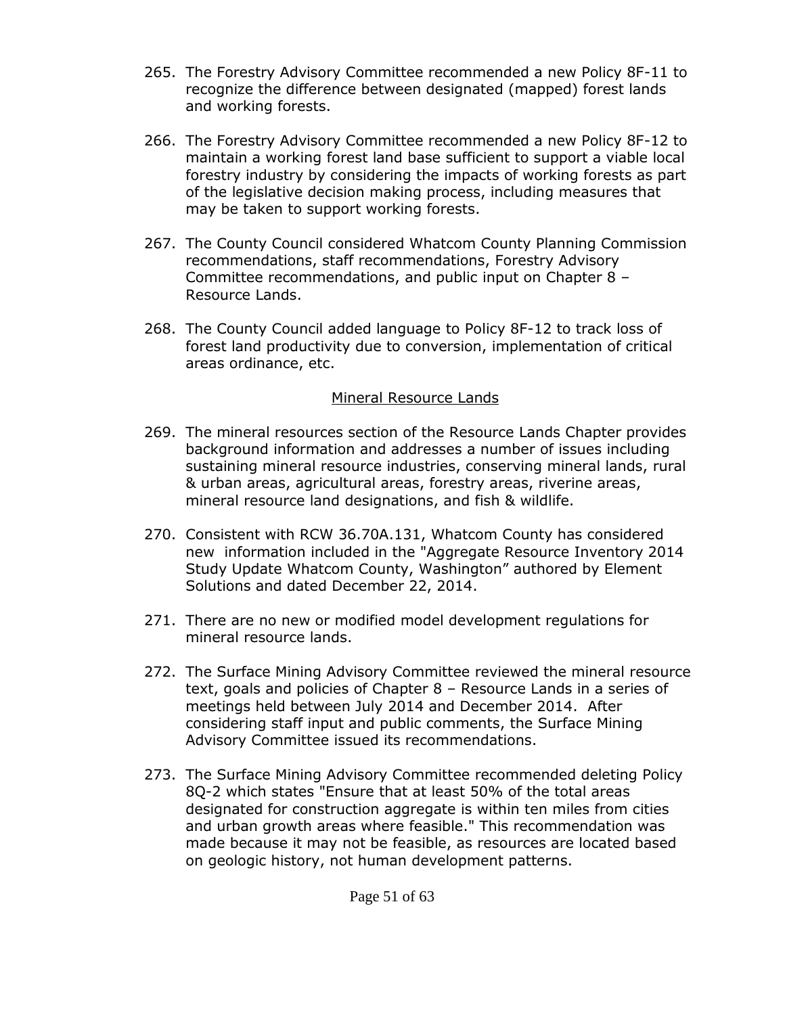- 265. The Forestry Advisory Committee recommended a new Policy 8F-11 to recognize the difference between designated (mapped) forest lands and working forests.
- 266. The Forestry Advisory Committee recommended a new Policy 8F-12 to maintain a working forest land base sufficient to support a viable local forestry industry by considering the impacts of working forests as part of the legislative decision making process, including measures that may be taken to support working forests.
- 267. The County Council considered Whatcom County Planning Commission recommendations, staff recommendations, Forestry Advisory Committee recommendations, and public input on Chapter 8 – Resource Lands.
- 268. The County Council added language to Policy 8F-12 to track loss of forest land productivity due to conversion, implementation of critical areas ordinance, etc.

#### Mineral Resource Lands

- 269. The mineral resources section of the Resource Lands Chapter provides background information and addresses a number of issues including sustaining mineral resource industries, conserving mineral lands, rural & urban areas, agricultural areas, forestry areas, riverine areas, mineral resource land designations, and fish & wildlife.
- 270. Consistent with RCW 36.70A.131, Whatcom County has considered new information included in the "Aggregate Resource Inventory 2014 Study Update Whatcom County, Washington" authored by Element Solutions and dated December 22, 2014.
- 271. There are no new or modified model development regulations for mineral resource lands.
- 272. The Surface Mining Advisory Committee reviewed the mineral resource text, goals and policies of Chapter 8 – Resource Lands in a series of meetings held between July 2014 and December 2014. After considering staff input and public comments, the Surface Mining Advisory Committee issued its recommendations.
- 273. The Surface Mining Advisory Committee recommended deleting Policy 8Q-2 which states "Ensure that at least 50% of the total areas designated for construction aggregate is within ten miles from cities and urban growth areas where feasible." This recommendation was made because it may not be feasible, as resources are located based on geologic history, not human development patterns.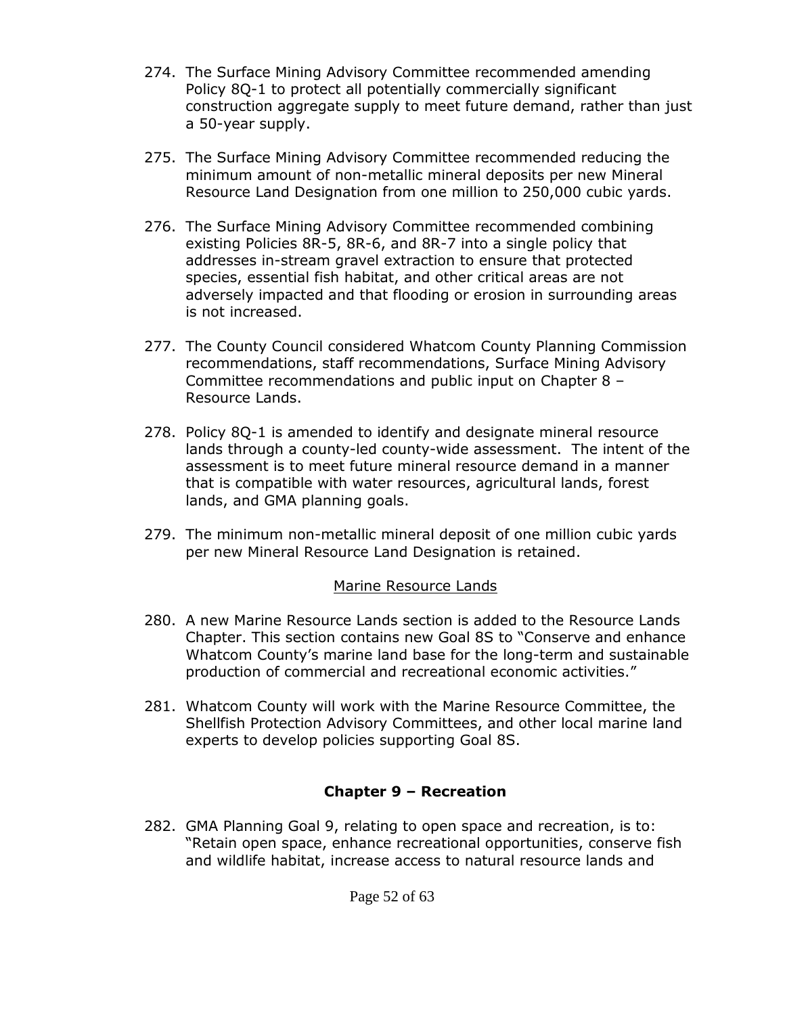- 274. The Surface Mining Advisory Committee recommended amending Policy 8Q-1 to protect all potentially commercially significant construction aggregate supply to meet future demand, rather than just a 50-year supply.
- 275. The Surface Mining Advisory Committee recommended reducing the minimum amount of non-metallic mineral deposits per new Mineral Resource Land Designation from one million to 250,000 cubic yards.
- 276. The Surface Mining Advisory Committee recommended combining existing Policies 8R-5, 8R-6, and 8R-7 into a single policy that addresses in-stream gravel extraction to ensure that protected species, essential fish habitat, and other critical areas are not adversely impacted and that flooding or erosion in surrounding areas is not increased.
- 277. The County Council considered Whatcom County Planning Commission recommendations, staff recommendations, Surface Mining Advisory Committee recommendations and public input on Chapter 8 – Resource Lands.
- 278. Policy 8Q-1 is amended to identify and designate mineral resource lands through a county-led county-wide assessment. The intent of the assessment is to meet future mineral resource demand in a manner that is compatible with water resources, agricultural lands, forest lands, and GMA planning goals.
- 279. The minimum non-metallic mineral deposit of one million cubic yards per new Mineral Resource Land Designation is retained.

### Marine Resource Lands

- 280. A new Marine Resource Lands section is added to the Resource Lands Chapter. This section contains new Goal 8S to "Conserve and enhance Whatcom County's marine land base for the long-term and sustainable production of commercial and recreational economic activities."
- 281. Whatcom County will work with the Marine Resource Committee, the Shellfish Protection Advisory Committees, and other local marine land experts to develop policies supporting Goal 8S.

# **Chapter 9 – Recreation**

282. GMA Planning Goal 9, relating to open space and recreation, is to: "Retain open space, enhance recreational opportunities, conserve fish and wildlife habitat, increase access to natural resource lands and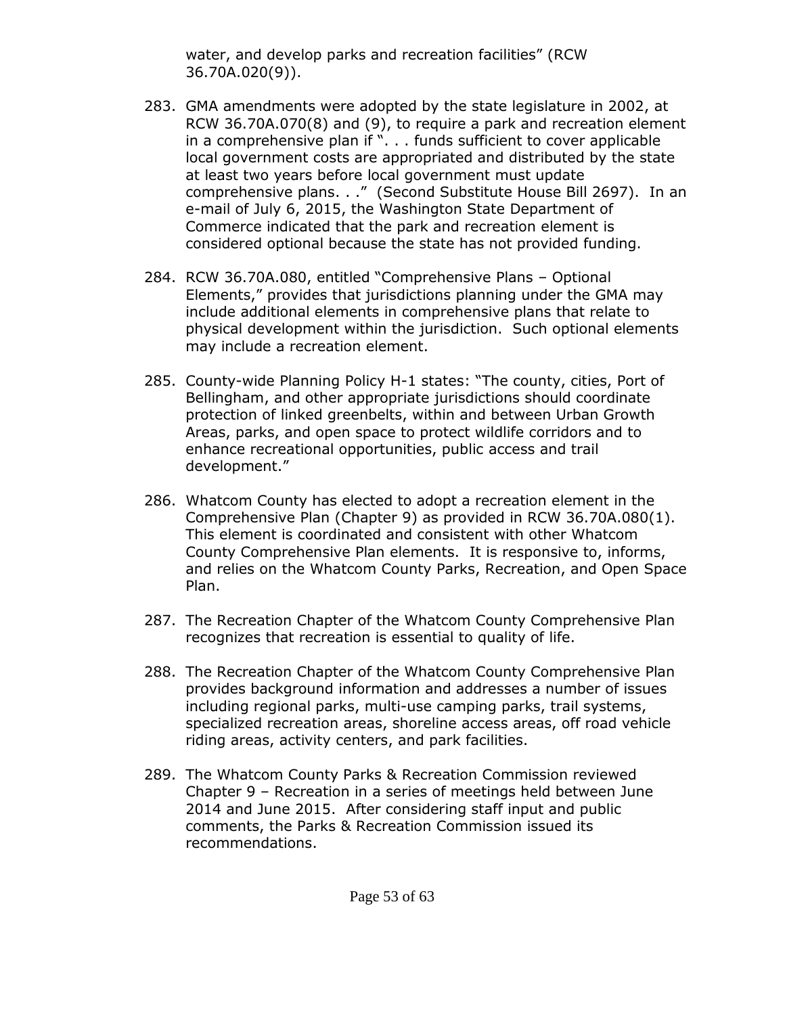water, and develop parks and recreation facilities" (RCW 36.70A.020(9)).

- 283. GMA amendments were adopted by the state legislature in 2002, at RCW 36.70A.070(8) and (9), to require a park and recreation element in a comprehensive plan if ". . . funds sufficient to cover applicable local government costs are appropriated and distributed by the state at least two years before local government must update comprehensive plans. . ." (Second Substitute House Bill 2697). In an e-mail of July 6, 2015, the Washington State Department of Commerce indicated that the park and recreation element is considered optional because the state has not provided funding.
- 284. RCW 36.70A.080, entitled "Comprehensive Plans Optional Elements," provides that jurisdictions planning under the GMA may include additional elements in comprehensive plans that relate to physical development within the jurisdiction. Such optional elements may include a recreation element.
- 285. County-wide Planning Policy H-1 states: "The county, cities, Port of Bellingham, and other appropriate jurisdictions should coordinate protection of linked greenbelts, within and between Urban Growth Areas, parks, and open space to protect wildlife corridors and to enhance recreational opportunities, public access and trail development."
- 286. Whatcom County has elected to adopt a recreation element in the Comprehensive Plan (Chapter 9) as provided in RCW 36.70A.080(1). This element is coordinated and consistent with other Whatcom County Comprehensive Plan elements. It is responsive to, informs, and relies on the Whatcom County Parks, Recreation, and Open Space Plan.
- 287. The Recreation Chapter of the Whatcom County Comprehensive Plan recognizes that recreation is essential to quality of life.
- 288. The Recreation Chapter of the Whatcom County Comprehensive Plan provides background information and addresses a number of issues including regional parks, multi-use camping parks, trail systems, specialized recreation areas, shoreline access areas, off road vehicle riding areas, activity centers, and park facilities.
- 289. The Whatcom County Parks & Recreation Commission reviewed Chapter 9 – Recreation in a series of meetings held between June 2014 and June 2015. After considering staff input and public comments, the Parks & Recreation Commission issued its recommendations.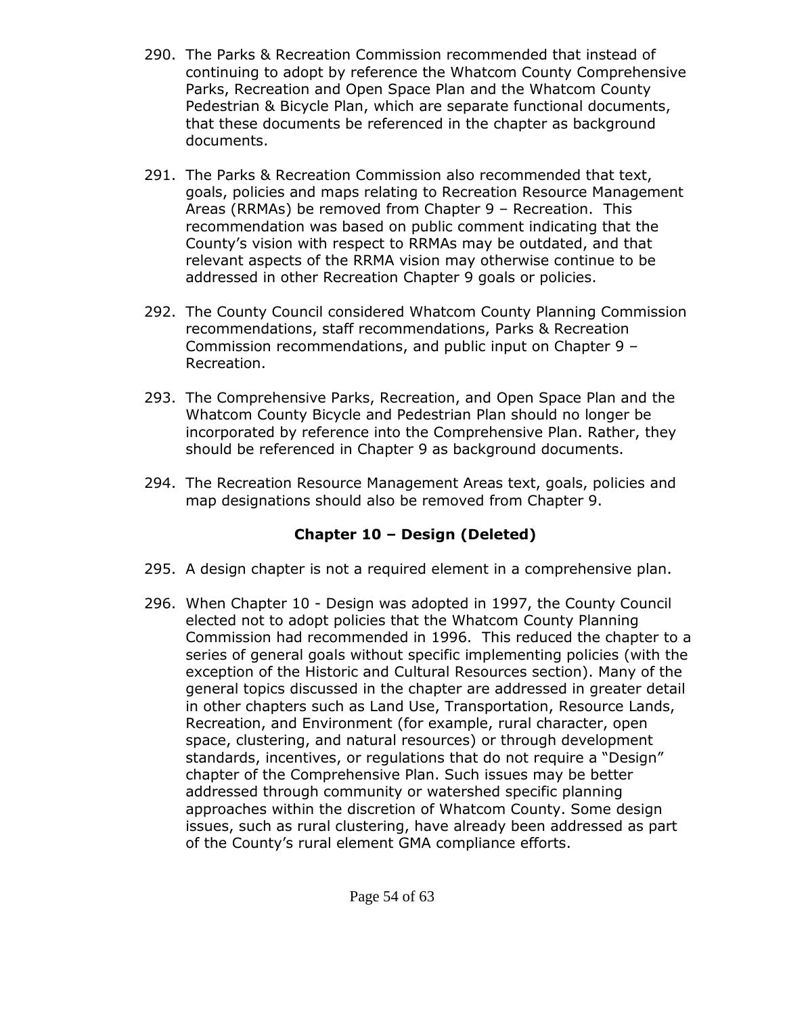- 290. The Parks & Recreation Commission recommended that instead of continuing to adopt by reference the Whatcom County Comprehensive Parks, Recreation and Open Space Plan and the Whatcom County Pedestrian & Bicycle Plan, which are separate functional documents, that these documents be referenced in the chapter as background documents.
- 291. The Parks & Recreation Commission also recommended that text, goals, policies and maps relating to Recreation Resource Management Areas (RRMAs) be removed from Chapter 9 – Recreation. This recommendation was based on public comment indicating that the County's vision with respect to RRMAs may be outdated, and that relevant aspects of the RRMA vision may otherwise continue to be addressed in other Recreation Chapter 9 goals or policies.
- 292. The County Council considered Whatcom County Planning Commission recommendations, staff recommendations, Parks & Recreation Commission recommendations, and public input on Chapter 9 – Recreation.
- 293. The Comprehensive Parks, Recreation, and Open Space Plan and the Whatcom County Bicycle and Pedestrian Plan should no longer be incorporated by reference into the Comprehensive Plan. Rather, they should be referenced in Chapter 9 as background documents.
- 294. The Recreation Resource Management Areas text, goals, policies and map designations should also be removed from Chapter 9.

# **Chapter 10 – Design (Deleted)**

- 295. A design chapter is not a required element in a comprehensive plan.
- 296. When Chapter 10 Design was adopted in 1997, the County Council elected not to adopt policies that the Whatcom County Planning Commission had recommended in 1996. This reduced the chapter to a series of general goals without specific implementing policies (with the exception of the Historic and Cultural Resources section). Many of the general topics discussed in the chapter are addressed in greater detail in other chapters such as Land Use, Transportation, Resource Lands, Recreation, and Environment (for example, rural character, open space, clustering, and natural resources) or through development standards, incentives, or regulations that do not require a "Design" chapter of the Comprehensive Plan. Such issues may be better addressed through community or watershed specific planning approaches within the discretion of Whatcom County. Some design issues, such as rural clustering, have already been addressed as part of the County's rural element GMA compliance efforts.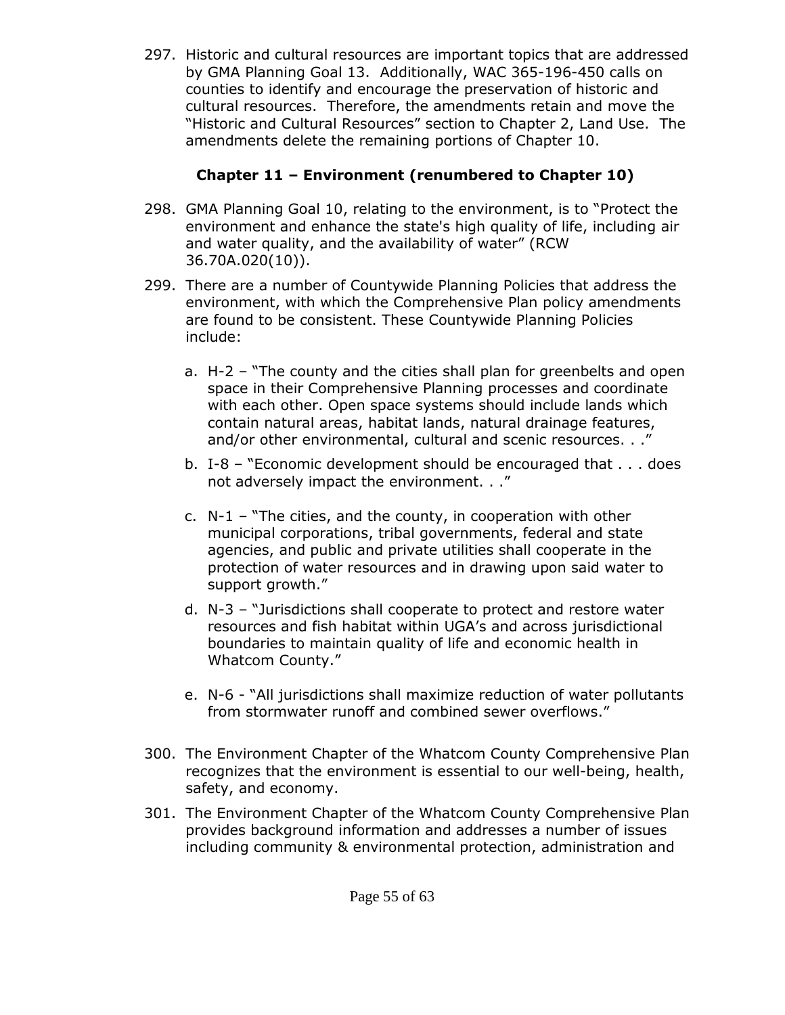297. Historic and cultural resources are important topics that are addressed by GMA Planning Goal 13. Additionally, WAC 365-196-450 calls on counties to identify and encourage the preservation of historic and cultural resources. Therefore, the amendments retain and move the "Historic and Cultural Resources" section to Chapter 2, Land Use. The amendments delete the remaining portions of Chapter 10.

# **Chapter 11 – Environment (renumbered to Chapter 10)**

- 298. GMA Planning Goal 10, relating to the environment, is to "Protect the environment and enhance the state's high quality of life, including air and water quality, and the availability of water" (RCW 36.70A.020(10)).
- 299. There are a number of Countywide Planning Policies that address the environment, with which the Comprehensive Plan policy amendments are found to be consistent. These Countywide Planning Policies include:
	- a. H-2 "The county and the cities shall plan for greenbelts and open space in their Comprehensive Planning processes and coordinate with each other. Open space systems should include lands which contain natural areas, habitat lands, natural drainage features, and/or other environmental, cultural and scenic resources. . ."
	- b. I-8 "Economic development should be encouraged that . . . does not adversely impact the environment. . ."
	- c. N-1 "The cities, and the county, in cooperation with other municipal corporations, tribal governments, federal and state agencies, and public and private utilities shall cooperate in the protection of water resources and in drawing upon said water to support growth."
	- d. N-3 "Jurisdictions shall cooperate to protect and restore water resources and fish habitat within UGA's and across jurisdictional boundaries to maintain quality of life and economic health in Whatcom County."
	- e. N-6 "All jurisdictions shall maximize reduction of water pollutants from stormwater runoff and combined sewer overflows."
- 300. The Environment Chapter of the Whatcom County Comprehensive Plan recognizes that the environment is essential to our well-being, health, safety, and economy.
- 301. The Environment Chapter of the Whatcom County Comprehensive Plan provides background information and addresses a number of issues including community & environmental protection, administration and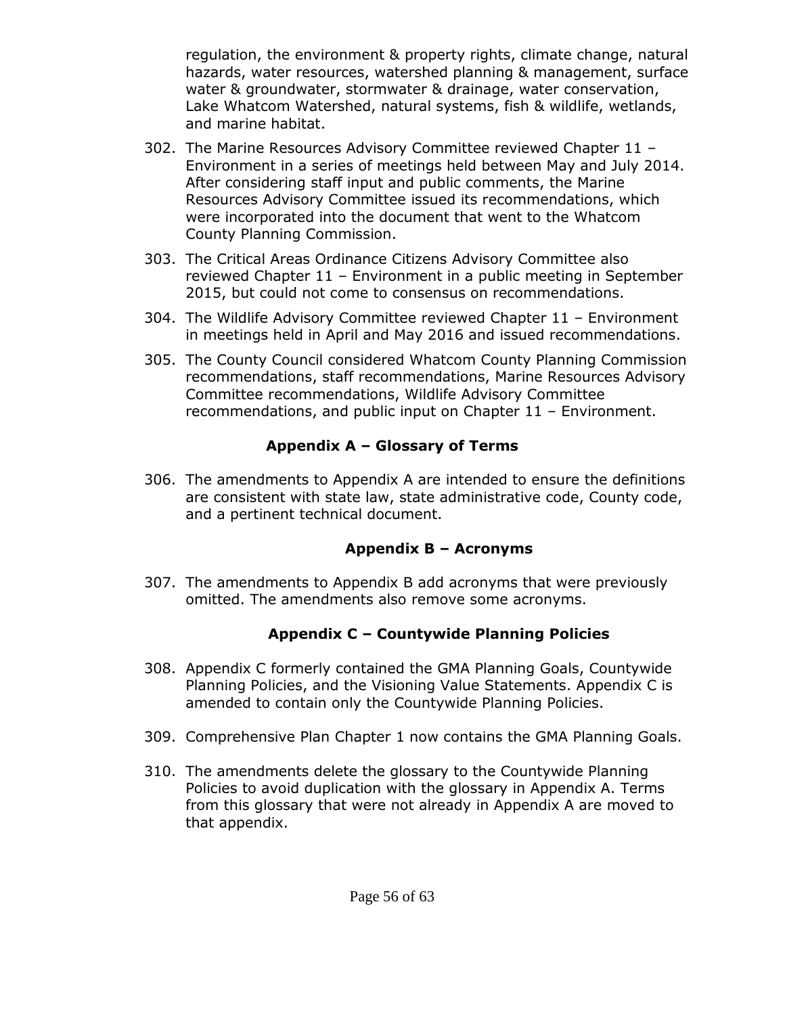regulation, the environment & property rights, climate change, natural hazards, water resources, watershed planning & management, surface water & groundwater, stormwater & drainage, water conservation, Lake Whatcom Watershed, natural systems, fish & wildlife, wetlands, and marine habitat.

- 302. The Marine Resources Advisory Committee reviewed Chapter 11 Environment in a series of meetings held between May and July 2014. After considering staff input and public comments, the Marine Resources Advisory Committee issued its recommendations, which were incorporated into the document that went to the Whatcom County Planning Commission.
- 303. The Critical Areas Ordinance Citizens Advisory Committee also reviewed Chapter 11 – Environment in a public meeting in September 2015, but could not come to consensus on recommendations.
- 304. The Wildlife Advisory Committee reviewed Chapter 11 Environment in meetings held in April and May 2016 and issued recommendations.
- 305. The County Council considered Whatcom County Planning Commission recommendations, staff recommendations, Marine Resources Advisory Committee recommendations, Wildlife Advisory Committee recommendations, and public input on Chapter 11 – Environment.

#### **Appendix A – Glossary of Terms**

306. The amendments to Appendix A are intended to ensure the definitions are consistent with state law, state administrative code, County code, and a pertinent technical document.

### **Appendix B – Acronyms**

307. The amendments to Appendix B add acronyms that were previously omitted. The amendments also remove some acronyms.

# **Appendix C – Countywide Planning Policies**

- 308. Appendix C formerly contained the GMA Planning Goals, Countywide Planning Policies, and the Visioning Value Statements. Appendix C is amended to contain only the Countywide Planning Policies.
- 309. Comprehensive Plan Chapter 1 now contains the GMA Planning Goals.
- 310. The amendments delete the glossary to the Countywide Planning Policies to avoid duplication with the glossary in Appendix A. Terms from this glossary that were not already in Appendix A are moved to that appendix.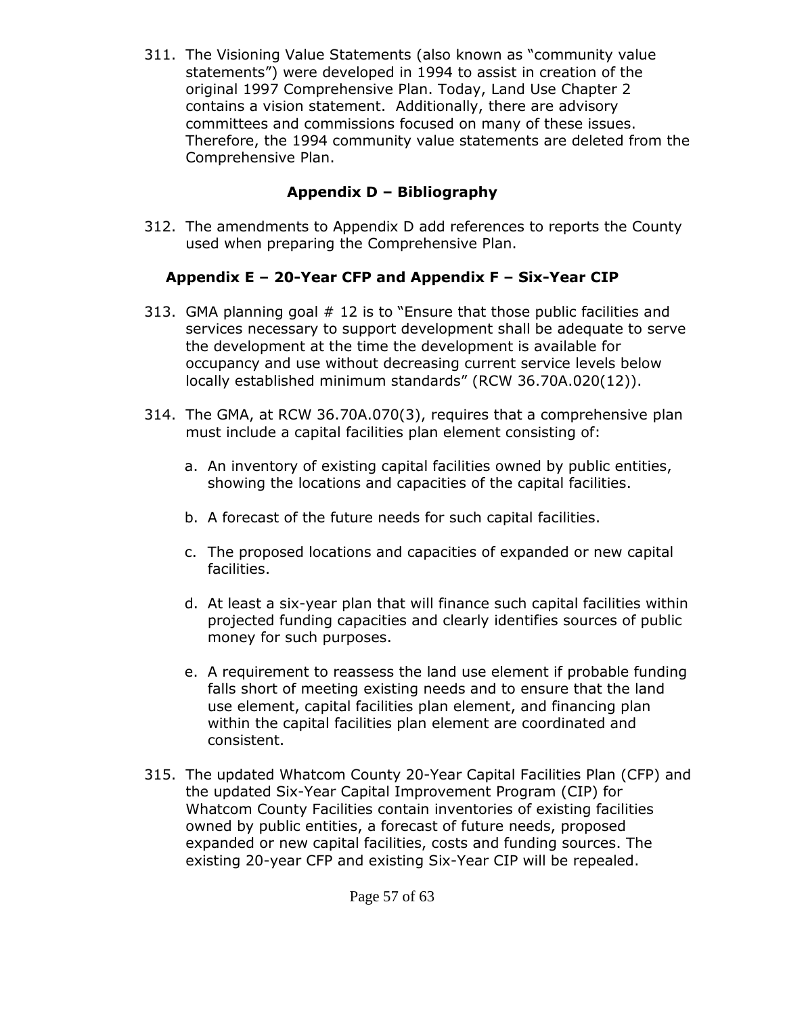311. The Visioning Value Statements (also known as "community value statements") were developed in 1994 to assist in creation of the original 1997 Comprehensive Plan. Today, Land Use Chapter 2 contains a vision statement. Additionally, there are advisory committees and commissions focused on many of these issues. Therefore, the 1994 community value statements are deleted from the Comprehensive Plan.

### **Appendix D – Bibliography**

312. The amendments to Appendix D add references to reports the County used when preparing the Comprehensive Plan.

# **Appendix E – 20-Year CFP and Appendix F – Six-Year CIP**

- 313. GMA planning goal # 12 is to "Ensure that those public facilities and services necessary to support development shall be adequate to serve the development at the time the development is available for occupancy and use without decreasing current service levels below locally established minimum standards" (RCW 36.70A.020(12)).
- 314. The GMA, at RCW 36.70A.070(3), requires that a comprehensive plan must include a capital facilities plan element consisting of:
	- a. An inventory of existing capital facilities owned by public entities, showing the locations and capacities of the capital facilities.
	- b. A forecast of the future needs for such capital facilities.
	- c. The proposed locations and capacities of expanded or new capital facilities.
	- d. At least a six-year plan that will finance such capital facilities within projected funding capacities and clearly identifies sources of public money for such purposes.
	- e. A requirement to reassess the land use element if probable funding falls short of meeting existing needs and to ensure that the land use element, capital facilities plan element, and financing plan within the capital facilities plan element are coordinated and consistent.
- 315. The updated Whatcom County 20-Year Capital Facilities Plan (CFP) and the updated Six-Year Capital Improvement Program (CIP) for Whatcom County Facilities contain inventories of existing facilities owned by public entities, a forecast of future needs, proposed expanded or new capital facilities, costs and funding sources. The existing 20-year CFP and existing Six-Year CIP will be repealed.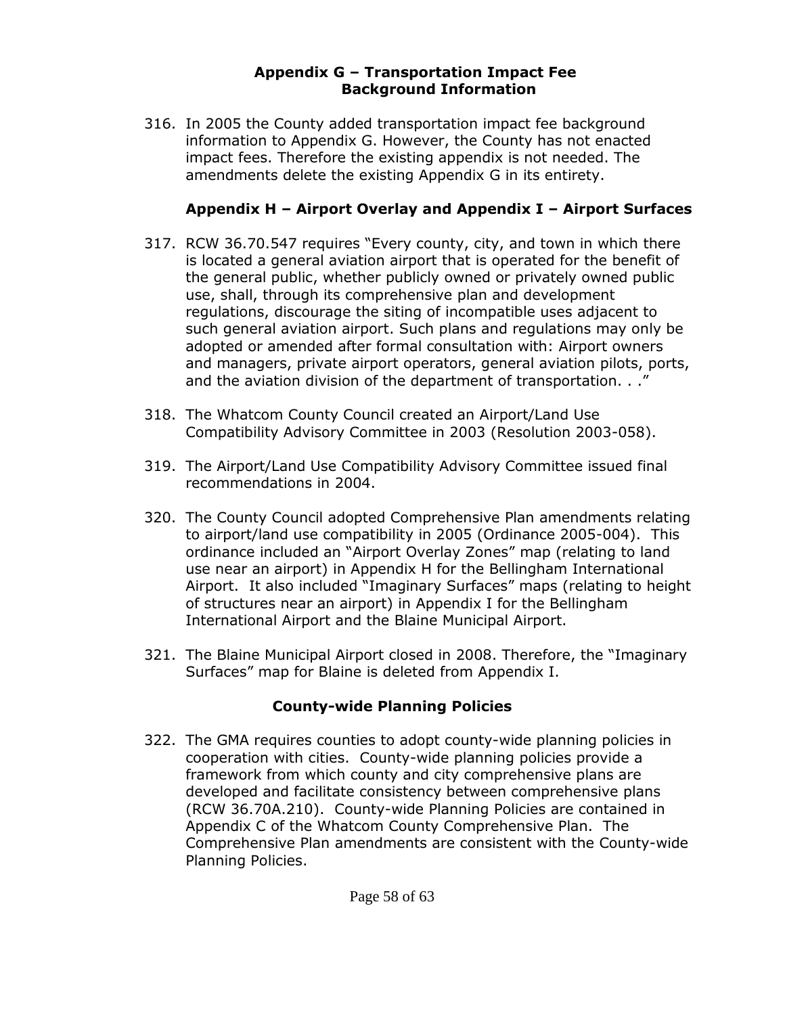#### **Appendix G – Transportation Impact Fee Background Information**

316. In 2005 the County added transportation impact fee background information to Appendix G. However, the County has not enacted impact fees. Therefore the existing appendix is not needed. The amendments delete the existing Appendix G in its entirety.

### **Appendix H – Airport Overlay and Appendix I – Airport Surfaces**

- 317. RCW 36.70.547 requires "Every county, city, and town in which there is located a general aviation airport that is operated for the benefit of the general public, whether publicly owned or privately owned public use, shall, through its comprehensive plan and development regulations, discourage the siting of incompatible uses adjacent to such general aviation airport. Such plans and regulations may only be adopted or amended after formal consultation with: Airport owners and managers, private airport operators, general aviation pilots, ports, and the aviation division of the department of transportation. . ."
- 318. The Whatcom County Council created an Airport/Land Use Compatibility Advisory Committee in 2003 (Resolution 2003-058).
- 319. The Airport/Land Use Compatibility Advisory Committee issued final recommendations in 2004.
- 320. The County Council adopted Comprehensive Plan amendments relating to airport/land use compatibility in 2005 (Ordinance 2005-004). This ordinance included an "Airport Overlay Zones" map (relating to land use near an airport) in Appendix H for the Bellingham International Airport. It also included "Imaginary Surfaces" maps (relating to height of structures near an airport) in Appendix I for the Bellingham International Airport and the Blaine Municipal Airport.
- 321. The Blaine Municipal Airport closed in 2008. Therefore, the "Imaginary Surfaces" map for Blaine is deleted from Appendix I.

### **County-wide Planning Policies**

322. The GMA requires counties to adopt county-wide planning policies in cooperation with cities. County-wide planning policies provide a framework from which county and city comprehensive plans are developed and facilitate consistency between comprehensive plans (RCW 36.70A.210). County-wide Planning Policies are contained in Appendix C of the Whatcom County Comprehensive Plan. The Comprehensive Plan amendments are consistent with the County-wide Planning Policies.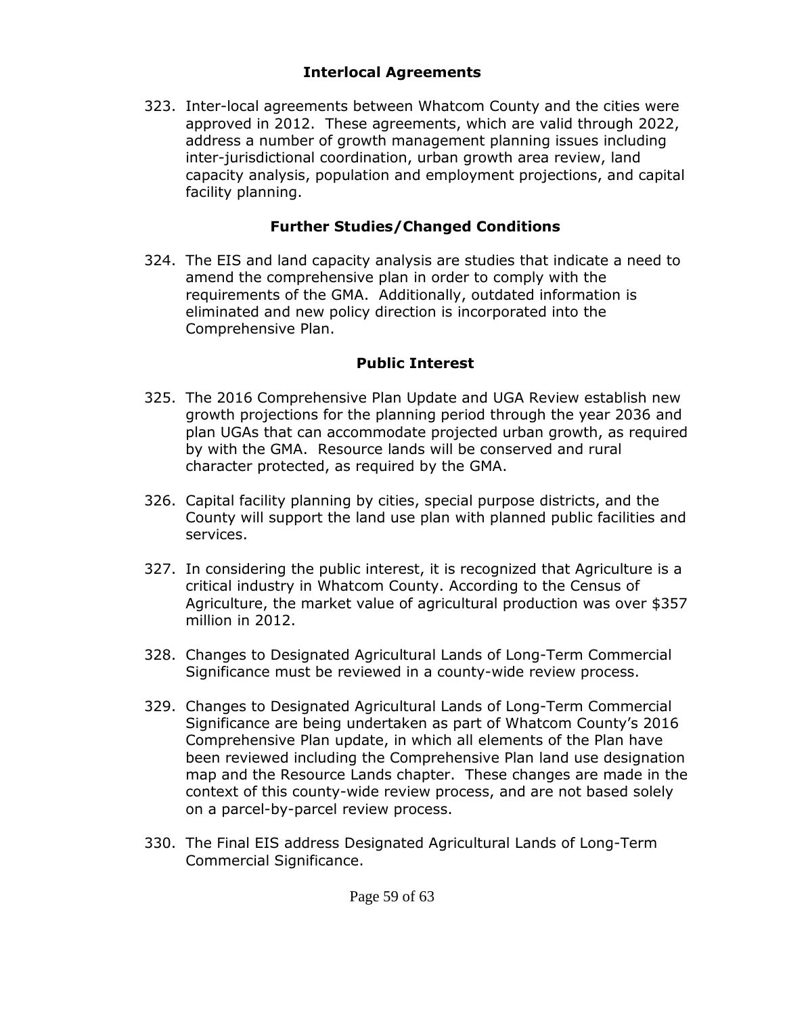#### **Interlocal Agreements**

323. Inter-local agreements between Whatcom County and the cities were approved in 2012. These agreements, which are valid through 2022, address a number of growth management planning issues including inter-jurisdictional coordination, urban growth area review, land capacity analysis, population and employment projections, and capital facility planning.

### **Further Studies/Changed Conditions**

324. The EIS and land capacity analysis are studies that indicate a need to amend the comprehensive plan in order to comply with the requirements of the GMA. Additionally, outdated information is eliminated and new policy direction is incorporated into the Comprehensive Plan.

### **Public Interest**

- 325. The 2016 Comprehensive Plan Update and UGA Review establish new growth projections for the planning period through the year 2036 and plan UGAs that can accommodate projected urban growth, as required by with the GMA. Resource lands will be conserved and rural character protected, as required by the GMA.
- 326. Capital facility planning by cities, special purpose districts, and the County will support the land use plan with planned public facilities and services.
- 327. In considering the public interest, it is recognized that Agriculture is a critical industry in Whatcom County. According to the Census of Agriculture, the market value of agricultural production was over \$357 million in 2012.
- 328. Changes to Designated Agricultural Lands of Long-Term Commercial Significance must be reviewed in a county-wide review process.
- 329. Changes to Designated Agricultural Lands of Long-Term Commercial Significance are being undertaken as part of Whatcom County's 2016 Comprehensive Plan update, in which all elements of the Plan have been reviewed including the Comprehensive Plan land use designation map and the Resource Lands chapter. These changes are made in the context of this county-wide review process, and are not based solely on a parcel-by-parcel review process.
- 330. The Final EIS address Designated Agricultural Lands of Long-Term Commercial Significance.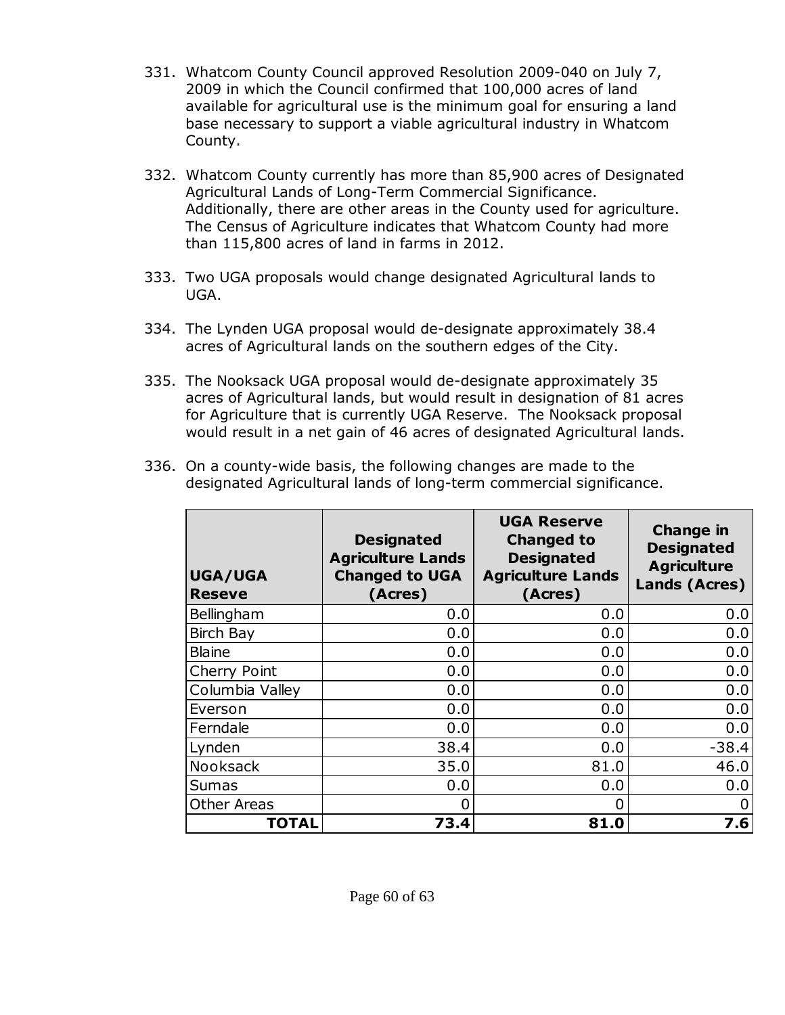- 331. Whatcom County Council approved Resolution 2009-040 on July 7, 2009 in which the Council confirmed that 100,000 acres of land available for agricultural use is the minimum goal for ensuring a land base necessary to support a viable agricultural industry in Whatcom County.
- 332. Whatcom County currently has more than 85,900 acres of Designated Agricultural Lands of Long-Term Commercial Significance. Additionally, there are other areas in the County used for agriculture. The Census of Agriculture indicates that Whatcom County had more than 115,800 acres of land in farms in 2012.
- 333. Two UGA proposals would change designated Agricultural lands to UGA.
- 334. The Lynden UGA proposal would de-designate approximately 38.4 acres of Agricultural lands on the southern edges of the City.
- 335. The Nooksack UGA proposal would de-designate approximately 35 acres of Agricultural lands, but would result in designation of 81 acres for Agriculture that is currently UGA Reserve. The Nooksack proposal would result in a net gain of 46 acres of designated Agricultural lands.
- 336. On a county-wide basis, the following changes are made to the designated Agricultural lands of long-term commercial significance.

| <b>UGA/UGA</b><br><b>Reseve</b> | <b>Designated</b><br><b>Agriculture Lands</b><br><b>Changed to UGA</b><br>(Acres) | <b>UGA Reserve</b><br><b>Changed to</b><br><b>Designated</b><br><b>Agriculture Lands</b><br>(Acres) | <b>Change in</b><br><b>Designated</b><br><b>Agriculture</b><br>Lands (Acres) |
|---------------------------------|-----------------------------------------------------------------------------------|-----------------------------------------------------------------------------------------------------|------------------------------------------------------------------------------|
| Bellingham                      | 0.0                                                                               | 0.0                                                                                                 | 0.0                                                                          |
| <b>Birch Bay</b>                | 0.0                                                                               | 0.0                                                                                                 | 0.0                                                                          |
| <b>Blaine</b>                   | 0.0                                                                               | 0.0                                                                                                 | 0.0                                                                          |
| Cherry Point                    | 0.0                                                                               | 0.0                                                                                                 | 0.0                                                                          |
| Columbia Valley                 | 0.0                                                                               | 0.0                                                                                                 | 0.0                                                                          |
| Everson                         | 0.0                                                                               | 0.0                                                                                                 | 0.0                                                                          |
| Ferndale                        | 0.0                                                                               | 0.0                                                                                                 | 0.0                                                                          |
| Lynden                          | 38.4                                                                              | 0.0                                                                                                 | $-38.4$                                                                      |
| Nooksack                        | 35.0                                                                              | 81.0                                                                                                | 46.0                                                                         |
| <b>Sumas</b>                    | 0.0                                                                               | 0.0                                                                                                 | 0.0                                                                          |
| <b>Other Areas</b>              | O                                                                                 | 0                                                                                                   | 0                                                                            |
| <b>TOTAL</b>                    | 73.4                                                                              | 81.0                                                                                                | 7.6                                                                          |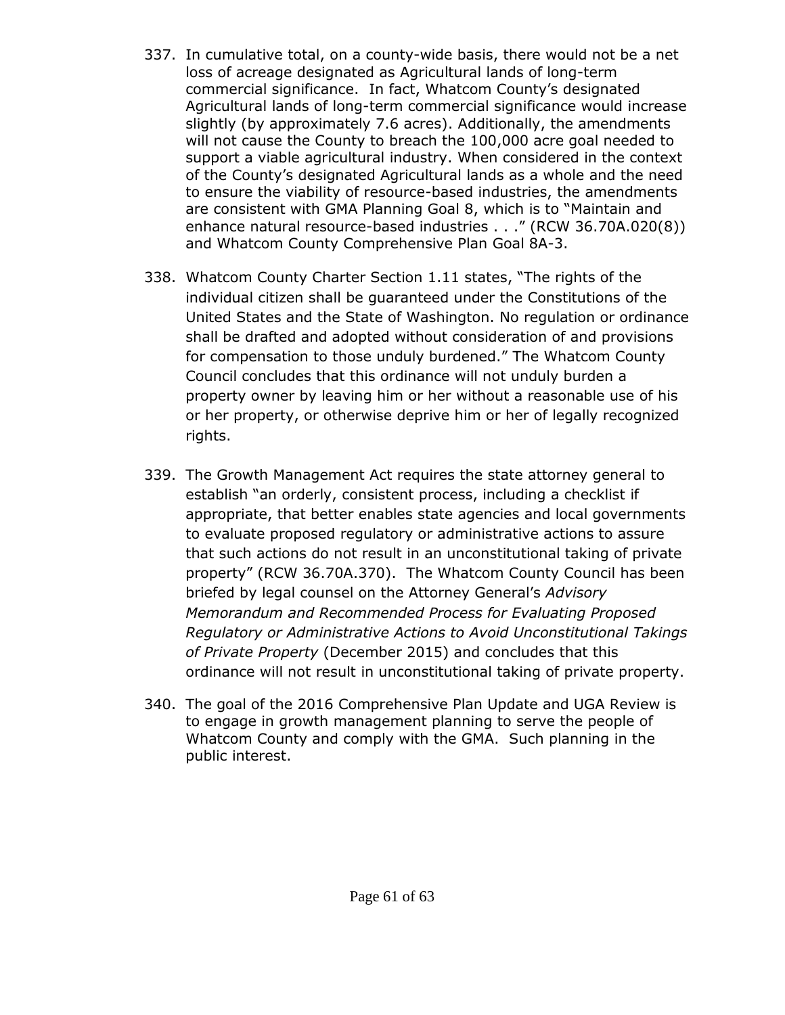- 337. In cumulative total, on a county-wide basis, there would not be a net loss of acreage designated as Agricultural lands of long-term commercial significance. In fact, Whatcom County's designated Agricultural lands of long-term commercial significance would increase slightly (by approximately 7.6 acres). Additionally, the amendments will not cause the County to breach the 100,000 acre goal needed to support a viable agricultural industry. When considered in the context of the County's designated Agricultural lands as a whole and the need to ensure the viability of resource-based industries, the amendments are consistent with GMA Planning Goal 8, which is to "Maintain and enhance natural resource-based industries . . ." (RCW 36.70A.020(8)) and Whatcom County Comprehensive Plan Goal 8A-3.
- 338. Whatcom County Charter Section 1.11 states, "The rights of the individual citizen shall be guaranteed under the Constitutions of the United States and the State of Washington. No regulation or ordinance shall be drafted and adopted without consideration of and provisions for compensation to those unduly burdened." The Whatcom County Council concludes that this ordinance will not unduly burden a property owner by leaving him or her without a reasonable use of his or her property, or otherwise deprive him or her of legally recognized rights.
- 339. The Growth Management Act requires the state attorney general to establish "an orderly, consistent process, including a checklist if appropriate, that better enables state agencies and local governments to evaluate proposed regulatory or administrative actions to assure that such actions do not result in an unconstitutional taking of private property" (RCW 36.70A.370). The Whatcom County Council has been briefed by legal counsel on the Attorney General's *Advisory Memorandum and Recommended Process for Evaluating Proposed Regulatory or Administrative Actions to Avoid Unconstitutional Takings of Private Property* (December 2015) and concludes that this ordinance will not result in unconstitutional taking of private property.
- 340. The goal of the 2016 Comprehensive Plan Update and UGA Review is to engage in growth management planning to serve the people of Whatcom County and comply with the GMA. Such planning in the public interest.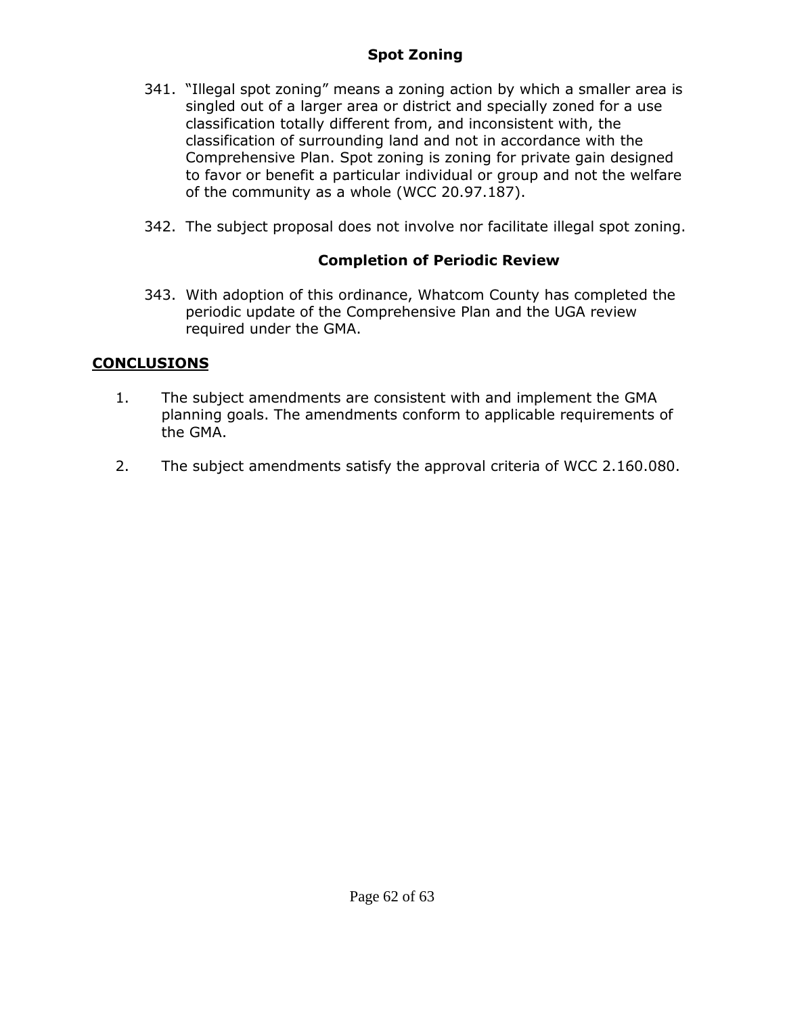#### **Spot Zoning**

- 341. "Illegal spot zoning" means a zoning action by which a smaller area is singled out of a larger area or district and specially zoned for a use classification totally different from, and inconsistent with, the classification of surrounding land and not in accordance with the Comprehensive Plan. Spot zoning is zoning for private gain designed to favor or benefit a particular individual or group and not the welfare of the community as a whole (WCC 20.97.187).
- 342. The subject proposal does not involve nor facilitate illegal spot zoning.

### **Completion of Periodic Review**

343. With adoption of this ordinance, Whatcom County has completed the periodic update of the Comprehensive Plan and the UGA review required under the GMA.

### **CONCLUSIONS**

- 1. The subject amendments are consistent with and implement the GMA planning goals. The amendments conform to applicable requirements of the GMA.
- 2. The subject amendments satisfy the approval criteria of WCC 2.160.080.